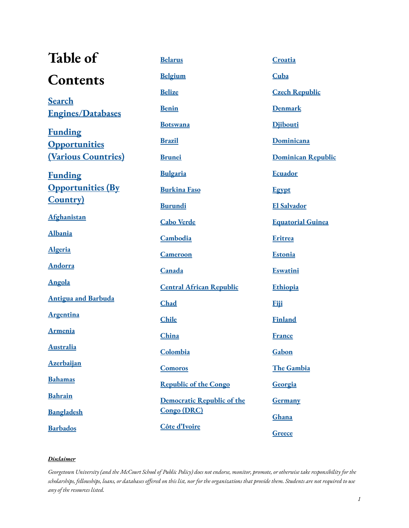| Table of                   | <b>Belarus</b>                    | Croatia                   |
|----------------------------|-----------------------------------|---------------------------|
| <b>Contents</b>            | <b>Belgium</b>                    | Cuba                      |
| <b>Search</b>              | <b>Belize</b>                     | <b>Czech Republic</b>     |
| <b>Engines/Databases</b>   | <b>Benin</b>                      | <b>Denmark</b>            |
| <b>Funding</b>             | <b>Botswana</b>                   | <b>Djibouti</b>           |
| <b>Opportunities</b>       | <b>Brazil</b>                     | Dominicana                |
| <b>(Various Countries)</b> | <b>Brunei</b>                     | <b>Dominican Republic</b> |
| <b>Funding</b>             | <b>Bulgaria</b>                   | <b>Ecuador</b>            |
| <b>Opportunities (By</b>   | <b>Burkina Faso</b>               | <b>Egypt</b>              |
| <b>Country</b>             | <b>Burundi</b>                    | <b>El Salvador</b>        |
| Afghanistan                | <b>Cabo Verde</b>                 | <b>Equatorial Guinea</b>  |
| <b>Albania</b>             | Cambodia                          | Eritrea                   |
| <b>Algeria</b>             | <b>Cameroon</b>                   | Estonia                   |
| <b>Andorra</b>             | Canada                            | <b>Eswatini</b>           |
| <b>Angola</b>              | <b>Central African Republic</b>   | Ethiopia                  |
| <b>Antigua and Barbuda</b> | Chad                              | <b>Fiji</b>               |
| <b>Argentina</b>           | <b>Chile</b>                      | <b>Finland</b>            |
| <b>Armenia</b>             | China                             | <b>France</b>             |
| <b>Australia</b>           | Colombia                          | Gabon                     |
| Azerbaijan                 | <b>Comoros</b>                    | The Gambia                |
| <b>Bahamas</b>             | <b>Republic of the Congo</b>      | Georgia                   |
| <b>Bahrain</b>             | <b>Democratic Republic of the</b> | <b>Germany</b>            |
| <b>Bangladesh</b>          | <b>Congo (DRC)</b>                | Ghana                     |
| <b>Barbados</b>            | Côte d'Ivoire                     | Greece                    |

#### *Disclaimer*

Georgetown University (and the McCourt School of Public Policy) does not endorse, monitor, promote, or otherwise take responsibility for the scholarships, fellowships, loans, or databases offered on this list, nor for the organizations that provide them. Students are not required to use *any of the resources listed.*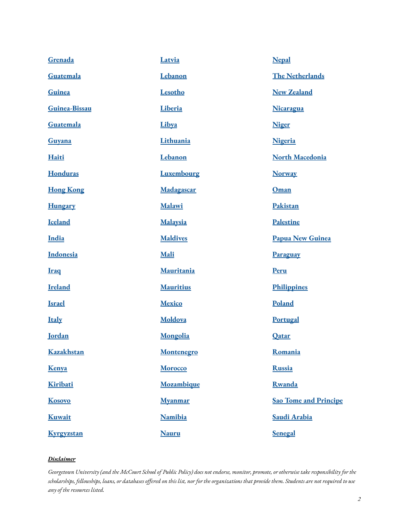| Grenada           | Latvia            | <b>Nepal</b>                 |
|-------------------|-------------------|------------------------------|
| Guatemala         | Lebanon           | <b>The Netherlands</b>       |
| Guinea            | Lesotho           | <b>New Zealand</b>           |
| Guinea-Bissau     | Liberia           | <b>Nicaragua</b>             |
| Guatemala         | Libya             | <b>Niger</b>                 |
| Guyana            | Lithuania         | Nigeria                      |
| Haiti             | Lebanon           | <b>North Macedonia</b>       |
| <b>Honduras</b>   | Luxembourg        | <b>Norway</b>                |
| <b>Hong Kong</b>  | Madagascar        | Oman                         |
| <b>Hungary</b>    | Malawi            | Pakistan                     |
| <b>Iceland</b>    | Malaysia          | <b>Palestine</b>             |
| India             | <b>Maldives</b>   | <b>Papua New Guinea</b>      |
|                   |                   |                              |
| Indonesia         | Mali              | Paraguay                     |
| <b>Iraq</b>       | Mauritania        | Peru                         |
| <b>Ireland</b>    | <b>Mauritius</b>  | <b>Philippines</b>           |
| <b>Israel</b>     | <b>Mexico</b>     | Poland                       |
| <b>Italy</b>      | Moldova           | <b>Portugal</b>              |
| <b>Jordan</b>     | Mongolia          | Qatar                        |
| <b>Kazakhstan</b> | <b>Montenegro</b> | Romania                      |
| Kenya             | Morocco           | <b>Russia</b>                |
| Kiribati          | Mozambique        | <b>Rwanda</b>                |
| <b>Kosovo</b>     | <b>Myanmar</b>    | <b>Sao Tome and Principe</b> |
| Kuwait            | <b>Namibia</b>    | Saudi Arabia                 |

#### *Disclaimer*

Georgetown University (and the McCourt School of Public Policy) does not endorse, monitor, promote, or otherwise take responsibility for the scholarships, fellowships, loans, or databases offered on this list, nor for the organizations that provide them. Students are not required to use *any of the resources listed.*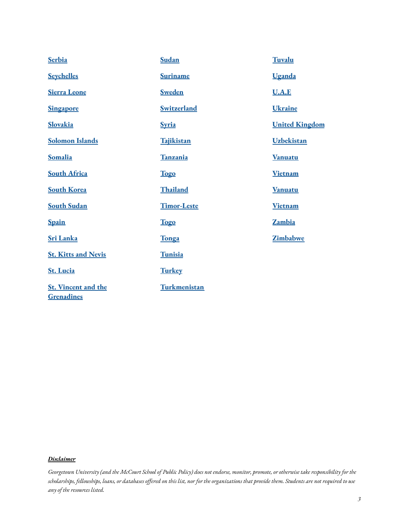| <b>Serbia</b>                                   | Sudan              | Tuvalu                |
|-------------------------------------------------|--------------------|-----------------------|
| <b>Seychelles</b>                               | <b>Suriname</b>    | Uganda                |
| <b>Sierra Leone</b>                             | <b>Sweden</b>      | <b>U.A.E</b>          |
| <b>Singapore</b>                                | <b>Switzerland</b> | <b>Ukraine</b>        |
| <b>Slovakia</b>                                 | <b>Syria</b>       | <b>United Kingdom</b> |
| <b>Solomon Islands</b>                          | <b>Tajikistan</b>  | Uzbekistan            |
| Somalia                                         | Tanzania           | <b>Vanuatu</b>        |
| <b>South Africa</b>                             | <b>Togo</b>        | <b>Vietnam</b>        |
| <b>South Korea</b>                              | Thailand           | <b>Vanuatu</b>        |
| <b>South Sudan</b>                              | <b>Timor-Leste</b> | <b>Vietnam</b>        |
| <b>Spain</b>                                    | <b>Togo</b>        | <b>Zambia</b>         |
| <b>Sri Lanka</b>                                | Tonga              | Zimbabwe              |
| <b>St. Kitts and Nevis</b>                      | Tunisia            |                       |
| <b>St. Lucia</b>                                | <b>Turkey</b>      |                       |
| <b>St. Vincent and the</b><br><b>Grenadines</b> | Turkmenistan       |                       |

#### *Disclaimer*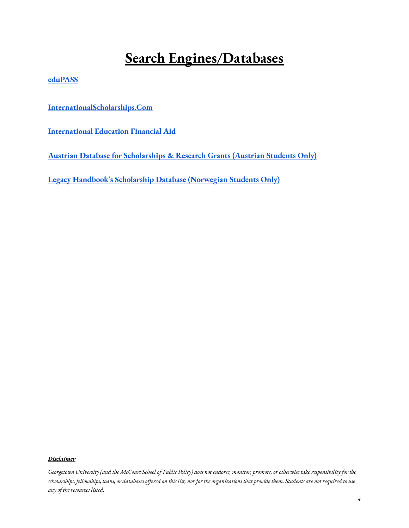# **Search Engines/Databases**

**[eduPASS](https://www.edupass.org/paying-for-college/databases/)**

**[InternationalScholarships.Com](https://www.internationalscholarships.com/)**

**[International](https://www.iefa.org/) Education Financial Aid**

**Austrian Database for [Scholarships](https://grants.at/de/) & Research Grants (Austrian Students Only)**

**Legacy [Handbook's](https://www.legathandboken.no/) Scholarship Database (Norwegian Students Only)**

#### *Disclaimer*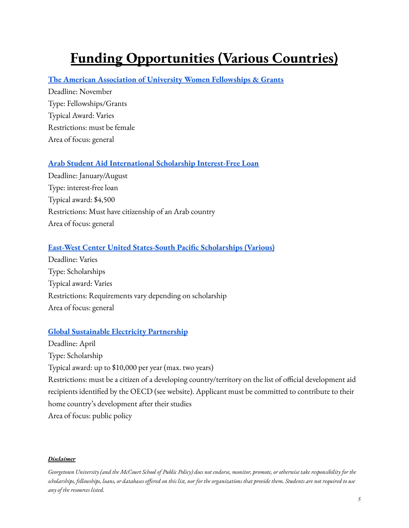# <span id="page-4-0"></span>**Funding Opportunities (Various Countries)**

#### **The American Association of University Women [Fellowships](https://www.aauw.org/resources/programs/fellowships-grants/) & Grants**

Deadline: November Type: Fellowships/Grants Typical Award: Varies Restrictions: must be female Area of focus: general

#### **Arab Student Aid [International](https://arabstudentaid.org/students/) Scholarship Interest-Free Loan**

Deadline: January/August Type: interest-free loan Typical award: \$4,500 Restrictions: Must have citizenship of an Arab country Area of focus: general

#### **East-West Center United [States-South](https://www.eastwestcenter.org/education/opportunities-study-and-scholarship) Pacific Scholarships (Various)**

Deadline: Varies Type: Scholarships Typical award: Varies Restrictions: Requirements vary depending on scholarship Area of focus: general

#### **Global Sustainable Electricity [Partnership](https://www.globalelectricity.org/scholarship/)**

Deadline: April Type: Scholarship Typical award: up to \$10,000 per year (max. two years) Restrictions: must be a citizen of a developing country/territory on the list of official development aid recipients identified by the OECD (see website). Applicant must be committed to contribute to their home country's development after their studies Area of focus: public policy

#### *Disclaimer*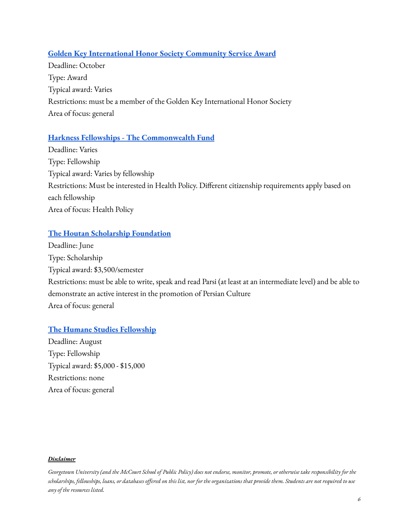### **Golden Key [International](https://www.goldenkey.org/scholarships-awards/overview/) Honor Society Community Service Award**

Deadline: October Type: Award Typical award: Varies Restrictions: must be a member of the Golden Key International Honor Society Area of focus: general

### **Harkness Fellowships - The [Commonwealth](https://www.commonwealthfund.org/grants-fellowships/fellowships) Fund**

Deadline: Varies Type: Fellowship Typical award: Varies by fellowship Restrictions: Must be interested in Health Policy. Different citizenship requirements apply based on each fellowship Area of focus: Health Policy

### **The Houtan Scholarship [Foundation](http://www.houtan.org/apply/)**

Deadline: June Type: Scholarship Typical award: \$3,500/semester Restrictions: must be able to write, speak and read Parsi (at least at an intermediate level) and be able to demonstrate an active interest in the promotion of Persian Culture Area of focus: general

### **The Humane Studies [Fellowship](https://theihs.org/graduate-students/scholarships-and-grants-graduate-students/)**

Deadline: August Type: Fellowship Typical award: \$5,000 - \$15,000 Restrictions: none Area of focus: general

#### *Disclaimer*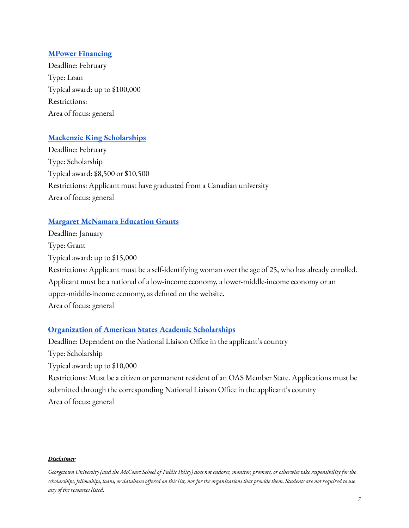### **MPower [Financing](https://www.mpowerfinancing.com/)**

Deadline: February Type: Loan Typical award: up to \$100,000 Restrictions: Area of focus: general

### **Mackenzie King [Scholarships](http://www.mkingscholarships.ca/index-e.html)**

Deadline: February Type: Scholarship Typical award: \$8,500 or \$10,500 Restrictions: Applicant must have graduated from a Canadian university Area of focus: general

### **Margaret [McNamara](https://www.mmeg.org/apply) Education Grants**

Deadline: January Type: Grant Typical award: up to \$15,000 Restrictions: Applicant must be a self-identifying woman over the age of 25, who has already enrolled. Applicant must be a national of a low-income economy, a lower-middle-income economy or an upper-middle-income economy, as defined on the website. Area of focus: general

#### **[Organization](https://www.oas.org/en/scholarships/Academic_Program_OAS_2022.asp) of American States Academic Scholarships**

Deadline: Dependent on the National Liaison Office in the applicant's country Type: Scholarship Typical award: up to \$10,000 Restrictions: Must be a citizen or permanent resident of an OAS Member State. Applications must be submitted through the corresponding National Liaison Office in the applicant's country Area of focus: general

#### *Disclaimer*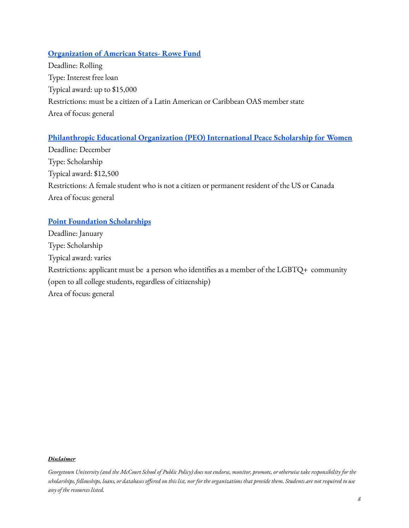### **[Organization](http://www.oas.org/en/rowefund/) of American States- Rowe Fund**

Deadline: Rolling Type: Interest free loan Typical award: up to \$15,000 Restrictions: must be a citizen of a Latin American or Caribbean OAS member state Area of focus: general

### **[Philanthropic](https://www.peointernational.org/about-peo-international-peace-scholarship-ips) Educational Organization (PEO) International Peace Scholarship for Women**

Deadline: December Type: Scholarship Typical award: \$12,500 Restrictions: A female student who is not a citizen or permanent resident of the US or Canada Area of focus: general

### **Point Foundation [Scholarships](https://pointfoundation.org/)**

Deadline: January Type: Scholarship Typical award: varies Restrictions: applicant must be a person who identifies as a member of the LGBTQ+ community (open to all college students, regardless of citizenship) Area of focus: general

#### *Disclaimer*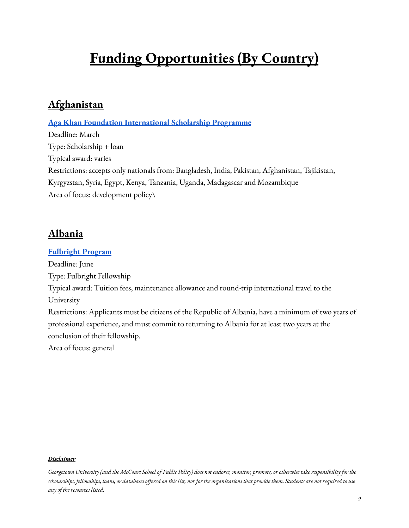# <span id="page-8-0"></span>**Funding Opportunities (By Country)**

# <span id="page-8-1"></span>**Afghanistan**

**Aga Khan Foundation [International](https://www.akdn.org/our-agencies/aga-khan-foundation/international-scholarship-programme) Scholarship Programme**

Deadline: March Type: Scholarship + loan Typical award: varies Restrictions: accepts only nationals from: Bangladesh, India, Pakistan, Afghanistan, Tajikistan, Kyrgyzstan, Syria, Egypt, Kenya, Tanzania, Uganda, Madagascar and Mozambique Area of focus: development policy\

# <span id="page-8-2"></span>**Albania**

**[Fulbright](https://al.usembassy.gov/education-culture/educational-exchange-programs/fulbright-programs/) Program** Deadline: June Type: Fulbright Fellowship Typical award: Tuition fees, maintenance allowance and round-trip international travel to the University Restrictions: Applicants must be citizens of the Republic of Albania, have a minimum of two years of professional experience, and must commit to returning to Albania for at least two years at the conclusion of their fellowship. Area of focus: general

#### *Disclaimer*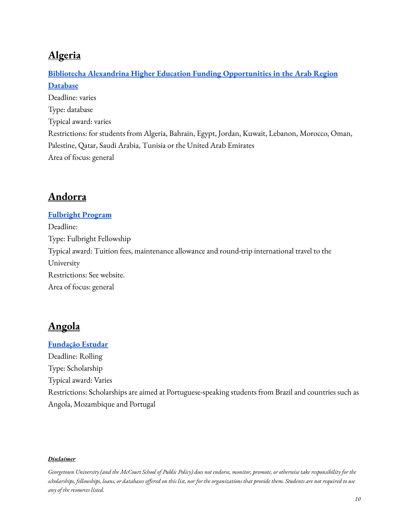# <span id="page-9-0"></span>**Algeria**

# **Bibliotecha Alexandrina Higher Education [Funding Opportunities](http://www.bibalex.org/he_funding/Home/index.aspx) in the Arab Region [Database](http://www.bibalex.org/he_funding/Home/index.aspx)** Deadline: varies Type: database Typical award: varies Restrictions: for students from Algeria, Bahrain, Egypt, Jordan, Kuwait, Lebanon, Morocco, Oman, Palestine, Qatar, Saudi Arabia, Tunisia or the United Arab Emirates Area of focus: general

# <span id="page-9-1"></span>**Andorra**

**[Fulbright](https://www.ensenyamentsuperior.ad/) Program** Deadline: Type: Fulbright Fellowship Typical award: Tuition fees, maintenance allowance and round-trip international travel to the University Restrictions: See website. Area of focus: general

# <span id="page-9-2"></span>**Angola**

**[Fundação](http://www.estudar.org.br/) Estudar** Deadline: Rolling Type: Scholarship Typical award: Varies Restrictions: Scholarships are aimed at Portuguese-speaking students from Brazil and countries such as Angola, Mozambique and Portugal

#### *Disclaimer*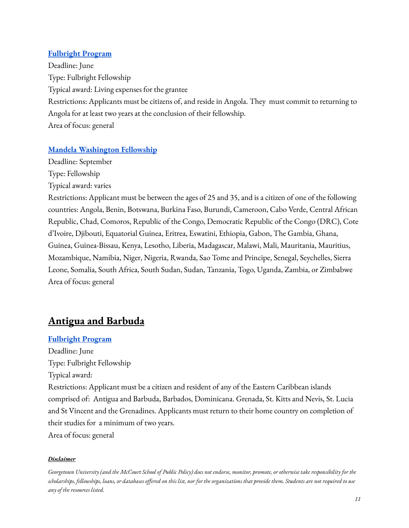### **[Fulbright](https://ao.usembassy.gov/education-culture/fulbright-program/fulbright-foreign-student-program/) Program**

Deadline: June Type: Fulbright Fellowship Typical award: Living expenses for the grantee Restrictions: Applicants must be citizens of, and reside in Angola. They must commit to returning to Angola for at least two years at the conclusion of their fellowship. Area of focus: general

### **Mandela [Washington](https://yali.state.gov/mwf/) Fellowship**

Deadline: September

Type: Fellowship

Typical award: varies

Restrictions: Applicant must be between the ages of 25 and 35, and is a citizen of one of the following countries: Angola, Benin, Botswana, Burkina Faso, Burundi, Cameroon, Cabo Verde, Central African Republic, Chad, Comoros, Republic of the Congo, Democratic Republic of the Congo (DRC), Cote d'Ivoire, Djibouti, Equatorial Guinea, Eritrea, Eswatini, Ethiopia, Gabon, The Gambia, Ghana, Guinea, Guinea-Bissau, Kenya, Lesotho, Liberia, Madagascar, Malawi, Mali, Mauritania, Mauritius, Mozambique, Namibia, Niger, Nigeria, Rwanda, Sao Tome and Principe, Senegal, Seychelles, Sierra Leone, Somalia, South Africa, South Sudan, Sudan, Tanzania, Togo, Uganda, Zambia, or Zimbabwe Area of focus: general

# <span id="page-10-0"></span>**Antigua and Barbuda**

#### **[Fulbright](https://bb.usembassy.gov/education-culture/ec-scholarships/fulbright-scholarship-program/) Program**

Deadline: June Type: Fulbright Fellowship Typical award: Restrictions: Applicant must be a citizen and resident of any of the Eastern Caribbean islands comprised of: Antigua and Barbuda, Barbados, Dominicana. Grenada, St. Kitts and Nevis, St. Lucia and St Vincent and the Grenadines. Applicants must return to their home country on completion of their studies for a minimum of two years.

Area of focus: general

### *Disclaimer*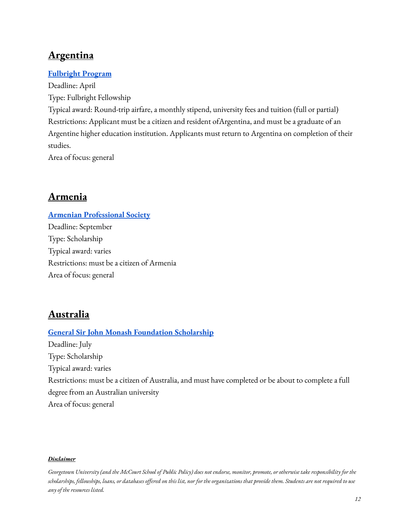# <span id="page-11-0"></span>**Argentina**

### **[Fulbright](http://fulbright.edu.ar/course/becas-de-posgrado-fulbright-ministerio-de-educacion-cultura-ciencia-y-tecnologia-de-la-nacion-2020-2021/#1565314377610-5ea9cfc8-b083efcd-cd2d) Program**

Deadline: April Type: Fulbright Fellowship Typical award: Round-trip airfare, a monthly stipend, university fees and tuition (full or partial) Restrictions: Applicant must be a citizen and resident ofArgentina, and must be a graduate of an Argentine higher education institution. Applicants must return to Argentina on completion of their studies.

Area of focus: general

# <span id="page-11-1"></span>**Armenia**

**Armenian [Professional](http://www.armenianprofessionalsociety.org/scholarships.html) Society** Deadline: September Type: Scholarship Typical award: varies Restrictions: must be a citizen of Armenia Area of focus: general

# <span id="page-11-2"></span>**Australia**

# **General Sir John Monash [Foundation](https://www.johnmonash.com/) Scholarship** Deadline: July Type: Scholarship Typical award: varies Restrictions: must be a citizen of Australia, and must have completed or be about to complete a full degree from an Australian university Area of focus: general

#### *Disclaimer*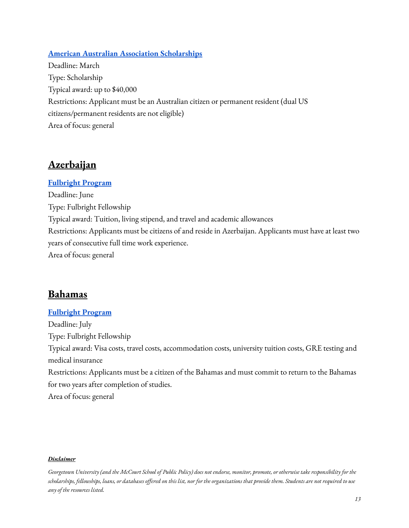### **American Australian Association [Scholarships](https://www.americanaustralian.org/scholarships/)**

Deadline: March Type: Scholarship Typical award: up to \$40,000 Restrictions: Applicant must be an Australian citizen or permanent resident (dual US citizens/permanent residents are not eligible) Area of focus: general

### <span id="page-12-0"></span>**Azerbaijan**

### **[Fulbright](https://az.usembassy.gov/education-culture/educational-programs/professional-development-degree-programs/) Program**

Deadline: June Type: Fulbright Fellowship Typical award: Tuition, living stipend, and travel and academic allowances Restrictions: Applicants must be citizens of and reside in Azerbaijan. Applicants must have at least two years of consecutive full time work experience. Area of focus: general

### <span id="page-12-1"></span>**Bahamas**

#### **[Fulbright](https://bs.usembassy.gov/education-culture/fulbright-the-bahamas/) Program**

Deadline: July Type: Fulbright Fellowship Typical award: Visa costs, travel costs, accommodation costs, university tuition costs, GRE testing and medical insurance Restrictions: Applicants must be a citizen of the Bahamas and must commit to return to the Bahamas for two years after completion of studies. Area of focus: general

#### *Disclaimer*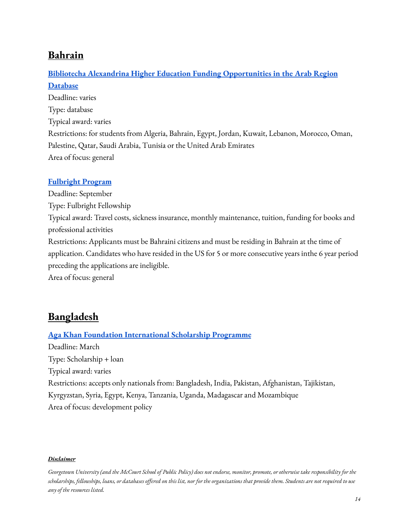# <span id="page-13-0"></span>**Bahrain**

### **Bibliotecha Alexandrina Higher Education [Funding Opportunities](http://www.bibalex.org/he_funding/Home/index.aspx) in the Arab Region [Database](http://www.bibalex.org/he_funding/Home/index.aspx)**

Deadline: varies Type: database Typical award: varies Restrictions: for students from Algeria, Bahrain, Egypt, Jordan, Kuwait, Lebanon, Morocco, Oman, Palestine, Qatar, Saudi Arabia, Tunisia or the United Arab Emirates Area of focus: general

### **[Fulbright](https://bh.usembassy.gov/education-culture/exchange-programs/fulbright-graduate-scholarship/) Program**

Deadline: September Type: Fulbright Fellowship Typical award: Travel costs, sickness insurance, monthly maintenance, tuition, funding for books and professional activities Restrictions: Applicants must be Bahraini citizens and must be residing in Bahrain at the time of application. Candidates who have resided in the US for 5 or more consecutive years inthe 6 year period preceding the applications are ineligible. Area of focus: general

# <span id="page-13-1"></span>**Bangladesh**

### **Aga Khan Foundation [International](https://www.akdn.org/our-agencies/aga-khan-foundation/international-scholarship-programme) Scholarship Programme**

Deadline: March Type: Scholarship + loan Typical award: varies Restrictions: accepts only nationals from: Bangladesh, India, Pakistan, Afghanistan, Tajikistan, Kyrgyzstan, Syria, Egypt, Kenya, Tanzania, Uganda, Madagascar and Mozambique Area of focus: development policy

#### *Disclaimer*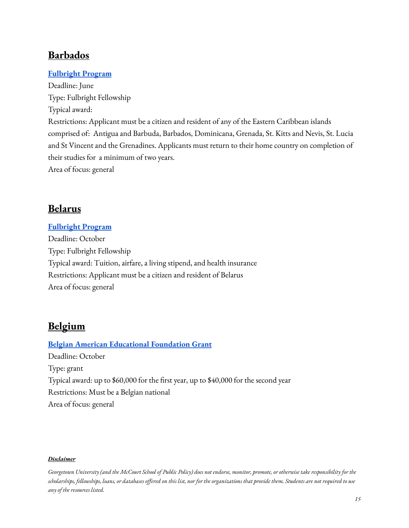# <span id="page-14-0"></span>**Barbados**

### **[Fulbright](https://bb.usembassy.gov/education-culture/ec-scholarships/fulbright-scholarship-program/) Program**

Deadline: June Type: Fulbright Fellowship Typical award: Restrictions: Applicant must be a citizen and resident of any of the Eastern Caribbean islands comprised of: Antigua and Barbuda, Barbados, Dominicana, Grenada, St. Kitts and Nevis, St. Lucia and St Vincent and the Grenadines. Applicants must return to their home country on completion of their studies for a minimum of two years. Area of focus: general

# <span id="page-14-1"></span>**Belarus**

### **[Fulbright](https://by.usembassy.gov/education-culture/educational-exchange/) Program**

Deadline: October Type: Fulbright Fellowship Typical award: Tuition, airfare, a living stipend, and health insurance Restrictions: Applicant must be a citizen and resident of Belarus Area of focus: general

# <span id="page-14-2"></span>**Belgium**

**Belgian American [Educational](https://baef.be/graduate-study-fellowships-be/) Foundation Grant** Deadline: October Type: grant Typical award: up to \$60,000 for the first year, up to \$40,000 for the second year Restrictions: Must be a Belgian national Area of focus: general

#### *Disclaimer*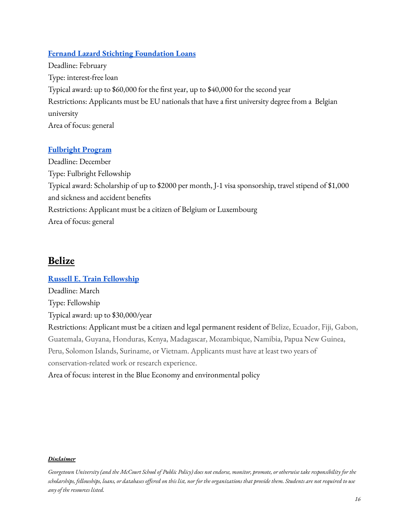### **Fernand Lazard Stichting [Foundation](http://fernandlazard.be/) Loans**

Deadline: February Type: interest-free loan Typical award: up to \$60,000 for the first year, up to \$40,000 for the second year Restrictions: Applicants must be EU nationals that have a first university degree from a Belgian university Area of focus: general

### **[Fulbright](http://www.fulbright.be/) Program**

Deadline: December Type: Fulbright Fellowship Typical award: Scholarship of up to \$2000 per month, J-1 visa sponsorship, travel stipend of \$1,000 and sickness and accident benefits Restrictions: Applicant must be a citizen of Belgium or Luxembourg Area of focus: general

### <span id="page-15-0"></span>**Belize**

**Russell E. Train [Fellowship](https://www.worldwildlife.org/projects/russell-e-train-fellowships)** Deadline: March Type: Fellowship Typical award: up to \$30,000/year Restrictions: Applicant must be a citizen and legal permanent resident of Belize, Ecuador, Fiji, Gabon, Guatemala, Guyana, Honduras, Kenya, Madagascar, Mozambique, Namibia, Papua New Guinea, Peru, Solomon Islands, Suriname, or Vietnam. Applicants must have at least two years of conservation-related work or research experience. Area of focus: interest in the Blue Economy and environmental policy

#### *Disclaimer*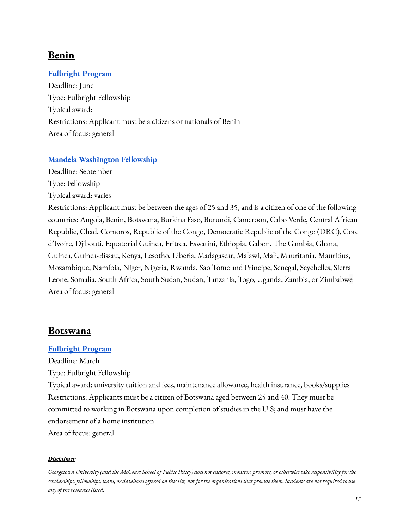# <span id="page-16-0"></span>**Benin**

### **[Fulbright](https://bj.usembassy.gov/education-culture/education-exchange-programs/fulbright-program/) Program**

Deadline: June Type: Fulbright Fellowship Typical award: Restrictions: Applicant must be a citizens or nationals of Benin Area of focus: general

#### **Mandela [Washington](https://yali.state.gov/mwf/) Fellowship**

Deadline: September Type: Fellowship

Typical award: varies

Restrictions: Applicant must be between the ages of 25 and 35, and is a citizen of one of the following countries: Angola, Benin, Botswana, Burkina Faso, Burundi, Cameroon, Cabo Verde, Central African Republic, Chad, Comoros, Republic of the Congo, Democratic Republic of the Congo (DRC), Cote d'Ivoire, Djibouti, Equatorial Guinea, Eritrea, Eswatini, Ethiopia, Gabon, The Gambia, Ghana, Guinea, Guinea-Bissau, Kenya, Lesotho, Liberia, Madagascar, Malawi, Mali, Mauritania, Mauritius, Mozambique, Namibia, Niger, Nigeria, Rwanda, Sao Tome and Principe, Senegal, Seychelles, Sierra Leone, Somalia, South Africa, South Sudan, Sudan, Tanzania, Togo, Uganda, Zambia, or Zimbabwe Area of focus: general

### <span id="page-16-1"></span>**Botswana**

#### **[Fulbright](https://bw.usembassy.gov/2022-23-ffsp-announcement/?_ga=2.202499351.746146329.1644521506-1093378583.1644521506) Program**

Deadline: March

Type: Fulbright Fellowship

Typical award: university tuition and fees, maintenance allowance, health insurance, books/supplies Restrictions: Applicants must be a citizen of Botswana aged between 25 and 40. They must be committed to working in Botswana upon completion of studies in the U.S; and must have the endorsement of a home institution.

Area of focus: general

#### *Disclaimer*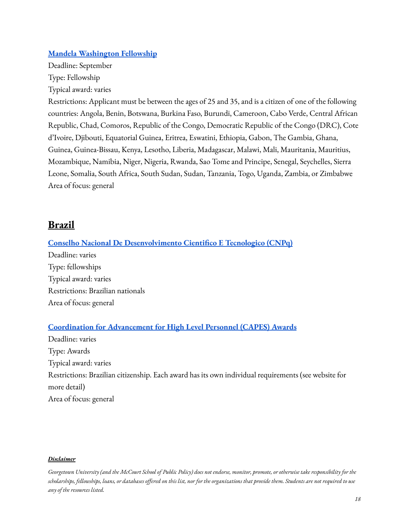### **Mandela [Washington](https://yali.state.gov/mwf/) Fellowship**

Deadline: September Type: Fellowship Typical award: varies

Restrictions: Applicant must be between the ages of 25 and 35, and is a citizen of one of the following countries: Angola, Benin, Botswana, Burkina Faso, Burundi, Cameroon, Cabo Verde, Central African Republic, Chad, Comoros, Republic of the Congo, Democratic Republic of the Congo (DRC), Cote d'Ivoire, Djibouti, Equatorial Guinea, Eritrea, Eswatini, Ethiopia, Gabon, The Gambia, Ghana, Guinea, Guinea-Bissau, Kenya, Lesotho, Liberia, Madagascar, Malawi, Mali, Mauritania, Mauritius, Mozambique, Namibia, Niger, Nigeria, Rwanda, Sao Tome and Principe, Senegal, Seychelles, Sierra Leone, Somalia, South Africa, South Sudan, Sudan, Tanzania, Togo, Uganda, Zambia, or Zimbabwe Area of focus: general

### <span id="page-17-0"></span>**Brazil**

#### **Conselho Nacional De [Desenvolvimento](http://www.cnpq.br/#void) Cientifico E Tecnologico (CNPq)**

Deadline: varies Type: fellowships Typical award: varies Restrictions: Brazilian nationals Area of focus: general

### **[Coordination](https://www.gov.br/capes/pt-br) for Advancement for High Level Personnel (CAPES) Awards**

Deadline: varies Type: Awards Typical award: varies Restrictions: Brazilian citizenship. Each award has its own individual requirements (see website for more detail) Area of focus: general

#### *Disclaimer*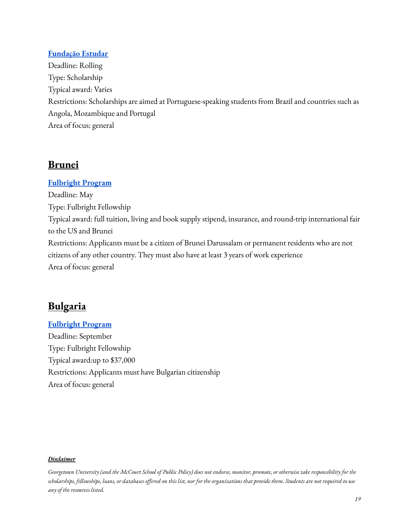### **[Fundação](http://www.estudar.org.br/) Estudar**

Deadline: Rolling Type: Scholarship Typical award: Varies Restrictions: Scholarships are aimed at Portuguese-speaking students from Brazil and countries such as Angola, Mozambique and Portugal Area of focus: general

### <span id="page-18-0"></span>**Brunei**

### **[Fulbright](https://bn.usembassy.gov/education-culture/fulbright-program/fulbright-foreign-student-program/) Program**

Deadline: May Type: Fulbright Fellowship Typical award: full tuition, living and book supply stipend, insurance, and round-trip international fair to the US and Brunei Restrictions: Applicants must be a citizen of Brunei Darussalam or permanent residents who are not citizens of any other country. They must also have at least 3 years of work experience Area of focus: general

### <span id="page-18-1"></span>**Bulgaria**

**[Fulbright](https://www.fulbright.bg/en/grants-for-bulgarian-citizens/graduate-students/) Program** Deadline: September Type: Fulbright Fellowship Typical award:up to \$37,000 Restrictions: Applicants must have Bulgarian citizenship Area of focus: general

#### *Disclaimer*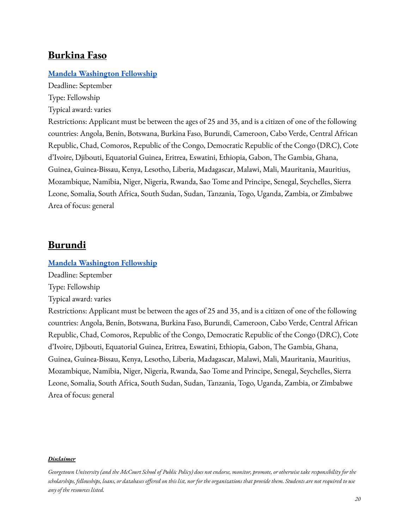### <span id="page-19-0"></span>**Burkina Faso**

#### **Mandela [Washington](https://yali.state.gov/mwf/) Fellowship**

Deadline: September Type: Fellowship

Typical award: varies

Restrictions: Applicant must be between the ages of 25 and 35, and is a citizen of one of the following countries: Angola, Benin, Botswana, Burkina Faso, Burundi, Cameroon, Cabo Verde, Central African Republic, Chad, Comoros, Republic of the Congo, Democratic Republic of the Congo (DRC), Cote d'Ivoire, Djibouti, Equatorial Guinea, Eritrea, Eswatini, Ethiopia, Gabon, The Gambia, Ghana, Guinea, Guinea-Bissau, Kenya, Lesotho, Liberia, Madagascar, Malawi, Mali, Mauritania, Mauritius, Mozambique, Namibia, Niger, Nigeria, Rwanda, Sao Tome and Principe, Senegal, Seychelles, Sierra Leone, Somalia, South Africa, South Sudan, Sudan, Tanzania, Togo, Uganda, Zambia, or Zimbabwe Area of focus: general

### <span id="page-19-1"></span>**Burundi**

#### **Mandela [Washington](https://yali.state.gov/mwf/) Fellowship**

Deadline: September

Type: Fellowship

Typical award: varies

Restrictions: Applicant must be between the ages of 25 and 35, and is a citizen of one of the following countries: Angola, Benin, Botswana, Burkina Faso, Burundi, Cameroon, Cabo Verde, Central African Republic, Chad, Comoros, Republic of the Congo, Democratic Republic of the Congo (DRC), Cote d'Ivoire, Djibouti, Equatorial Guinea, Eritrea, Eswatini, Ethiopia, Gabon, The Gambia, Ghana, Guinea, Guinea-Bissau, Kenya, Lesotho, Liberia, Madagascar, Malawi, Mali, Mauritania, Mauritius, Mozambique, Namibia, Niger, Nigeria, Rwanda, Sao Tome and Principe, Senegal, Seychelles, Sierra Leone, Somalia, South Africa, South Sudan, Sudan, Tanzania, Togo, Uganda, Zambia, or Zimbabwe Area of focus: general

#### *Disclaimer*

Georgetown University (and the McCourt School of Public Policy) does not endorse, monitor, promote, or otherwise take responsibility for the scholarships, fellowships, loans, or databases offered on this list, nor for the organizations that provide them. Students are not required to use *any of the resources listed.*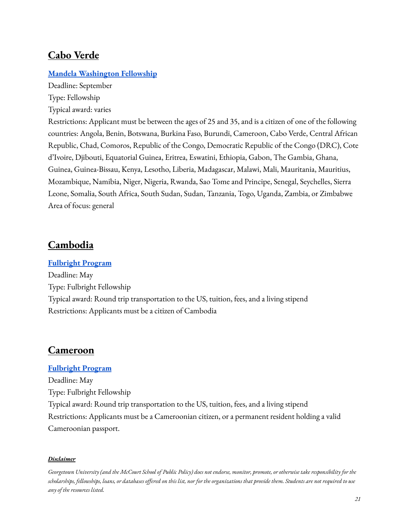### <span id="page-20-0"></span>**Cabo Verde**

### **Mandela [Washington](https://yali.state.gov/mwf/) Fellowship**

Deadline: September Type: Fellowship Typical award: varies

Restrictions: Applicant must be between the ages of 25 and 35, and is a citizen of one of the following countries: Angola, Benin, Botswana, Burkina Faso, Burundi, Cameroon, Cabo Verde, Central African Republic, Chad, Comoros, Republic of the Congo, Democratic Republic of the Congo (DRC), Cote d'Ivoire, Djibouti, Equatorial Guinea, Eritrea, Eswatini, Ethiopia, Gabon, The Gambia, Ghana, Guinea, Guinea-Bissau, Kenya, Lesotho, Liberia, Madagascar, Malawi, Mali, Mauritania, Mauritius, Mozambique, Namibia, Niger, Nigeria, Rwanda, Sao Tome and Principe, Senegal, Seychelles, Sierra Leone, Somalia, South Africa, South Sudan, Sudan, Tanzania, Togo, Uganda, Zambia, or Zimbabwe Area of focus: general

### <span id="page-20-1"></span>**Cambodia**

#### **[Fulbright](https://kh.usembassy.gov/fulbright-student-fellowship/) Program**

Deadline: May Type: Fulbright Fellowship Typical award: Round trip transportation to the US, tuition, fees, and a living stipend Restrictions: Applicants must be a citizen of Cambodia

### <span id="page-20-2"></span>**Cameroon**

### **[Fulbright](https://cm.usembassy.gov/education-culture/education-exchange-programs/programs-announcements/) Program**

Deadline: May Type: Fulbright Fellowship Typical award: Round trip transportation to the US, tuition, fees, and a living stipend Restrictions: Applicants must be a Cameroonian citizen, or a permanent resident holding a valid Cameroonian passport.

#### *Disclaimer*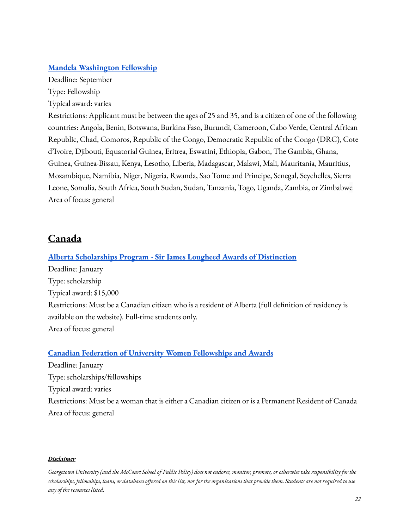#### **Mandela [Washington](https://yali.state.gov/mwf/) Fellowship**

Deadline: September Type: Fellowship Typical award: varies

Restrictions: Applicant must be between the ages of 25 and 35, and is a citizen of one of the following countries: Angola, Benin, Botswana, Burkina Faso, Burundi, Cameroon, Cabo Verde, Central African Republic, Chad, Comoros, Republic of the Congo, Democratic Republic of the Congo (DRC), Cote d'Ivoire, Djibouti, Equatorial Guinea, Eritrea, Eswatini, Ethiopia, Gabon, The Gambia, Ghana, Guinea, Guinea-Bissau, Kenya, Lesotho, Liberia, Madagascar, Malawi, Mali, Mauritania, Mauritius, Mozambique, Namibia, Niger, Nigeria, Rwanda, Sao Tome and Principe, Senegal, Seychelles, Sierra Leone, Somalia, South Africa, South Sudan, Sudan, Tanzania, Togo, Uganda, Zambia, or Zimbabwe Area of focus: general

### <span id="page-21-0"></span>**Canada**

# **Alberta [Scholarships](https://studentaid.alberta.ca/scholarships/sir-james-lougheed-award-of-distinction/) Program - Sir James Lougheed Awards of Distinction** Deadline: January Type: scholarship Typical award: \$15,000 Restrictions: Must be a Canadian citizen who is a resident of Alberta (full definition of residency is available on the website). Full-time students only. Area of focus: general

### **Canadian Federation of University Women [Fellowships](https://cfuw.org/fellowships-awards/list-of-fellowships-and-awards/) and Awards**

Deadline: January Type: scholarships/fellowships Typical award: varies Restrictions: Must be a woman that is either a Canadian citizen or is a Permanent Resident of Canada Area of focus: general

#### *Disclaimer*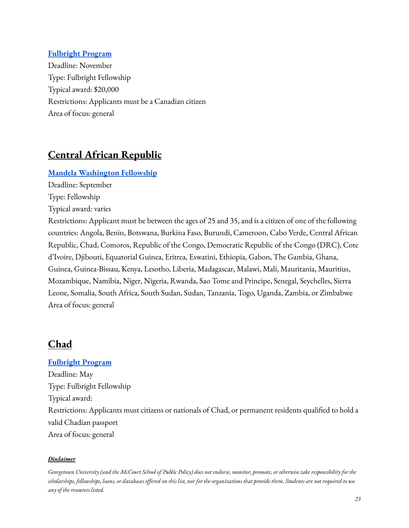### **[Fulbright](https://www.fulbright.ca/programs/canadian-students/traditional-awards.html) Program**

Deadline: November Type: Fulbright Fellowship Typical award: \$20,000 Restrictions: Applicants must be a Canadian citizen Area of focus: general

# <span id="page-22-0"></span>**Central African Republic**

### **Mandela [Washington](https://yali.state.gov/mwf/) Fellowship**

Deadline: September

Type: Fellowship

Typical award: varies

Restrictions: Applicant must be between the ages of 25 and 35, and is a citizen of one of the following countries: Angola, Benin, Botswana, Burkina Faso, Burundi, Cameroon, Cabo Verde, Central African Republic, Chad, Comoros, Republic of the Congo, Democratic Republic of the Congo (DRC), Cote d'Ivoire, Djibouti, Equatorial Guinea, Eritrea, Eswatini, Ethiopia, Gabon, The Gambia, Ghana, Guinea, Guinea-Bissau, Kenya, Lesotho, Liberia, Madagascar, Malawi, Mali, Mauritania, Mauritius, Mozambique, Namibia, Niger, Nigeria, Rwanda, Sao Tome and Principe, Senegal, Seychelles, Sierra Leone, Somalia, South Africa, South Sudan, Sudan, Tanzania, Togo, Uganda, Zambia, or Zimbabwe Area of focus: general

# <span id="page-22-1"></span>**Chad**

#### **[Fulbright](https://td.usembassy.gov/2022-2023-fulbright-foreign-student-program-call-for-applications/?_ga=2.239412101.746146329.1644521506-1093378583.1644521506) Program**

Deadline: May Type: Fulbright Fellowship Typical award: Restrictions: Applicants must citizens or nationals of Chad, or permanent residents qualified to hold a valid Chadian passport Area of focus: general

#### *Disclaimer*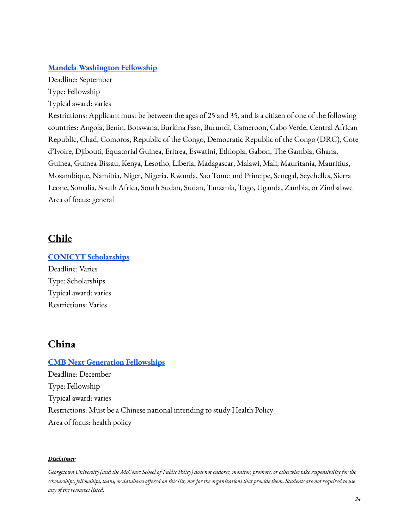### **Mandela [Washington](https://yali.state.gov/mwf/) Fellowship**

Deadline: September Type: Fellowship Typical award: varies

Restrictions: Applicant must be between the ages of 25 and 35, and is a citizen of one of the following countries: Angola, Benin, Botswana, Burkina Faso, Burundi, Cameroon, Cabo Verde, Central African Republic, Chad, Comoros, Republic of the Congo, Democratic Republic of the Congo (DRC), Cote d'Ivoire, Djibouti, Equatorial Guinea, Eritrea, Eswatini, Ethiopia, Gabon, The Gambia, Ghana, Guinea, Guinea-Bissau, Kenya, Lesotho, Liberia, Madagascar, Malawi, Mali, Mauritania, Mauritius, Mozambique, Namibia, Niger, Nigeria, Rwanda, Sao Tome and Principe, Senegal, Seychelles, Sierra Leone, Somalia, South Africa, South Sudan, Sudan, Tanzania, Togo, Uganda, Zambia, or Zimbabwe Area of focus: general

# <span id="page-23-0"></span>**Chile**

**CONICYT [Scholarships](https://www.conicyt.cl/becasconicyt/)** Deadline: Varies Type: Scholarships Typical award: varies Restrictions: Varies

# <span id="page-23-1"></span>**China**

### **CMB Next Generation [Fellowships](https://www.iie.org/Programs/China-Medical-Board-Next-Generation-Fellowships)**

Deadline: December Type: Fellowship Typical award: varies Restrictions: Must be a Chinese national intending to study Health Policy Area of focus: health policy

#### *Disclaimer*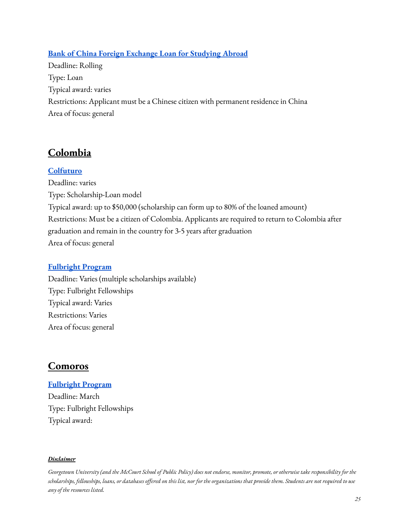### **Bank of China Foreign Exchange Loan for [Studying Abroad](https://www.bankofchina.com/en/pbservice/pb2/200907/t20090723_1324014.html)**

Deadline: Rolling Type: Loan Typical award: varies Restrictions: Applicant must be a Chinese citizen with permanent residence in China Area of focus: general

# <span id="page-24-0"></span>**Colombia**

### **[Colfuturo](https://www.colfuturo.org/for-international-universities/about-colfuturo)**

Deadline: varies Type: Scholarship-Loan model Typical award: up to \$50,000 (scholarship can form up to 80% of the loaned amount) Restrictions: Must be a citizen of Colombia. Applicants are required to return to Colombia after graduation and remain in the country for 3-5 years after graduation Area of focus: general

### **[Fulbright](https://fulbright.edu.co/para-colombianos-2/#) Program**

Deadline: Varies (multiple scholarships available) Type: Fulbright Fellowships Typical award: Varies Restrictions: Varies Area of focus: general

# <span id="page-24-1"></span>**Comoros**

### **[Fulbright](https://mg.usembassy.gov/2022-2023-fulbright-foreign-student-program/?_ga=2.138668469.746146329.1644521506-1093378583.1644521506) Program**

Deadline: March Type: Fulbright Fellowships Typical award:

#### *Disclaimer*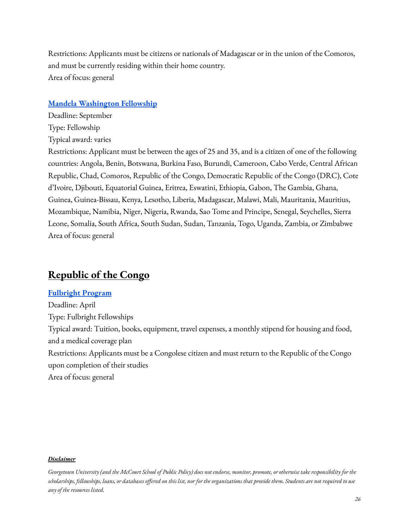Restrictions: Applicants must be citizens or nationals of Madagascar or in the union of the Comoros, and must be currently residing within their home country. Area of focus: general

#### **Mandela [Washington](https://yali.state.gov/mwf/) Fellowship**

Deadline: September Type: Fellowship Typical award: varies

Restrictions: Applicant must be between the ages of 25 and 35, and is a citizen of one of the following countries: Angola, Benin, Botswana, Burkina Faso, Burundi, Cameroon, Cabo Verde, Central African Republic, Chad, Comoros, Republic of the Congo, Democratic Republic of the Congo (DRC), Cote d'Ivoire, Djibouti, Equatorial Guinea, Eritrea, Eswatini, Ethiopia, Gabon, The Gambia, Ghana, Guinea, Guinea-Bissau, Kenya, Lesotho, Liberia, Madagascar, Malawi, Mali, Mauritania, Mauritius, Mozambique, Namibia, Niger, Nigeria, Rwanda, Sao Tome and Principe, Senegal, Seychelles, Sierra Leone, Somalia, South Africa, South Sudan, Sudan, Tanzania, Togo, Uganda, Zambia, or Zimbabwe Area of focus: general

### <span id="page-25-0"></span>**Republic of the Congo**

### **[Fulbright](https://cg.usembassy.gov/fr/education-culture-fr/programme-fulbright-pour-les-etudiants/) Program**

Deadline: April Type: Fulbright Fellowships Typical award: Tuition, books, equipment, travel expenses, a monthly stipend for housing and food, and a medical coverage plan Restrictions: Applicants must be a Congolese citizen and must return to the Republic of the Congo upon completion of their studies Area of focus: general

#### *Disclaimer*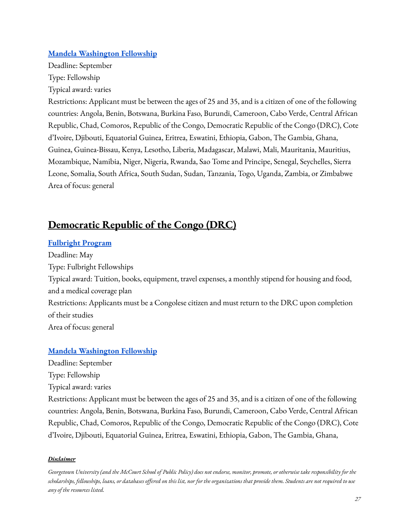### **Mandela [Washington](https://yali.state.gov/mwf/) Fellowship**

Deadline: September Type: Fellowship Typical award: varies

Restrictions: Applicant must be between the ages of 25 and 35, and is a citizen of one of the following countries: Angola, Benin, Botswana, Burkina Faso, Burundi, Cameroon, Cabo Verde, Central African Republic, Chad, Comoros, Republic of the Congo, Democratic Republic of the Congo (DRC), Cote d'Ivoire, Djibouti, Equatorial Guinea, Eritrea, Eswatini, Ethiopia, Gabon, The Gambia, Ghana, Guinea, Guinea-Bissau, Kenya, Lesotho, Liberia, Madagascar, Malawi, Mali, Mauritania, Mauritius, Mozambique, Namibia, Niger, Nigeria, Rwanda, Sao Tome and Principe, Senegal, Seychelles, Sierra Leone, Somalia, South Africa, South Sudan, Sudan, Tanzania, Togo, Uganda, Zambia, or Zimbabwe Area of focus: general

# <span id="page-26-0"></span>**Democratic Republic of the Congo (DRC)**

### **[Fulbright](https://cd.usembassy.gov/education-culture/fulbright-foreign-student-program/) Program**

Deadline: May Type: Fulbright Fellowships Typical award: Tuition, books, equipment, travel expenses, a monthly stipend for housing and food, and a medical coverage plan Restrictions: Applicants must be a Congolese citizen and must return to the DRC upon completion of their studies Area of focus: general

### **Mandela [Washington](https://yali.state.gov/mwf/) Fellowship**

Deadline: September

Type: Fellowship

Typical award: varies

Restrictions: Applicant must be between the ages of 25 and 35, and is a citizen of one of the following countries: Angola, Benin, Botswana, Burkina Faso, Burundi, Cameroon, Cabo Verde, Central African Republic, Chad, Comoros, Republic of the Congo, Democratic Republic of the Congo (DRC), Cote d'Ivoire, Djibouti, Equatorial Guinea, Eritrea, Eswatini, Ethiopia, Gabon, The Gambia, Ghana,

#### *Disclaimer*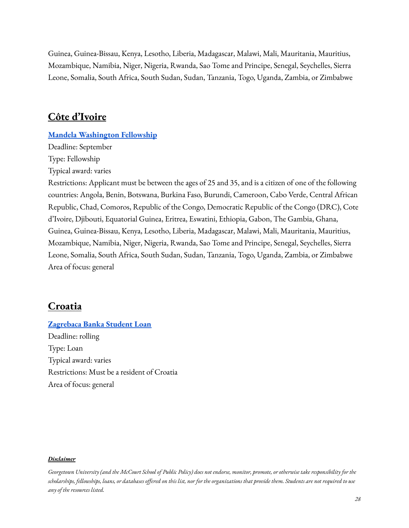Guinea, Guinea-Bissau, Kenya, Lesotho, Liberia, Madagascar, Malawi, Mali, Mauritania, Mauritius, Mozambique, Namibia, Niger, Nigeria, Rwanda, Sao Tome and Principe, Senegal, Seychelles, Sierra Leone, Somalia, South Africa, South Sudan, Sudan, Tanzania, Togo, Uganda, Zambia, or Zimbabwe

### <span id="page-27-0"></span>**Côte d'Ivoire**

#### **Mandela [Washington](https://yali.state.gov/mwf/) Fellowship**

Deadline: September Type: Fellowship Typical award: varies

Restrictions: Applicant must be between the ages of 25 and 35, and is a citizen of one of the following countries: Angola, Benin, Botswana, Burkina Faso, Burundi, Cameroon, Cabo Verde, Central African Republic, Chad, Comoros, Republic of the Congo, Democratic Republic of the Congo (DRC), Cote d'Ivoire, Djibouti, Equatorial Guinea, Eritrea, Eswatini, Ethiopia, Gabon, The Gambia, Ghana, Guinea, Guinea-Bissau, Kenya, Lesotho, Liberia, Madagascar, Malawi, Mali, Mauritania, Mauritius, Mozambique, Namibia, Niger, Nigeria, Rwanda, Sao Tome and Principe, Senegal, Seychelles, Sierra Leone, Somalia, South Africa, South Sudan, Sudan, Tanzania, Togo, Uganda, Zambia, or Zimbabwe Area of focus: general

### <span id="page-27-1"></span>**Croatia**

# **[Zagrebaca](https://www.zaba.hr/home/en/student-loan) Banka Student Loan**

Deadline: rolling Type: Loan Typical award: varies Restrictions: Must be a resident of Croatia Area of focus: general

#### *Disclaimer*

Georgetown University (and the McCourt School of Public Policy) does not endorse, monitor, promote, or otherwise take responsibility for the scholarships, fellowships, loans, or databases offered on this list, nor for the organizations that provide them. Students are not required to use *any of the resources listed.*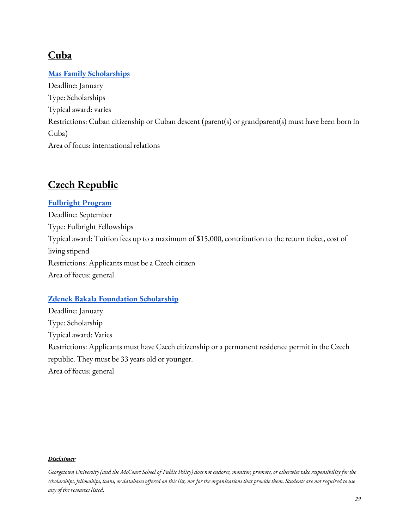# <span id="page-28-0"></span>**Cuba**

### **Mas Family [Scholarships](http://jmcff.org/)**

Deadline: January Type: Scholarships Typical award: varies Restrictions: Cuban citizenship or Cuban descent (parent(s) or grandparent(s) must have been born in Cuba) Area of focus: international relations

# <span id="page-28-1"></span>**Czech Republic**

### **[Fulbright](https://www.fulbright.cz/stipendia/zakladni-informace/) Program**

Deadline: September Type: Fulbright Fellowships Typical award: Tuition fees up to a maximum of \$15,000, contribution to the return ticket, cost of living stipend Restrictions: Applicants must be a Czech citizen Area of focus: general

### **Zdenek Bakala [Foundation](https://www.bakalafoundation.org/programy/scholarship/) Scholarship**

Deadline: January Type: Scholarship Typical award: Varies Restrictions: Applicants must have Czech citizenship or a permanent residence permit in the Czech republic. They must be 33 years old or younger. Area of focus: general

#### *Disclaimer*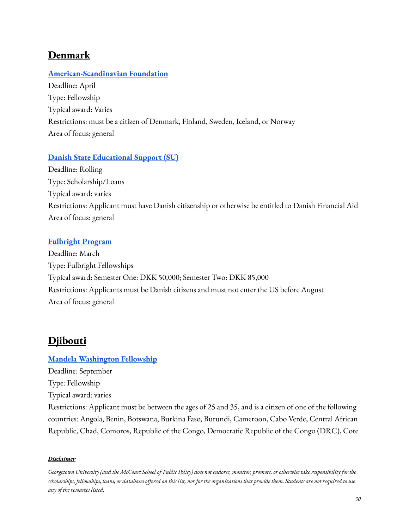# <span id="page-29-0"></span>**Denmark**

### **[American-Scandinavian](https://www.amscan.org/fellowships-and-grants/fellowships-and-grants-for-advanced-study-or-research-in-the-usa/) Foundation**

Deadline: April Type: Fellowship Typical award: Varies Restrictions: must be a citizen of Denmark, Finland, Sweden, Iceland, or Norway Area of focus: general

### **Danish State [Educational](http://www.su.dk/) Support (SU)**

Deadline: Rolling Type: Scholarship/Loans Typical award: varies Restrictions: Applicant must have Danish citizenship or otherwise be entitled to Danish Financial Aid Area of focus: general

### **[Fulbright](https://fulbrightcenter.dk/grantsfordanes/students/fulbright-for-students/) Program**

Deadline: March Type: Fulbright Fellowships Typical award: Semester One: DKK 50,000; Semester Two: DKK 85,000 Restrictions: Applicants must be Danish citizens and must not enter the US before August Area of focus: general

# <span id="page-29-1"></span>**Djibouti**

### **Mandela [Washington](https://yali.state.gov/mwf/) Fellowship**

Deadline: September

Type: Fellowship

Typical award: varies

Restrictions: Applicant must be between the ages of 25 and 35, and is a citizen of one of the following countries: Angola, Benin, Botswana, Burkina Faso, Burundi, Cameroon, Cabo Verde, Central African Republic, Chad, Comoros, Republic of the Congo, Democratic Republic of the Congo (DRC), Cote

#### *Disclaimer*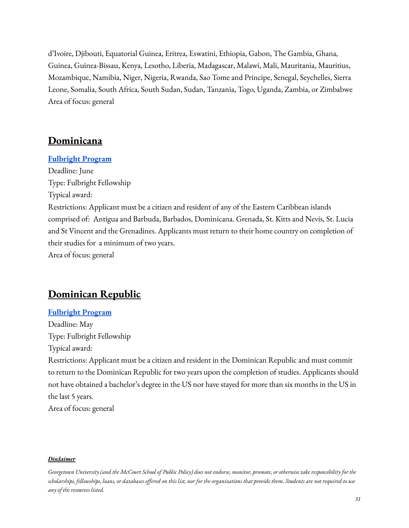d'Ivoire, Djibouti, Equatorial Guinea, Eritrea, Eswatini, Ethiopia, Gabon, The Gambia, Ghana, Guinea, Guinea-Bissau, Kenya, Lesotho, Liberia, Madagascar, Malawi, Mali, Mauritania, Mauritius, Mozambique, Namibia, Niger, Nigeria, Rwanda, Sao Tome and Principe, Senegal, Seychelles, Sierra Leone, Somalia, South Africa, South Sudan, Sudan, Tanzania, Togo, Uganda, Zambia, or Zimbabwe Area of focus: general

### <span id="page-30-0"></span>**Dominicana**

#### **[Fulbright](https://bb.usembassy.gov/education-culture/ec-scholarships/fulbright-scholarship-program/) Program**

Deadline: June Type: Fulbright Fellowship Typical award: Restrictions: Applicant must be a citizen and resident of any of the Eastern Caribbean islands comprised of: Antigua and Barbuda, Barbados, Dominicana. Grenada, St. Kitts and Nevis, St. Lucia and St Vincent and the Grenadines. Applicants must return to their home country on completion of their studies for a minimum of two years. Area of focus: general

# <span id="page-30-1"></span>**Dominican Republic**

#### **[Fulbright](https://do.usembassy.gov/es/education-culture-es/becas-e-intercambios/fulbright/programa-fulbright/) Program**

Deadline: May Type: Fulbright Fellowship Typical award: Restrictions: Applicant must be a citizen and resident in the Dominican Republic and must commit

to return to the Dominican Republic for two years upon the completion of studies. Applicants should not have obtained a bachelor's degree in the US nor have stayed for more than six months in the US in the last 5 years.

Area of focus: general

#### *Disclaimer*

Georgetown University (and the McCourt School of Public Policy) does not endorse, monitor, promote, or otherwise take responsibility for the scholarships, fellowships, loans, or databases offered on this list, nor for the organizations that provide them. Students are not required to use *any of the resources listed.*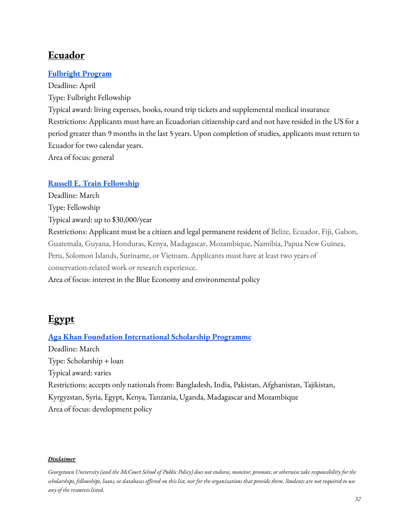### <span id="page-31-0"></span>**Ecuador**

### **[Fulbright](https://www.fulbright.org.ec/wb#/ES/becas-ecuatorianas/6/BecaFulbrightPosgrados) Program**

Deadline: April Type: Fulbright Fellowship Typical award: living expenses, books, round trip tickets and supplemental medical insurance Restrictions: Applicants must have an Ecuadorian citizenship card and not have resided in the US for a period greater than 9 months in the last 5 years. Upon completion of studies, applicants must return to Ecuador for two calendar years. Area of focus: general

### **Russell E. Train [Fellowship](https://www.worldwildlife.org/projects/russell-e-train-fellowships)**

Deadline: March Type: Fellowship Typical award: up to \$30,000/year Restrictions: Applicant must be a citizen and legal permanent resident of Belize, Ecuador, Fiji, Gabon, Guatemala, Guyana, Honduras, Kenya, Madagascar, Mozambique, Namibia, Papua New Guinea, Peru, Solomon Islands, Suriname, or Vietnam. Applicants must have at least two years of conservation-related work or research experience. Area of focus: interest in the Blue Economy and environmental policy

# <span id="page-31-1"></span>**Egypt**

### **Aga Khan Foundation [International](https://www.akdn.org/our-agencies/aga-khan-foundation/international-scholarship-programme) Scholarship Programme**

Deadline: March Type: Scholarship + loan Typical award: varies Restrictions: accepts only nationals from: Bangladesh, India, Pakistan, Afghanistan, Tajikistan, Kyrgyzstan, Syria, Egypt, Kenya, Tanzania, Uganda, Madagascar and Mozambique Area of focus: development policy

#### *Disclaimer*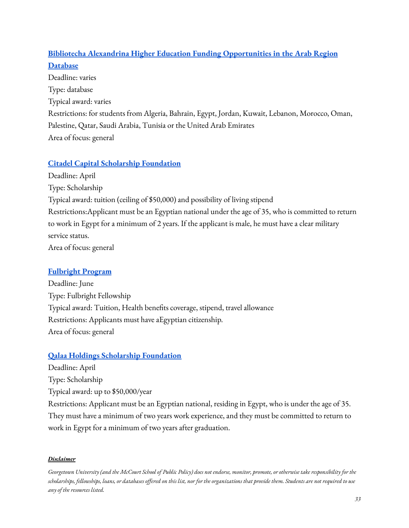### **Bibliotecha Alexandrina Higher Education [Funding Opportunities](http://www.bibalex.org/he_funding/Home/index.aspx) in the Arab Region [Database](http://www.bibalex.org/he_funding/Home/index.aspx)**

Deadline: varies Type: database Typical award: varies Restrictions: for students from Algeria, Bahrain, Egypt, Jordan, Kuwait, Lebanon, Morocco, Oman, Palestine, Qatar, Saudi Arabia, Tunisia or the United Arab Emirates Area of focus: general

### **Citadel Capital Scholarship [Foundation](http://www.bibalex.org/he_funding/Donors/Details.aspx?ID=54)**

Deadline: April Type: Scholarship Typical award: tuition (ceiling of \$50,000) and possibility of living stipend Restrictions:Applicant must be an Egyptian national under the age of 35, who is committed to return to work in Egypt for a minimum of 2 years. If the applicant is male, he must have a clear military service status. Area of focus: general

### **[Fulbright](https://fulbright-egypt.org/program/student/) Program**

Deadline: June Type: Fulbright Fellowship Typical award: Tuition, Health benefits coverage, stipend, travel allowance Restrictions: Applicants must have aEgyptian citizenship. Area of focus: general

### **Qalaa Holdings Scholarship [Foundation](http://qalaascholarships.org/)**

Deadline: April

Type: Scholarship

Typical award: up to \$50,000/year

Restrictions: Applicant must be an Egyptian national, residing in Egypt, who is under the age of 35. They must have a minimum of two years work experience, and they must be committed to return to work in Egypt for a minimum of two years after graduation.

### *Disclaimer*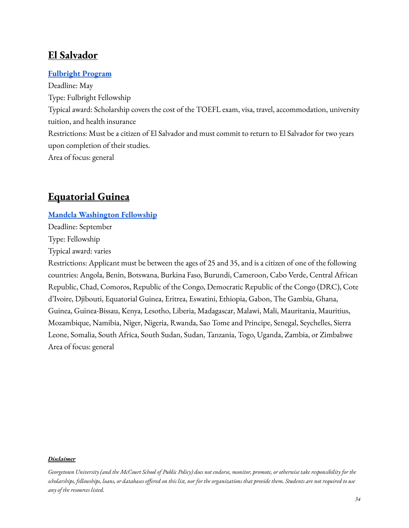# <span id="page-33-0"></span>**El Salvador**

### **[Fulbright](https://sv.usembassy.gov/es/education-culture-es/study-usa-es/aceptando-solicitudes-en-estos-momentos/) Program**

Deadline: May Type: Fulbright Fellowship Typical award: Scholarship covers the cost of the TOEFL exam, visa, travel, accommodation, university tuition, and health insurance Restrictions: Must be a citizen of El Salvador and must commit to return to El Salvador for two years upon completion of their studies. Area of focus: general

# <span id="page-33-1"></span>**Equatorial Guinea**

#### **Mandela [Washington](https://yali.state.gov/mwf/) Fellowship**

Deadline: September

Type: Fellowship

Typical award: varies

Restrictions: Applicant must be between the ages of 25 and 35, and is a citizen of one of the following countries: Angola, Benin, Botswana, Burkina Faso, Burundi, Cameroon, Cabo Verde, Central African Republic, Chad, Comoros, Republic of the Congo, Democratic Republic of the Congo (DRC), Cote d'Ivoire, Djibouti, Equatorial Guinea, Eritrea, Eswatini, Ethiopia, Gabon, The Gambia, Ghana, Guinea, Guinea-Bissau, Kenya, Lesotho, Liberia, Madagascar, Malawi, Mali, Mauritania, Mauritius, Mozambique, Namibia, Niger, Nigeria, Rwanda, Sao Tome and Principe, Senegal, Seychelles, Sierra Leone, Somalia, South Africa, South Sudan, Sudan, Tanzania, Togo, Uganda, Zambia, or Zimbabwe Area of focus: general

#### *Disclaimer*

Georgetown University (and the McCourt School of Public Policy) does not endorse, monitor, promote, or otherwise take responsibility for the scholarships, fellowships, loans, or databases offered on this list, nor for the organizations that provide them. Students are not required to use *any of the resources listed.*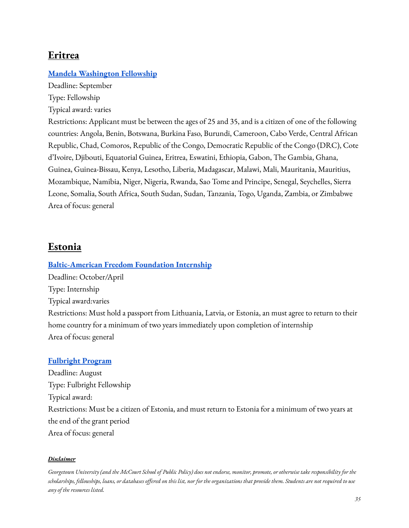# <span id="page-34-0"></span>**Eritrea**

### **Mandela [Washington](https://yali.state.gov/mwf/) Fellowship**

Deadline: September Type: Fellowship

Typical award: varies

Restrictions: Applicant must be between the ages of 25 and 35, and is a citizen of one of the following countries: Angola, Benin, Botswana, Burkina Faso, Burundi, Cameroon, Cabo Verde, Central African Republic, Chad, Comoros, Republic of the Congo, Democratic Republic of the Congo (DRC), Cote d'Ivoire, Djibouti, Equatorial Guinea, Eritrea, Eswatini, Ethiopia, Gabon, The Gambia, Ghana, Guinea, Guinea-Bissau, Kenya, Lesotho, Liberia, Madagascar, Malawi, Mali, Mauritania, Mauritius, Mozambique, Namibia, Niger, Nigeria, Rwanda, Sao Tome and Principe, Senegal, Seychelles, Sierra Leone, Somalia, South Africa, South Sudan, Sudan, Tanzania, Togo, Uganda, Zambia, or Zimbabwe Area of focus: general

# <span id="page-34-1"></span>**Estonia**

### **[Baltic-American](https://balticamericanfreedomfoundation.org/programs-awards-internship/) Freedom Foundation Internship**

Deadline: October/April Type: Internship Typical award:varies Restrictions: Must hold a passport from Lithuania, Latvia, or Estonia, an must agree to return to their home country for a minimum of two years immediately upon completion of internship

# **[Fulbright](https://ee.usembassy.gov/education-culture/exchange-programs/fulbright-program/) Program**

Area of focus: general

Deadline: August Type: Fulbright Fellowship Typical award: Restrictions: Must be a citizen of Estonia, and must return to Estonia for a minimum of two years at the end of the grant period Area of focus: general

#### *Disclaimer*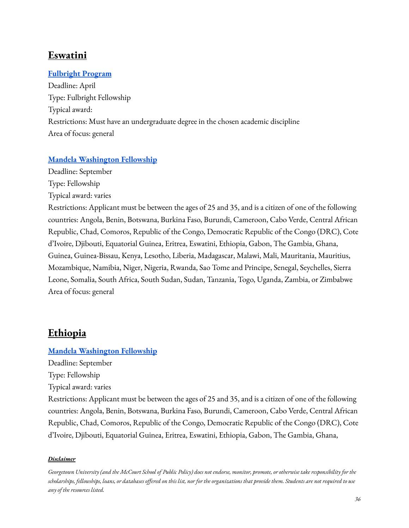# <span id="page-35-0"></span>**Eswatini**

### **[Fulbright](https://sz.usembassy.gov/education-culture/fulbright-program/) Program**

Deadline: April Type: Fulbright Fellowship Typical award: Restrictions: Must have an undergraduate degree in the chosen academic discipline Area of focus: general

### **Mandela [Washington](https://yali.state.gov/mwf/) Fellowship**

Deadline: September Type: Fellowship

Typical award: varies

Restrictions: Applicant must be between the ages of 25 and 35, and is a citizen of one of the following countries: Angola, Benin, Botswana, Burkina Faso, Burundi, Cameroon, Cabo Verde, Central African Republic, Chad, Comoros, Republic of the Congo, Democratic Republic of the Congo (DRC), Cote d'Ivoire, Djibouti, Equatorial Guinea, Eritrea, Eswatini, Ethiopia, Gabon, The Gambia, Ghana, Guinea, Guinea-Bissau, Kenya, Lesotho, Liberia, Madagascar, Malawi, Mali, Mauritania, Mauritius, Mozambique, Namibia, Niger, Nigeria, Rwanda, Sao Tome and Principe, Senegal, Seychelles, Sierra Leone, Somalia, South Africa, South Sudan, Sudan, Tanzania, Togo, Uganda, Zambia, or Zimbabwe Area of focus: general

# <span id="page-35-1"></span>**Ethiopia**

### **Mandela [Washington](https://yali.state.gov/mwf/) Fellowship**

Deadline: September

Type: Fellowship

Typical award: varies

Restrictions: Applicant must be between the ages of 25 and 35, and is a citizen of one of the following countries: Angola, Benin, Botswana, Burkina Faso, Burundi, Cameroon, Cabo Verde, Central African Republic, Chad, Comoros, Republic of the Congo, Democratic Republic of the Congo (DRC), Cote d'Ivoire, Djibouti, Equatorial Guinea, Eritrea, Eswatini, Ethiopia, Gabon, The Gambia, Ghana,

#### *Disclaimer*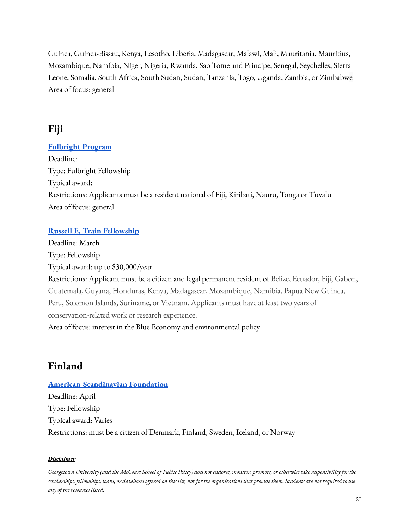Guinea, Guinea-Bissau, Kenya, Lesotho, Liberia, Madagascar, Malawi, Mali, Mauritania, Mauritius, Mozambique, Namibia, Niger, Nigeria, Rwanda, Sao Tome and Principe, Senegal, Seychelles, Sierra Leone, Somalia, South Africa, South Sudan, Sudan, Tanzania, Togo, Uganda, Zambia, or Zimbabwe Area of focus: general

# **Fiji**

## **[Fulbright](https://fj.usembassy.gov/education-culture/study-usa/j-william-fulbright-foreign-student-scholarship/) Program**

Deadline: Type: Fulbright Fellowship Typical award: Restrictions: Applicants must be a resident national of Fiji, Kiribati, Nauru, Tonga or Tuvalu Area of focus: general

## **Russell E. Train [Fellowship](https://www.worldwildlife.org/projects/russell-e-train-fellowships)**

Deadline: March Type: Fellowship Typical award: up to \$30,000/year Restrictions: Applicant must be a citizen and legal permanent resident of Belize, Ecuador, Fiji, Gabon, Guatemala, Guyana, Honduras, Kenya, Madagascar, Mozambique, Namibia, Papua New Guinea, Peru, Solomon Islands, Suriname, or Vietnam. Applicants must have at least two years of conservation-related work or research experience. Area of focus: interest in the Blue Economy and environmental policy

# **Finland**

**[American-Scandinavian](https://www.amscan.org/fellowships-and-grants/fellowships-and-grants-for-advanced-study-or-research-in-the-usa/) Foundation** Deadline: April Type: Fellowship Typical award: Varies Restrictions: must be a citizen of Denmark, Finland, Sweden, Iceland, or Norway

#### *Disclaimer*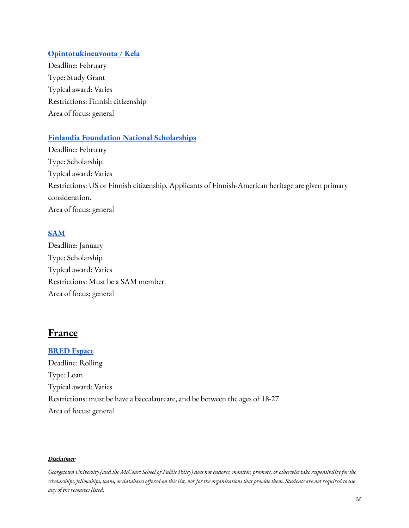## **[Opintotukineuvonta](https://www.kela.fi/opintotuki) / Kela**

Deadline: February Type: Study Grant Typical award: Varies Restrictions: Finnish citizenship Area of focus: general

## **Finlandia Foundation National [Scholarships](https://finlandiafoundation.org/programs/scholarships/)**

Deadline: February Type: Scholarship Typical award: Varies Restrictions: US or Finnish citizenship. Applicants of Finnish-American heritage are given primary consideration. Area of focus: general

## **[SAM](https://samsuomi.fi/apurahat/)**

Deadline: January Type: Scholarship Typical award: Varies Restrictions: Must be a SAM member. Area of focus: general

## **France**

**[BRED](https://www.bredespace.com/fr/etudiants/pret-etudiant) Espace** Deadline: Rolling Type: Loan Typical award: Varies Restrictions: must be have a baccalaureate, and be between the ages of 18-27 Area of focus: general

#### *Disclaimer*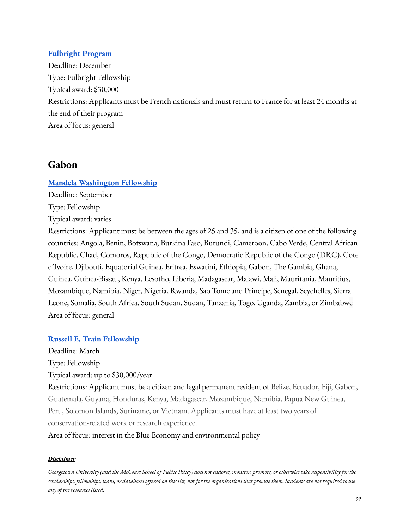### **[Fulbright](https://fulbright-france.org/fr/bourses-fulbright-partenaires/programmes/etudiants/programme-etudiant) Program**

Deadline: December Type: Fulbright Fellowship Typical award: \$30,000 Restrictions: Applicants must be French nationals and must return to France for at least 24 months at the end of their program Area of focus: general

## **Gabon**

## **Mandela [Washington](https://yali.state.gov/mwf/) Fellowship**

Deadline: September

Type: Fellowship

Typical award: varies

Restrictions: Applicant must be between the ages of 25 and 35, and is a citizen of one of the following countries: Angola, Benin, Botswana, Burkina Faso, Burundi, Cameroon, Cabo Verde, Central African Republic, Chad, Comoros, Republic of the Congo, Democratic Republic of the Congo (DRC), Cote d'Ivoire, Djibouti, Equatorial Guinea, Eritrea, Eswatini, Ethiopia, Gabon, The Gambia, Ghana, Guinea, Guinea-Bissau, Kenya, Lesotho, Liberia, Madagascar, Malawi, Mali, Mauritania, Mauritius, Mozambique, Namibia, Niger, Nigeria, Rwanda, Sao Tome and Principe, Senegal, Seychelles, Sierra Leone, Somalia, South Africa, South Sudan, Sudan, Tanzania, Togo, Uganda, Zambia, or Zimbabwe Area of focus: general

#### **Russell E. Train [Fellowship](https://www.worldwildlife.org/projects/russell-e-train-fellowships)**

Deadline: March

Type: Fellowship

Typical award: up to \$30,000/year

Restrictions: Applicant must be a citizen and legal permanent resident of Belize, Ecuador, Fiji, Gabon, Guatemala, Guyana, Honduras, Kenya, Madagascar, Mozambique, Namibia, Papua New Guinea, Peru, Solomon Islands, Suriname, or Vietnam. Applicants must have at least two years of conservation-related work or research experience.

Area of focus: interest in the Blue Economy and environmental policy

#### *Disclaimer*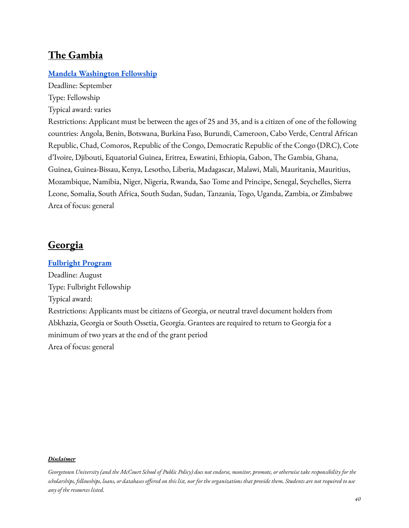## **The Gambia**

## **Mandela [Washington](https://yali.state.gov/mwf/) Fellowship**

Deadline: September Type: Fellowship

Typical award: varies

Restrictions: Applicant must be between the ages of 25 and 35, and is a citizen of one of the following countries: Angola, Benin, Botswana, Burkina Faso, Burundi, Cameroon, Cabo Verde, Central African Republic, Chad, Comoros, Republic of the Congo, Democratic Republic of the Congo (DRC), Cote d'Ivoire, Djibouti, Equatorial Guinea, Eritrea, Eswatini, Ethiopia, Gabon, The Gambia, Ghana, Guinea, Guinea-Bissau, Kenya, Lesotho, Liberia, Madagascar, Malawi, Mali, Mauritania, Mauritius, Mozambique, Namibia, Niger, Nigeria, Rwanda, Sao Tome and Principe, Senegal, Seychelles, Sierra Leone, Somalia, South Africa, South Sudan, Sudan, Tanzania, Togo, Uganda, Zambia, or Zimbabwe Area of focus: general

## **Georgia**

# **[Fulbright](https://ge.usembassy.gov/education-culture/exchange-programs/fulbright-graduate-student-program-announcement/) Program** Deadline: August Type: Fulbright Fellowship Typical award: Restrictions: Applicants must be citizens of Georgia, or neutral travel document holders from Abkhazia, Georgia or South Ossetia, Georgia. Grantees are required to return to Georgia for a minimum of two years at the end of the grant period Area of focus: general

#### *Disclaimer*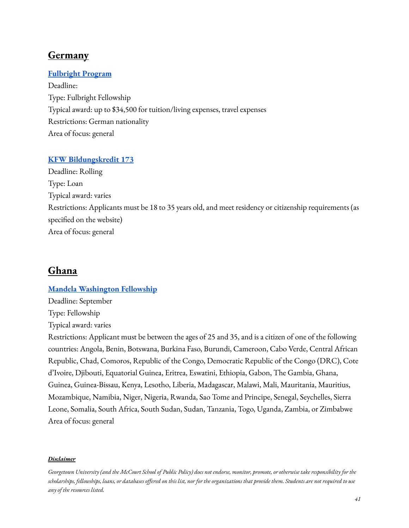## **Germany**

### **[Fulbright](https://www.fulbright.de/programs-for-germans/studierende-und-graduierte/studienstipendien-alle-disziplinen) Program**

Deadline: Type: Fulbright Fellowship Typical award: up to \$34,500 for tuition/living expenses, travel expenses Restrictions: German nationality Area of focus: general

#### **KFW [Bildungskredit](https://www.kfw.de/inlandsfoerderung/Privatpersonen/Studieren-Qualifizieren/F%C3%B6rderprodukte/Bildungskredit-(173)/?redirect=649474) 173**

Deadline: Rolling Type: Loan Typical award: varies Restrictions: Applicants must be 18 to 35 years old, and meet residency or citizenship requirements (as specified on the website) Area of focus: general

## **Ghana**

#### **Mandela [Washington](https://yali.state.gov/mwf/) Fellowship**

Deadline: September Type: Fellowship Typical award: varies

Restrictions: Applicant must be between the ages of 25 and 35, and is a citizen of one of the following countries: Angola, Benin, Botswana, Burkina Faso, Burundi, Cameroon, Cabo Verde, Central African Republic, Chad, Comoros, Republic of the Congo, Democratic Republic of the Congo (DRC), Cote d'Ivoire, Djibouti, Equatorial Guinea, Eritrea, Eswatini, Ethiopia, Gabon, The Gambia, Ghana, Guinea, Guinea-Bissau, Kenya, Lesotho, Liberia, Madagascar, Malawi, Mali, Mauritania, Mauritius, Mozambique, Namibia, Niger, Nigeria, Rwanda, Sao Tome and Principe, Senegal, Seychelles, Sierra Leone, Somalia, South Africa, South Sudan, Sudan, Tanzania, Togo, Uganda, Zambia, or Zimbabwe Area of focus: general

#### *Disclaimer*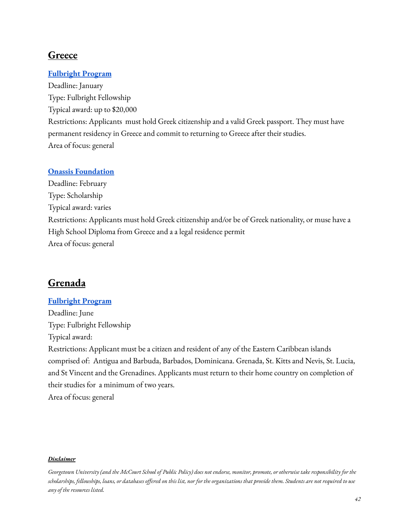## **Greece**

### **[Fulbright](https://www.fulbright.gr/en/scholarships-for-greek-citizens/programs/fulbright-foreign-student-program-graduate-students) Program**

Deadline: January Type: Fulbright Fellowship Typical award: up to \$20,000 Restrictions: Applicants must hold Greek citizenship and a valid Greek passport. They must have permanent residency in Greece and commit to returning to Greece after their studies. Area of focus: general

#### **Onassis [Foundation](https://www.onassis.org/open-calls/onassis-foundation-scholarships-call-for-the-academic-year-2022-23/)**

Deadline: February Type: Scholarship Typical award: varies Restrictions: Applicants must hold Greek citizenship and/or be of Greek nationality, or muse have a High School Diploma from Greece and a a legal residence permit Area of focus: general

## **Grenada**

#### **[Fulbright](https://bb.usembassy.gov/education-culture/ec-scholarships/fulbright-scholarship-program/) Program**

Deadline: June Type: Fulbright Fellowship Typical award: Restrictions: Applicant must be a citizen and resident of any of the Eastern Caribbean islands comprised of: Antigua and Barbuda, Barbados, Dominicana. Grenada, St. Kitts and Nevis, St. Lucia, and St Vincent and the Grenadines. Applicants must return to their home country on completion of their studies for a minimum of two years. Area of focus: general

#### *Disclaimer*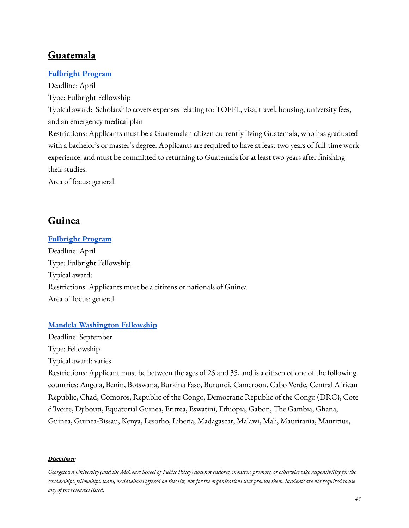# **Guatemala**

## **[Fulbright](https://gt.usembassy.gov/education-culture/fulbright/fulbright-foreign-student/) Program**

Deadline: April Type: Fulbright Fellowship Typical award: Scholarship covers expenses relating to: TOEFL, visa, travel, housing, university fees, and an emergency medical plan Restrictions: Applicants must be a Guatemalan citizen currently living Guatemala, who has graduated with a bachelor's or master's degree. Applicants are required to have at least two years of full-time work experience, and must be committed to returning to Guatemala for at least two years after finishing their studies.

Area of focus: general

## **Guinea**

## **[Fulbright](https://gn.usembassy.gov/fulbright-scholarship/) Program**

Deadline: April Type: Fulbright Fellowship Typical award: Restrictions: Applicants must be a citizens or nationals of Guinea Area of focus: general

## **Mandela [Washington](https://yali.state.gov/mwf/) Fellowship**

Deadline: September Type: Fellowship Typical award: varies

Restrictions: Applicant must be between the ages of 25 and 35, and is a citizen of one of the following countries: Angola, Benin, Botswana, Burkina Faso, Burundi, Cameroon, Cabo Verde, Central African Republic, Chad, Comoros, Republic of the Congo, Democratic Republic of the Congo (DRC), Cote d'Ivoire, Djibouti, Equatorial Guinea, Eritrea, Eswatini, Ethiopia, Gabon, The Gambia, Ghana, Guinea, Guinea-Bissau, Kenya, Lesotho, Liberia, Madagascar, Malawi, Mali, Mauritania, Mauritius,

#### *Disclaimer*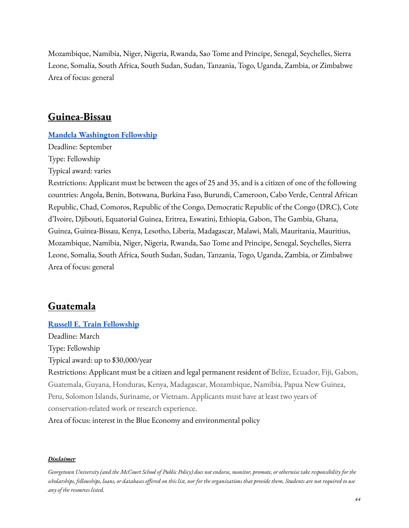Mozambique, Namibia, Niger, Nigeria, Rwanda, Sao Tome and Principe, Senegal, Seychelles, Sierra Leone, Somalia, South Africa, South Sudan, Sudan, Tanzania, Togo, Uganda, Zambia, or Zimbabwe Area of focus: general

## **Guinea-Bissau**

#### **Mandela [Washington](https://yali.state.gov/mwf/) Fellowship**

Deadline: September Type: Fellowship Typical award: varies

Restrictions: Applicant must be between the ages of 25 and 35, and is a citizen of one of the following countries: Angola, Benin, Botswana, Burkina Faso, Burundi, Cameroon, Cabo Verde, Central African Republic, Chad, Comoros, Republic of the Congo, Democratic Republic of the Congo (DRC), Cote d'Ivoire, Djibouti, Equatorial Guinea, Eritrea, Eswatini, Ethiopia, Gabon, The Gambia, Ghana, Guinea, Guinea-Bissau, Kenya, Lesotho, Liberia, Madagascar, Malawi, Mali, Mauritania, Mauritius, Mozambique, Namibia, Niger, Nigeria, Rwanda, Sao Tome and Principe, Senegal, Seychelles, Sierra Leone, Somalia, South Africa, South Sudan, Sudan, Tanzania, Togo, Uganda, Zambia, or Zimbabwe Area of focus: general

## **Guatemala**

#### **Russell E. Train [Fellowship](https://www.worldwildlife.org/projects/russell-e-train-fellowships)**

Deadline: March Type: Fellowship Typical award: up to \$30,000/year Restrictions: Applicant must be a citizen and legal permanent resident of Belize, Ecuador, Fiji, Gabon, Guatemala, Guyana, Honduras, Kenya, Madagascar, Mozambique, Namibia, Papua New Guinea, Peru, Solomon Islands, Suriname, or Vietnam. Applicants must have at least two years of conservation-related work or research experience. Area of focus: interest in the Blue Economy and environmental policy

#### *Disclaimer*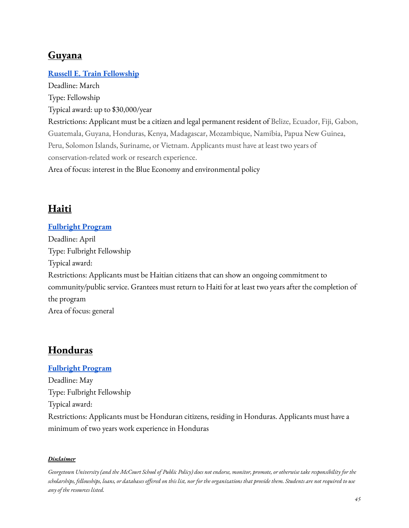# **Guyana**

## **Russell E. Train [Fellowship](https://www.worldwildlife.org/projects/russell-e-train-fellowships)**

Deadline: March Type: Fellowship Typical award: up to \$30,000/year Restrictions: Applicant must be a citizen and legal permanent resident of Belize, Ecuador, Fiji, Gabon, Guatemala, Guyana, Honduras, Kenya, Madagascar, Mozambique, Namibia, Papua New Guinea, Peru, Solomon Islands, Suriname, or Vietnam. Applicants must have at least two years of conservation-related work or research experience. Area of focus: interest in the Blue Economy and environmental policy

# **Haiti**

#### **[Fulbright](https://ht.usembassy.gov/education-culture/academic-professional-exchanges/) Program**

Deadline: April Type: Fulbright Fellowship Typical award: Restrictions: Applicants must be Haitian citizens that can show an ongoing commitment to community/public service. Grantees must return to Haiti for at least two years after the completion of the program Area of focus: general

## **Honduras**

### **[Fulbright](https://hn.usembassy.gov/es/education-culture-es/fulbright-graduate-es/) Program**

Deadline: May Type: Fulbright Fellowship Typical award: Restrictions: Applicants must be Honduran citizens, residing in Honduras. Applicants must have a minimum of two years work experience in Honduras

#### *Disclaimer*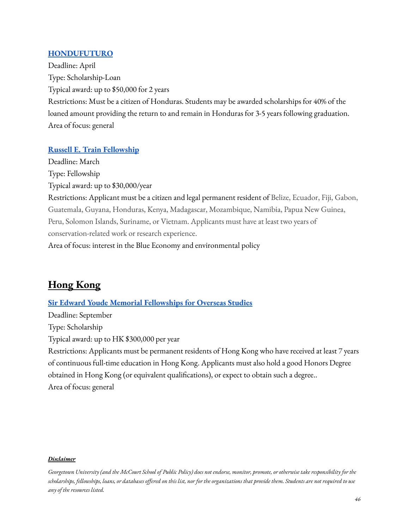### **[HONDUFUTURO](https://www.hondufuturo.org/)**

Deadline: April Type: Scholarship-Loan Typical award: up to \$50,000 for 2 years Restrictions: Must be a citizen of Honduras. Students may be awarded scholarships for 40% of the loaned amount providing the return to and remain in Honduras for 3-5 years following graduation. Area of focus: general

### **Russell E. Train [Fellowship](https://www.worldwildlife.org/projects/russell-e-train-fellowships)**

Deadline: March Type: Fellowship Typical award: up to \$30,000/year Restrictions: Applicant must be a citizen and legal permanent resident of Belize, Ecuador, Fiji, Gabon, Guatemala, Guyana, Honduras, Kenya, Madagascar, Mozambique, Namibia, Papua New Guinea, Peru, Solomon Islands, Suriname, or Vietnam. Applicants must have at least two years of conservation-related work or research experience. Area of focus: interest in the Blue Economy and environmental policy

# **Hong Kong**

**Sir Edward Youde Memorial [Fellowships](https://www.wfsfaa.gov.hk/sfo/seymf/en/whatwedo/fellowships_overseas.htm) for Overseas Studies**

Deadline: September Type: Scholarship Typical award: up to HK \$300,000 per year Restrictions: Applicants must be permanent residents of Hong Kong who have received at least 7 years of continuous full-time education in Hong Kong. Applicants must also hold a good Honors Degree obtained in Hong Kong (or equivalent qualifications), or expect to obtain such a degree.. Area of focus: general

#### *Disclaimer*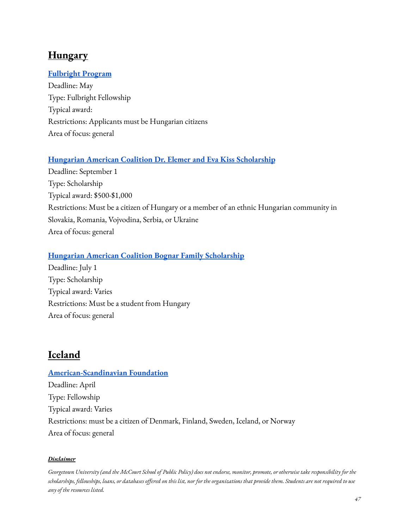# **Hungary**

## **[Fulbright](http://www.fulbright.hu/) Program**

Deadline: May Type: Fulbright Fellowship Typical award: Restrictions: Applicants must be Hungarian citizens Area of focus: general

## **Hungarian American Coalition Dr. Elemer and Eva Kiss [Scholarship](https://hacusa.eu/dr-elemer-and-eva-kiss-scholarship-fund/)**

Deadline: September 1 Type: Scholarship Typical award: \$500-\$1,000 Restrictions: Must be a citizen of Hungary or a member of an ethnic Hungarian community in Slovakia, Romania, Vojvodina, Serbia, or Ukraine Area of focus: general

## **Hungarian American Coalition Bognar Family [Scholarship](https://hacusa.eu/the-bognar-family-hungarian-scholarship-fund/)**

Deadline: July 1 Type: Scholarship Typical award: Varies Restrictions: Must be a student from Hungary Area of focus: general

# **Iceland**

# **[American-Scandinavian](https://www.amscan.org/fellowships-and-grants/fellowships-and-grants-for-advanced-study-or-research-in-the-usa/) Foundation** Deadline: April Type: Fellowship Typical award: Varies Restrictions: must be a citizen of Denmark, Finland, Sweden, Iceland, or Norway Area of focus: general

#### *Disclaimer*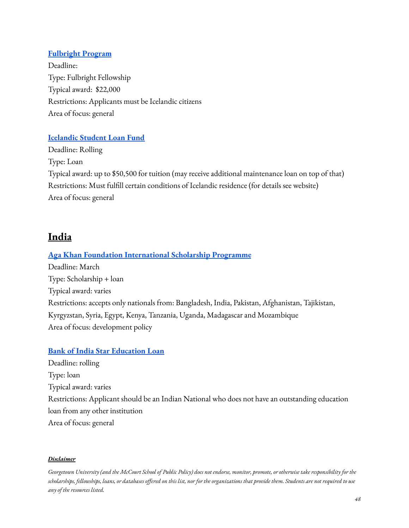## **[Fulbright](https://fulbright.is/grants-to-the-us/framhaldsnam/) Program**

Deadline: Type: Fulbright Fellowship Typical award: \$22,000 Restrictions: Applicants must be Icelandic citizens Area of focus: general

## **[Icelandic](https://www.lin.is/english/) Student Loan Fund**

Deadline: Rolling Type: Loan Typical award: up to \$50,500 for tuition (may receive additional maintenance loan on top of that) Restrictions: Must fulfill certain conditions of Icelandic residence (for details see website) Area of focus: general

## **India**

## **Aga Khan Foundation [International](https://www.akdn.org/our-agencies/aga-khan-foundation/international-scholarship-programme) Scholarship Programme**

Deadline: March Type: Scholarship + loan Typical award: varies Restrictions: accepts only nationals from: Bangladesh, India, Pakistan, Afghanistan, Tajikistan, Kyrgyzstan, Syria, Egypt, Kenya, Tanzania, Uganda, Madagascar and Mozambique Area of focus: development policy

#### **Bank of India Star [Education](https://bankofindia.co.in/EducationLoan) Loan**

Deadline: rolling Type: loan Typical award: varies Restrictions: Applicant should be an Indian National who does not have an outstanding education loan from any other institution Area of focus: general

#### *Disclaimer*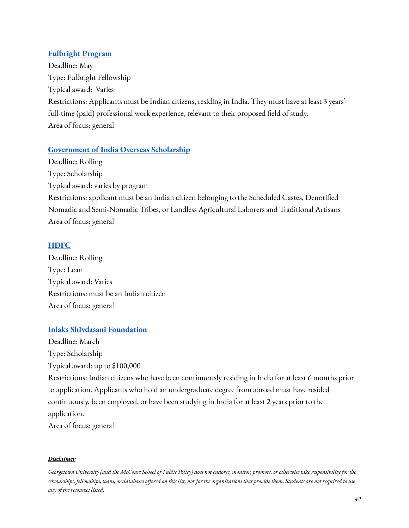## **[Fulbright](https://www.usief.org.in/Fellowships/Fulbright-Nehru-Fellowships.aspx) Program**

Deadline: May Type: Fulbright Fellowship Typical award: Varies Restrictions: Applicants must be Indian citizens, residing in India. They must have at least 3 years' full-time (paid) professional work experience, relevant to their proposed field of study. Area of focus: general

## **[Government](http://socialjustice.nic.in/SchemeList/Send/28?mid=24541) of India Overseas Scholarship**

Deadline: Rolling Type: Scholarship Typical award: varies by program Restrictions: applicant must be an Indian citizen belonging to the Scheduled Castes, Denotified Nomadic and Semi-Nomadic Tribes, or Landless Agricultural Laborers and Traditional Artisans Area of focus: general

## **[HDFC](https://www.hdfcbank.com/personal/borrow/popular-loans/educational-loan/education-loan-for-foreign-education)**

Deadline: Rolling Type: Loan Typical award: Varies Restrictions: must be an Indian citizen Area of focus: general

## **Inlaks Shivdasani [Foundation](http://www.inlaksfoundation.org/scholarships/)**

Deadline: March Type: Scholarship Typical award: up to \$100,000

Restrictions: Indian citizens who have been continuously residing in India for at least 6 months prior to application. Applicants who hold an undergraduate degree from abroad must have resided continuously, been employed, or have been studying in India for at least 2 years prior to the application.

Area of focus: general

#### *Disclaimer*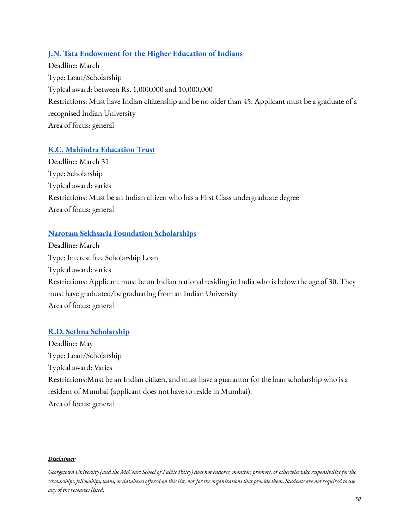## **J.N. Tata [Endowment](http://www.jntataendowment.org/loan-scholarship-process) for the Higher Education of Indians**

Deadline: March Type: Loan/Scholarship Typical award: between Rs. 1,000,000 and 10,000,000 Restrictions: Must have Indian citizenship and be no older than 45. Applicant must be a graduate of a recognised Indian University Area of focus: general

## **K.C. Mahindra [Education](https://www.kcmet.org/what-we-do-Scholarship-Grants.aspx) Trust**

Deadline: March 31 Type: Scholarship Typical award: varies Restrictions: Must be an Indian citizen who has a First Class undergraduate degree Area of focus: general

## **Narotam Sekhsaria Foundation [Scholarships](https://pg.nsfoundation.co.in/)**

Deadline: March Type: Interest free Scholarship Loan Typical award: varies Restrictions: Applicant must be an Indian national residing in India who is below the age of 30. They must have graduated/be graduating from an Indian University Area of focus: general

## **R.D. Sethna [Scholarship](https://www.rdsethnascholarships.org/)**

Deadline: May Type: Loan/Scholarship Typical award: Varies Restrictions:Must be an Indian citizen, and must have a guarantor for the loan scholarship who is a resident of Mumbai (applicant does not have to reside in Mumbai). Area of focus: general

#### *Disclaimer*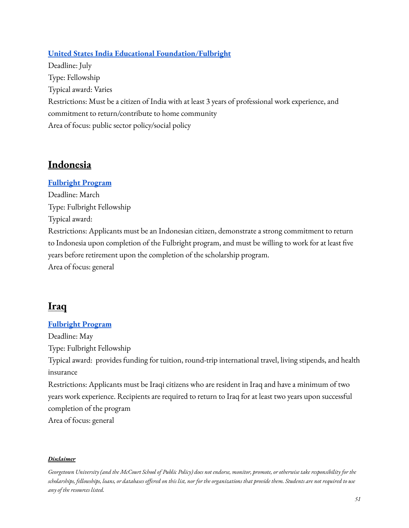## **United States India Educational [Foundation/Fulbright](http://www.usief.org.in/Fellowships.aspx)**

Deadline: July Type: Fellowship Typical award: Varies Restrictions: Must be a citizen of India with at least 3 years of professional work experience, and commitment to return/contribute to home community Area of focus: public sector policy/social policy

## **Indonesia**

## **[Fulbright](https://www.aminef.or.id/grants-for-indonesians/fulbright-programs/scholarship/fulbright-masters-degree-scholarship/) Program**

Deadline: March Type: Fulbright Fellowship Typical award: Restrictions: Applicants must be an Indonesian citizen, demonstrate a strong commitment to return to Indonesia upon completion of the Fulbright program, and must be willing to work for at least five years before retirement upon the completion of the scholarship program. Area of focus: general

## **Iraq**

## **[Fulbright](https://iq.usembassy.gov/education-culture/exchange-programs/fulbright-foreign-student-program/) Program**

Deadline: May Type: Fulbright Fellowship Typical award: provides funding for tuition, round-trip international travel, living stipends, and health insurance

Restrictions: Applicants must be Iraqi citizens who are resident in Iraq and have a minimum of two years work experience. Recipients are required to return to Iraq for at least two years upon successful completion of the program

Area of focus: general

#### *Disclaimer*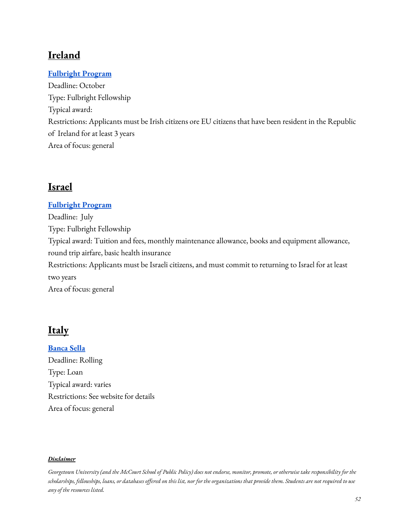# **Ireland**

## **[Fulbright](https://www.fulbright.ie/going-to-the-usa/fulbright-irish-student-awards/) Program**

Deadline: October Type: Fulbright Fellowship Typical award: Restrictions: Applicants must be Irish citizens ore EU citizens that have been resident in the Republic of Ireland for at least 3 years Area of focus: general

## **Israel**

### **[Fulbright](https://fulbright.org.il/program/1/33) Program**

Deadline: July Type: Fulbright Fellowship Typical award: Tuition and fees, monthly maintenance allowance, books and equipment allowance, round trip airfare, basic health insurance Restrictions: Applicants must be Israeli citizens, and must commit to returning to Israel for at least two years Area of focus: general

## **Italy**

**[Banca](https://www.sella.it/banca-on-line/privati/finanziamenti/prestiti/prestito-d-onore) Sella** Deadline: Rolling Type: Loan Typical award: varies Restrictions: See website for details Area of focus: general

#### *Disclaimer*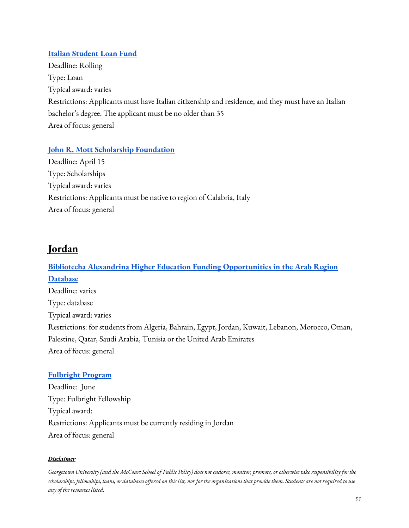## **Italian [Student](http://www.fondostudentiitaliani.it/) Loan Fund**

Deadline: Rolling Type: Loan Typical award: varies Restrictions: Applicants must have Italian citizenship and residence, and they must have an Italian bachelor's degree. The applicant must be no older than 35 Area of focus: general

## **John R. Mott Scholarship [Foundation](http://www.mottscholarship.org/scholar/eligibility-EN.asp)**

Deadline: April 15 Type: Scholarships Typical award: varies Restrictions: Applicants must be native to region of Calabria, Italy Area of focus: general

# **Jordan**

# **Bibliotecha Alexandrina Higher Education [Funding Opportunities](http://www.bibalex.org/he_funding/Home/index.aspx) in the Arab Region [Database](http://www.bibalex.org/he_funding/Home/index.aspx)** Deadline: varies Type: database Typical award: varies Restrictions: for students from Algeria, Bahrain, Egypt, Jordan, Kuwait, Lebanon, Morocco, Oman, Palestine, Qatar, Saudi Arabia, Tunisia or the United Arab Emirates Area of focus: general

#### **[Fulbright](https://www.fulbright-jordan.org/jordanian-programs/jordanian-student-scholarship) Program**

Deadline: June Type: Fulbright Fellowship Typical award: Restrictions: Applicants must be currently residing in Jordan Area of focus: general

#### *Disclaimer*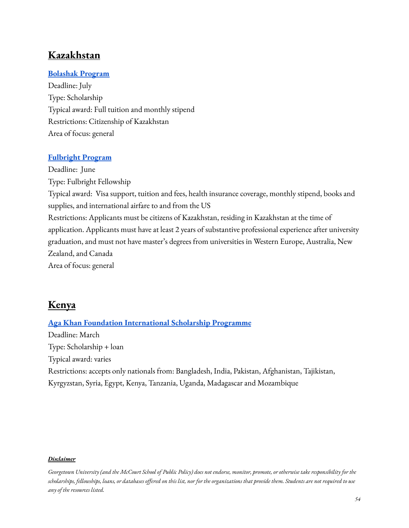## **Kazakhstan**

### **[Bolashak](https://bolashak.gov.kz/en/o-stipendii/istoriya-razvitiya.html) Program**

Deadline: July Type: Scholarship Typical award: Full tuition and monthly stipend Restrictions: Citizenship of Kazakhstan Area of focus: general

### **[Fulbright](https://kz.usembassy.gov/education-culture/opportunities/fulbright/fulbright-program/?_ga=2.205636117.746146329.1644521506-1093378583.1644521506) Program**

Deadline: June Type: Fulbright Fellowship Typical award: Visa support, tuition and fees, health insurance coverage, monthly stipend, books and supplies, and international airfare to and from the US Restrictions: Applicants must be citizens of Kazakhstan, residing in Kazakhstan at the time of application. Applicants must have at least 2 years of substantive professional experience after university graduation, and must not have master's degrees from universities in Western Europe, Australia, New Zealand, and Canada Area of focus: general

## **Kenya**

## **Aga Khan Foundation [International](https://www.akdn.org/our-agencies/aga-khan-foundation/international-scholarship-programme) Scholarship Programme**

Deadline: March Type: Scholarship + loan Typical award: varies Restrictions: accepts only nationals from: Bangladesh, India, Pakistan, Afghanistan, Tajikistan, Kyrgyzstan, Syria, Egypt, Kenya, Tanzania, Uganda, Madagascar and Mozambique

#### *Disclaimer*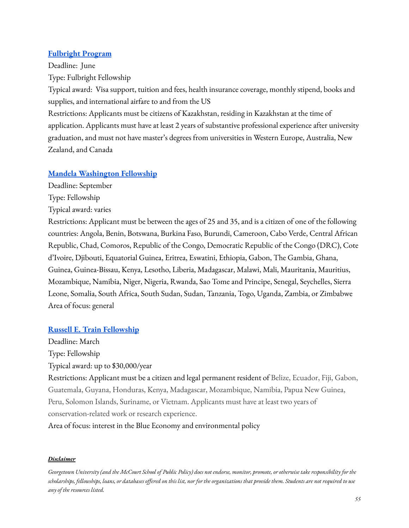### **[Fulbright](https://kz.usembassy.gov/education-culture/opportunities/fulbright/fulbright-program/?_ga=2.205636117.746146329.1644521506-1093378583.1644521506) Program**

Deadline: June

Type: Fulbright Fellowship

Typical award: Visa support, tuition and fees, health insurance coverage, monthly stipend, books and supplies, and international airfare to and from the US

Restrictions: Applicants must be citizens of Kazakhstan, residing in Kazakhstan at the time of application. Applicants must have at least 2 years of substantive professional experience after university graduation, and must not have master's degrees from universities in Western Europe, Australia, New Zealand, and Canada

## **Mandela [Washington](https://yali.state.gov/mwf/) Fellowship**

Deadline: September

Type: Fellowship

Typical award: varies

Restrictions: Applicant must be between the ages of 25 and 35, and is a citizen of one of the following countries: Angola, Benin, Botswana, Burkina Faso, Burundi, Cameroon, Cabo Verde, Central African Republic, Chad, Comoros, Republic of the Congo, Democratic Republic of the Congo (DRC), Cote d'Ivoire, Djibouti, Equatorial Guinea, Eritrea, Eswatini, Ethiopia, Gabon, The Gambia, Ghana, Guinea, Guinea-Bissau, Kenya, Lesotho, Liberia, Madagascar, Malawi, Mali, Mauritania, Mauritius, Mozambique, Namibia, Niger, Nigeria, Rwanda, Sao Tome and Principe, Senegal, Seychelles, Sierra Leone, Somalia, South Africa, South Sudan, Sudan, Tanzania, Togo, Uganda, Zambia, or Zimbabwe Area of focus: general

## **Russell E. Train [Fellowship](https://www.worldwildlife.org/projects/russell-e-train-fellowships)**

Deadline: March Type: Fellowship Typical award: up to \$30,000/year

Restrictions: Applicant must be a citizen and legal permanent resident of Belize, Ecuador, Fiji, Gabon, Guatemala, Guyana, Honduras, Kenya, Madagascar, Mozambique, Namibia, Papua New Guinea, Peru, Solomon Islands, Suriname, or Vietnam. Applicants must have at least two years of conservation-related work or research experience.

Area of focus: interest in the Blue Economy and environmental policy

#### *Disclaimer*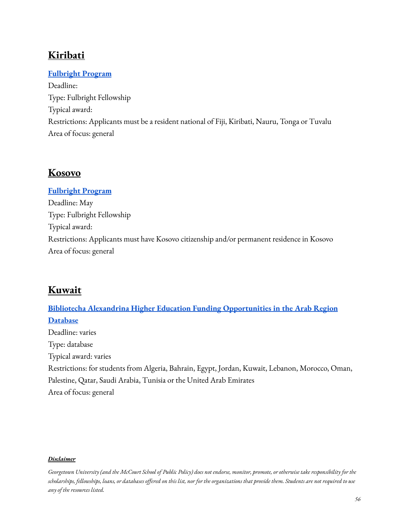# **Kiribati**

## **[Fulbright](https://fj.usembassy.gov/education-culture/study-usa/j-william-fulbright-foreign-student-scholarship/) Program**

Deadline: Type: Fulbright Fellowship Typical award: Restrictions: Applicants must be a resident national of Fiji, Kiribati, Nauru, Tonga or Tuvalu Area of focus: general

## **Kosovo**

## **[Fulbright](https://xk.usembassy.gov/education-culture/exchange-programs/fulbright-foreign-student-program-masters-degree/?_ga=2.169003431.746146329.1644521506-1093378583.1644521506) Program**

Deadline: May Type: Fulbright Fellowship Typical award: Restrictions: Applicants must have Kosovo citizenship and/or permanent residence in Kosovo Area of focus: general

## **Kuwait**

**Bibliotecha Alexandrina Higher Education [Funding Opportunities](http://www.bibalex.org/he_funding/Home/index.aspx) in the Arab Region [Database](http://www.bibalex.org/he_funding/Home/index.aspx)** Deadline: varies Type: database Typical award: varies Restrictions: for students from Algeria, Bahrain, Egypt, Jordan, Kuwait, Lebanon, Morocco, Oman, Palestine, Qatar, Saudi Arabia, Tunisia or the United Arab Emirates Area of focus: general

#### *Disclaimer*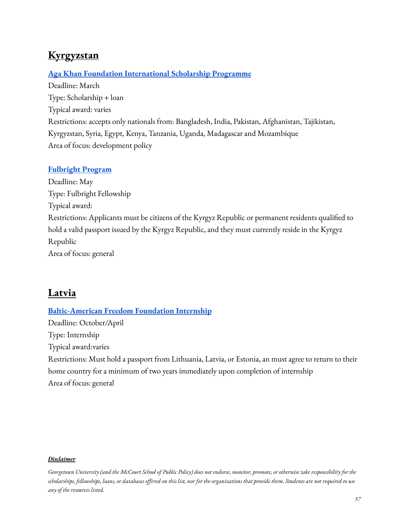# **Kyrgyzstan**

## **Aga Khan Foundation [International](https://www.akdn.org/our-agencies/aga-khan-foundation/international-scholarship-programme) Scholarship Programme**

Deadline: March Type: Scholarship + loan Typical award: varies Restrictions: accepts only nationals from: Bangladesh, India, Pakistan, Afghanistan, Tajikistan, Kyrgyzstan, Syria, Egypt, Kenya, Tanzania, Uganda, Madagascar and Mozambique Area of focus: development policy

## **[Fulbright](https://kg.usembassy.gov/education-culture/exchange-programs/fulbright-foreign-student-program-central-asia/?_ga=2.171754022.746146329.1644521506-1093378583.1644521506) Program**

Deadline: May Type: Fulbright Fellowship Typical award: Restrictions: Applicants must be citizens of the Kyrgyz Republic or permanent residents qualified to hold a valid passport issued by the Kyrgyz Republic, and they must currently reside in the Kyrgyz Republic Area of focus: general

## **Latvia**

## **[Baltic-American](https://balticamericanfreedomfoundation.org/programs-awards-internship/) Freedom Foundation Internship**

Deadline: October/April Type: Internship Typical award:varies Restrictions: Must hold a passport from Lithuania, Latvia, or Estonia, an must agree to return to their home country for a minimum of two years immediately upon completion of internship Area of focus: general

#### *Disclaimer*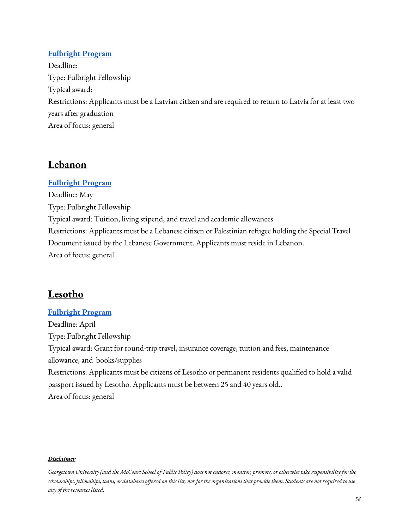## **[Fulbright](https://lv.usembassy.gov/education-culture/fulbright-program/students/) Program**

Deadline: Type: Fulbright Fellowship Typical award: Restrictions: Applicants must be a Latvian citizen and are required to return to Latvia for at least two years after graduation Area of focus: general

# **Lebanon**

## **[Fulbright](https://www.amideast.org/our-work/find-a-scholarship/graduate-study/fulbright/how-to-apply/fulbright-foreign-student-program-for-lebanon) Program**

Deadline: May Type: Fulbright Fellowship Typical award: Tuition, living stipend, and travel and academic allowances Restrictions: Applicants must be a Lebanese citizen or Palestinian refugee holding the Special Travel Document issued by the Lebanese Government. Applicants must reside in Lebanon. Area of focus: general

# **Lesotho**

## **[Fulbright](https://ls.usembassy.gov/education-culture/fulbright-scholarship-program-2/) Program**

Deadline: April Type: Fulbright Fellowship Typical award: Grant for round-trip travel, insurance coverage, tuition and fees, maintenance allowance, and books/supplies Restrictions: Applicants must be citizens of Lesotho or permanent residents qualified to hold a valid passport issued by Lesotho. Applicants must be between 25 and 40 years old.. Area of focus: general

#### *Disclaimer*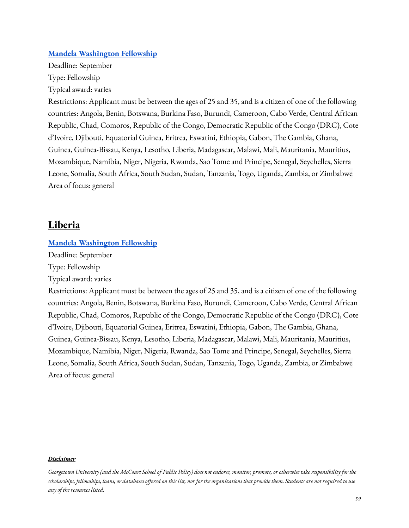#### **Mandela [Washington](https://yali.state.gov/mwf/) Fellowship**

Deadline: September Type: Fellowship Typical award: varies

Restrictions: Applicant must be between the ages of 25 and 35, and is a citizen of one of the following countries: Angola, Benin, Botswana, Burkina Faso, Burundi, Cameroon, Cabo Verde, Central African Republic, Chad, Comoros, Republic of the Congo, Democratic Republic of the Congo (DRC), Cote d'Ivoire, Djibouti, Equatorial Guinea, Eritrea, Eswatini, Ethiopia, Gabon, The Gambia, Ghana, Guinea, Guinea-Bissau, Kenya, Lesotho, Liberia, Madagascar, Malawi, Mali, Mauritania, Mauritius, Mozambique, Namibia, Niger, Nigeria, Rwanda, Sao Tome and Principe, Senegal, Seychelles, Sierra Leone, Somalia, South Africa, South Sudan, Sudan, Tanzania, Togo, Uganda, Zambia, or Zimbabwe Area of focus: general

## **Liberia**

#### **Mandela [Washington](https://yali.state.gov/mwf/) Fellowship**

Deadline: September

Type: Fellowship

Typical award: varies

Restrictions: Applicant must be between the ages of 25 and 35, and is a citizen of one of the following countries: Angola, Benin, Botswana, Burkina Faso, Burundi, Cameroon, Cabo Verde, Central African Republic, Chad, Comoros, Republic of the Congo, Democratic Republic of the Congo (DRC), Cote d'Ivoire, Djibouti, Equatorial Guinea, Eritrea, Eswatini, Ethiopia, Gabon, The Gambia, Ghana, Guinea, Guinea-Bissau, Kenya, Lesotho, Liberia, Madagascar, Malawi, Mali, Mauritania, Mauritius, Mozambique, Namibia, Niger, Nigeria, Rwanda, Sao Tome and Principe, Senegal, Seychelles, Sierra Leone, Somalia, South Africa, South Sudan, Sudan, Tanzania, Togo, Uganda, Zambia, or Zimbabwe Area of focus: general

#### *Disclaimer*

Georgetown University (and the McCourt School of Public Policy) does not endorse, monitor, promote, or otherwise take responsibility for the scholarships, fellowships, loans, or databases offered on this list, nor for the organizations that provide them. Students are not required to use *any of the resources listed.*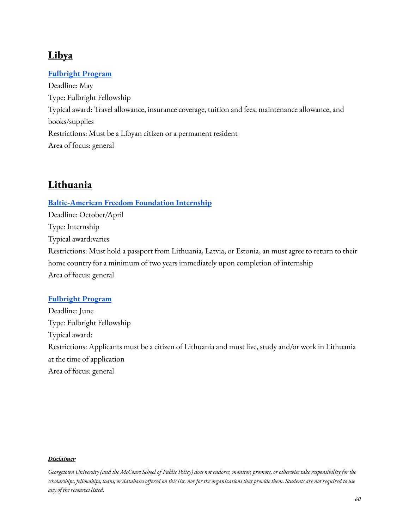# **Libya**

## **[Fulbright](https://ly.usembassy.gov/2023-fulbright-foreign-student-program/) Program**

Deadline: May Type: Fulbright Fellowship Typical award: Travel allowance, insurance coverage, tuition and fees, maintenance allowance, and books/supplies Restrictions: Must be a Libyan citizen or a permanent resident Area of focus: general

# **Lithuania**

### **[Baltic-American](https://balticamericanfreedomfoundation.org/programs-awards-internship/) Freedom Foundation Internship**

Deadline: October/April Type: Internship Typical award:varies Restrictions: Must hold a passport from Lithuania, Latvia, or Estonia, an must agree to return to their home country for a minimum of two years immediately upon completion of internship Area of focus: general

## **[Fulbright](https://lt.usembassy.gov/education-culture/educational-exchange/fulbright-program/) Program**

Deadline: June Type: Fulbright Fellowship Typical award: Restrictions: Applicants must be a citizen of Lithuania and must live, study and/or work in Lithuania at the time of application Area of focus: general

#### *Disclaimer*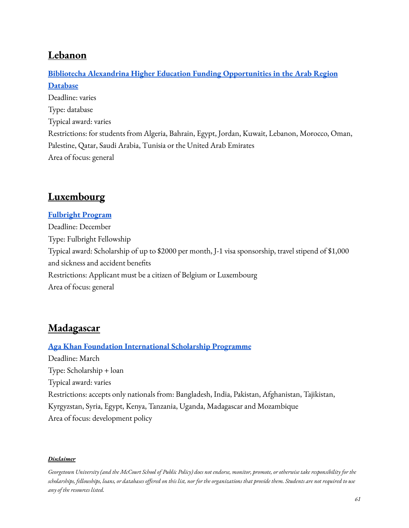## **Lebanon**

# **Bibliotecha Alexandrina Higher Education [Funding Opportunities](http://www.bibalex.org/he_funding/Home/index.aspx) in the Arab Region [Database](http://www.bibalex.org/he_funding/Home/index.aspx)** Deadline: varies Type: database Typical award: varies Restrictions: for students from Algeria, Bahrain, Egypt, Jordan, Kuwait, Lebanon, Morocco, Oman, Palestine, Qatar, Saudi Arabia, Tunisia or the United Arab Emirates Area of focus: general

# **Luxembourg**

## **[Fulbright](http://www.fulbright.be/) Program** Deadline: December Type: Fulbright Fellowship Typical award: Scholarship of up to \$2000 per month, J-1 visa sponsorship, travel stipend of \$1,000 and sickness and accident benefits Restrictions: Applicant must be a citizen of Belgium or Luxembourg Area of focus: general

# **Madagascar**

## **Aga Khan Foundation [International](https://www.akdn.org/our-agencies/aga-khan-foundation/international-scholarship-programme) Scholarship Programme**

Deadline: March Type: Scholarship + loan Typical award: varies Restrictions: accepts only nationals from: Bangladesh, India, Pakistan, Afghanistan, Tajikistan, Kyrgyzstan, Syria, Egypt, Kenya, Tanzania, Uganda, Madagascar and Mozambique Area of focus: development policy

#### *Disclaimer*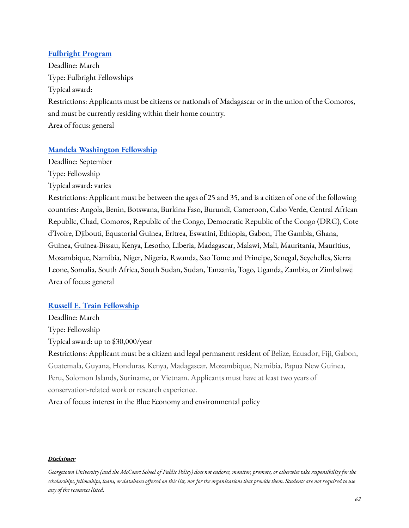### **[Fulbright](https://mg.usembassy.gov/2022-2023-fulbright-foreign-student-program/?_ga=2.138668469.746146329.1644521506-1093378583.1644521506) Program**

Deadline: March Type: Fulbright Fellowships Typical award: Restrictions: Applicants must be citizens or nationals of Madagascar or in the union of the Comoros, and must be currently residing within their home country. Area of focus: general

### **Mandela [Washington](https://yali.state.gov/mwf/) Fellowship**

Deadline: September Type: Fellowship

Typical award: varies

Restrictions: Applicant must be between the ages of 25 and 35, and is a citizen of one of the following countries: Angola, Benin, Botswana, Burkina Faso, Burundi, Cameroon, Cabo Verde, Central African Republic, Chad, Comoros, Republic of the Congo, Democratic Republic of the Congo (DRC), Cote d'Ivoire, Djibouti, Equatorial Guinea, Eritrea, Eswatini, Ethiopia, Gabon, The Gambia, Ghana, Guinea, Guinea-Bissau, Kenya, Lesotho, Liberia, Madagascar, Malawi, Mali, Mauritania, Mauritius, Mozambique, Namibia, Niger, Nigeria, Rwanda, Sao Tome and Principe, Senegal, Seychelles, Sierra Leone, Somalia, South Africa, South Sudan, Sudan, Tanzania, Togo, Uganda, Zambia, or Zimbabwe Area of focus: general

#### **Russell E. Train [Fellowship](https://www.worldwildlife.org/projects/russell-e-train-fellowships)**

Deadline: March Type: Fellowship Typical award: up to \$30,000/year

Restrictions: Applicant must be a citizen and legal permanent resident of Belize, Ecuador, Fiji, Gabon, Guatemala, Guyana, Honduras, Kenya, Madagascar, Mozambique, Namibia, Papua New Guinea, Peru, Solomon Islands, Suriname, or Vietnam. Applicants must have at least two years of conservation-related work or research experience.

Area of focus: interest in the Blue Economy and environmental policy

#### *Disclaimer*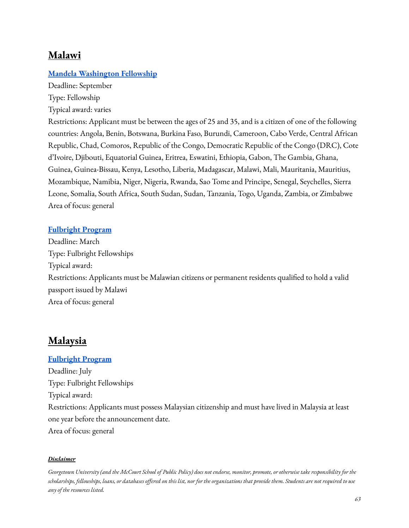## **Malawi**

### **Mandela [Washington](https://yali.state.gov/mwf/) Fellowship**

Deadline: September Type: Fellowship

Typical award: varies

Restrictions: Applicant must be between the ages of 25 and 35, and is a citizen of one of the following countries: Angola, Benin, Botswana, Burkina Faso, Burundi, Cameroon, Cabo Verde, Central African Republic, Chad, Comoros, Republic of the Congo, Democratic Republic of the Congo (DRC), Cote d'Ivoire, Djibouti, Equatorial Guinea, Eritrea, Eswatini, Ethiopia, Gabon, The Gambia, Ghana, Guinea, Guinea-Bissau, Kenya, Lesotho, Liberia, Madagascar, Malawi, Mali, Mauritania, Mauritius, Mozambique, Namibia, Niger, Nigeria, Rwanda, Sao Tome and Principe, Senegal, Seychelles, Sierra Leone, Somalia, South Africa, South Sudan, Sudan, Tanzania, Togo, Uganda, Zambia, or Zimbabwe Area of focus: general

#### **[Fulbright](https://mw.usembassy.gov/education-culture/fulbright/) Program**

Deadline: March Type: Fulbright Fellowships Typical award: Restrictions: Applicants must be Malawian citizens or permanent residents qualified to hold a valid passport issued by Malawi Area of focus: general

## **Malaysia**

### **[Fulbright](https://www.macee.org.my/about-fulbright/grants-for-malaysians/) Program**

Deadline: July Type: Fulbright Fellowships Typical award: Restrictions: Applicants must possess Malaysian citizenship and must have lived in Malaysia at least one year before the announcement date. Area of focus: general

#### *Disclaimer*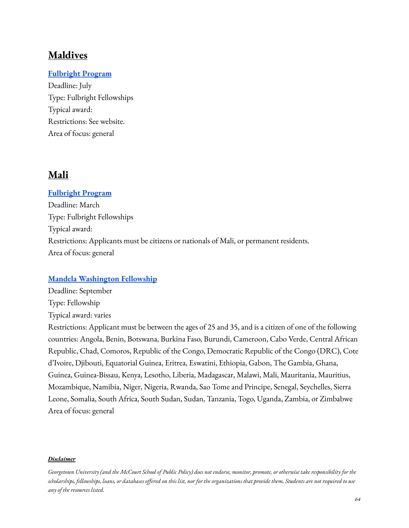## **Maldives**

## **[Fulbright](https://mv.usmission.gov/education-culture/maldives-fulbright/) Program**

Deadline: July Type: Fulbright Fellowships Typical award: Restrictions: See website. Area of focus: general

## **Mali**

**[Fulbright](https://ml.usembassy.gov/launch-of-the-2023-fulbright-and-hubert-h-humphrey-exchange-programs/?_ga=2.159113660.746146329.1644521506-1093378583.1644521506) Program** Deadline: March Type: Fulbright Fellowships Typical award: Restrictions: Applicants must be citizens or nationals of Mali, or permanent residents. Area of focus: general

#### **Mandela [Washington](https://yali.state.gov/mwf/) Fellowship**

Deadline: September Type: Fellowship Typical award: varies

Restrictions: Applicant must be between the ages of 25 and 35, and is a citizen of one of the following countries: Angola, Benin, Botswana, Burkina Faso, Burundi, Cameroon, Cabo Verde, Central African Republic, Chad, Comoros, Republic of the Congo, Democratic Republic of the Congo (DRC), Cote d'Ivoire, Djibouti, Equatorial Guinea, Eritrea, Eswatini, Ethiopia, Gabon, The Gambia, Ghana, Guinea, Guinea-Bissau, Kenya, Lesotho, Liberia, Madagascar, Malawi, Mali, Mauritania, Mauritius, Mozambique, Namibia, Niger, Nigeria, Rwanda, Sao Tome and Principe, Senegal, Seychelles, Sierra Leone, Somalia, South Africa, South Sudan, Sudan, Tanzania, Togo, Uganda, Zambia, or Zimbabwe Area of focus: general

#### *Disclaimer*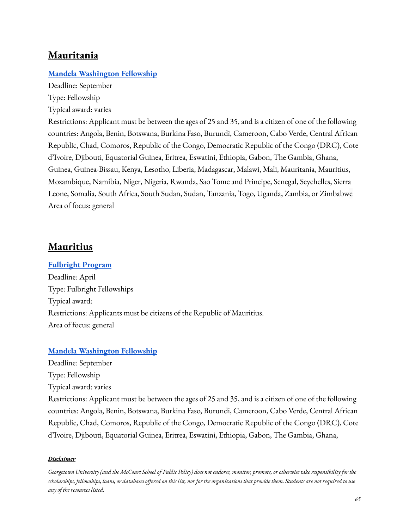## **Mauritania**

## **Mandela [Washington](https://yali.state.gov/mwf/) Fellowship**

Deadline: September Type: Fellowship Typical award: varies

Restrictions: Applicant must be between the ages of 25 and 35, and is a citizen of one of the following countries: Angola, Benin, Botswana, Burkina Faso, Burundi, Cameroon, Cabo Verde, Central African Republic, Chad, Comoros, Republic of the Congo, Democratic Republic of the Congo (DRC), Cote d'Ivoire, Djibouti, Equatorial Guinea, Eritrea, Eswatini, Ethiopia, Gabon, The Gambia, Ghana, Guinea, Guinea-Bissau, Kenya, Lesotho, Liberia, Madagascar, Malawi, Mali, Mauritania, Mauritius, Mozambique, Namibia, Niger, Nigeria, Rwanda, Sao Tome and Principe, Senegal, Seychelles, Sierra Leone, Somalia, South Africa, South Sudan, Sudan, Tanzania, Togo, Uganda, Zambia, or Zimbabwe Area of focus: general

## **Mauritius**

#### **[Fulbright](https://mu.usembassy.gov/education-culture/fulbright-program/) Program**

Deadline: April Type: Fulbright Fellowships Typical award: Restrictions: Applicants must be citizens of the Republic of Mauritius. Area of focus: general

#### **Mandela [Washington](https://yali.state.gov/mwf/) Fellowship**

Deadline: September

Type: Fellowship

Typical award: varies

Restrictions: Applicant must be between the ages of 25 and 35, and is a citizen of one of the following countries: Angola, Benin, Botswana, Burkina Faso, Burundi, Cameroon, Cabo Verde, Central African Republic, Chad, Comoros, Republic of the Congo, Democratic Republic of the Congo (DRC), Cote d'Ivoire, Djibouti, Equatorial Guinea, Eritrea, Eswatini, Ethiopia, Gabon, The Gambia, Ghana,

#### *Disclaimer*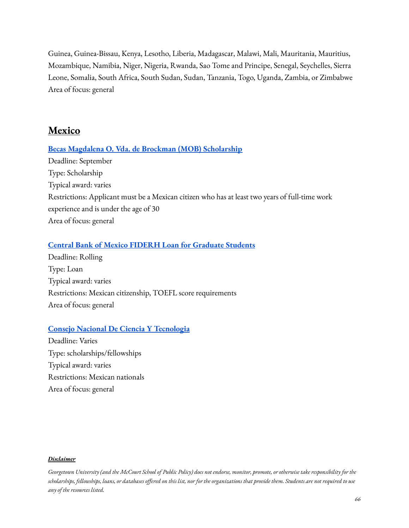Guinea, Guinea-Bissau, Kenya, Lesotho, Liberia, Madagascar, Malawi, Mali, Mauritania, Mauritius, Mozambique, Namibia, Niger, Nigeria, Rwanda, Sao Tome and Principe, Senegal, Seychelles, Sierra Leone, Somalia, South Africa, South Sudan, Sudan, Tanzania, Togo, Uganda, Zambia, or Zimbabwe Area of focus: general

## **Mexico**

#### **Becas Magdalena O. Vda. de Brockman (MOB) [Scholarship](https://www.becasmob.org.mx/convocatoria/perfil-del-becario)**

Deadline: September Type: Scholarship Typical award: varies Restrictions: Applicant must be a Mexican citizen who has at least two years of full-time work experience and is under the age of 30 Area of focus: general

#### **Central Bank of Mexico FIDERH Loan for [Graduate](http://www.fiderh.org.mx/english.html) Students**

Deadline: Rolling Type: Loan Typical award: varies Restrictions: Mexican citizenship, TOEFL score requirements Area of focus: general

#### **Consejo Nacional De Ciencia Y [Tecnologia](https://conacyt.mx/)**

Deadline: Varies Type: scholarships/fellowships Typical award: varies Restrictions: Mexican nationals Area of focus: general

#### *Disclaimer*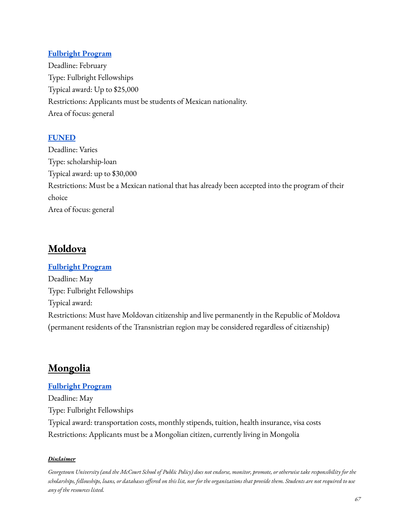## **[Fulbright](https://www.comexus.org.mx/posgrado_eua.php) Program**

Deadline: February Type: Fulbright Fellowships Typical award: Up to \$25,000 Restrictions: Applicants must be students of Mexican nationality. Area of focus: general

## **[FUNED](https://www.funedmx.org/)**

Deadline: Varies Type: scholarship-loan Typical award: up to \$30,000 Restrictions: Must be a Mexican national that has already been accepted into the program of their choice Area of focus: general

# **Moldova**

### **[Fulbright](https://md.usembassy.gov/the-fulbright-foreign-student-program/) Program**

Deadline: May Type: Fulbright Fellowships Typical award: Restrictions: Must have Moldovan citizenship and live permanently in the Republic of Moldova (permanent residents of the Transnistrian region may be considered regardless of citizenship)

## **Mongolia**

## **[Fulbright](https://mn.usembassy.gov/education-culture/scholarships/fulbright-student/) Program**

Deadline: May Type: Fulbright Fellowships Typical award: transportation costs, monthly stipends, tuition, health insurance, visa costs Restrictions: Applicants must be a Mongolian citizen, currently living in Mongolia

#### *Disclaimer*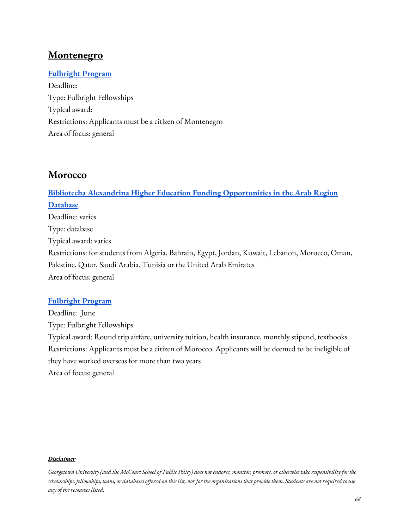## **Montenegro**

## **[Fulbright](https://me.usembassy.gov/education-culture/education-exchange/) Program**

Deadline: Type: Fulbright Fellowships Typical award: Restrictions: Applicants must be a citizen of Montenegro Area of focus: general

## **Morocco**

**Bibliotecha Alexandrina Higher Education [Funding Opportunities](http://www.bibalex.org/he_funding/Home/index.aspx) in the Arab Region [Database](http://www.bibalex.org/he_funding/Home/index.aspx)** Deadline: varies Type: database Typical award: varies Restrictions: for students from Algeria, Bahrain, Egypt, Jordan, Kuwait, Lebanon, Morocco, Oman, Palestine, Qatar, Saudi Arabia, Tunisia or the United Arab Emirates Area of focus: general

## **[Fulbright](https://macece.ma/program/fulbright-study-grant/) Program**

Deadline: June Type: Fulbright Fellowships Typical award: Round trip airfare, university tuition, health insurance, monthly stipend, textbooks Restrictions: Applicants must be a citizen of Morocco. Applicants will be deemed to be ineligible of they have worked overseas for more than two years Area of focus: general

#### *Disclaimer*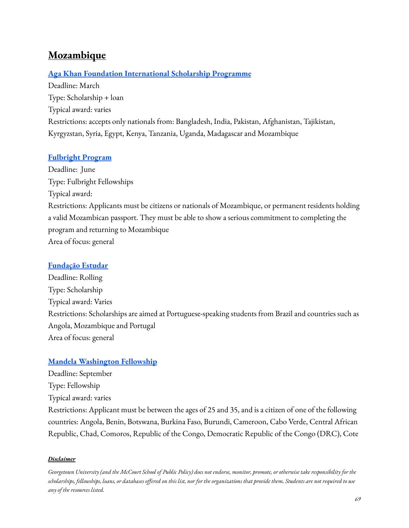# **Mozambique**

### **Aga Khan Foundation [International](https://www.akdn.org/our-agencies/aga-khan-foundation/international-scholarship-programme) Scholarship Programme**

Deadline: March Type: Scholarship + loan Typical award: varies Restrictions: accepts only nationals from: Bangladesh, India, Pakistan, Afghanistan, Tajikistan, Kyrgyzstan, Syria, Egypt, Kenya, Tanzania, Uganda, Madagascar and Mozambique

#### **[Fulbright](https://mz.usembassy.gov/education-culture/educational-exchange/fulbright-foreign-student-program-fsp/) Program**

Deadline: June Type: Fulbright Fellowships Typical award: Restrictions: Applicants must be citizens or nationals of Mozambique, or permanent residents holding a valid Mozambican passport. They must be able to show a serious commitment to completing the program and returning to Mozambique Area of focus: general

#### **[Fundação](http://www.estudar.org.br/) Estudar**

Deadline: Rolling Type: Scholarship Typical award: Varies Restrictions: Scholarships are aimed at Portuguese-speaking students from Brazil and countries such as Angola, Mozambique and Portugal Area of focus: general

#### **Mandela [Washington](https://yali.state.gov/mwf/) Fellowship**

Deadline: September Type: Fellowship Typical award: varies Restrictions: Applicant must be between the ages of 25 and 35, and is a citizen of one of the following countries: Angola, Benin, Botswana, Burkina Faso, Burundi, Cameroon, Cabo Verde, Central African Republic, Chad, Comoros, Republic of the Congo, Democratic Republic of the Congo (DRC), Cote

#### *Disclaimer*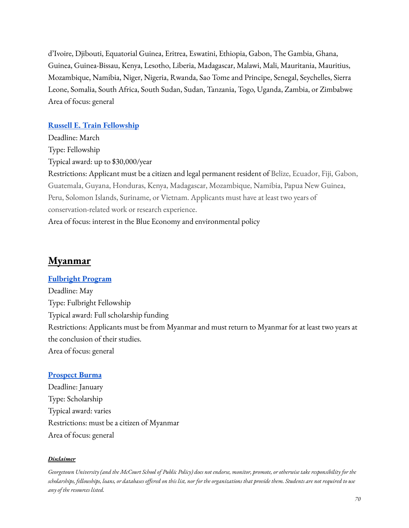d'Ivoire, Djibouti, Equatorial Guinea, Eritrea, Eswatini, Ethiopia, Gabon, The Gambia, Ghana, Guinea, Guinea-Bissau, Kenya, Lesotho, Liberia, Madagascar, Malawi, Mali, Mauritania, Mauritius, Mozambique, Namibia, Niger, Nigeria, Rwanda, Sao Tome and Principe, Senegal, Seychelles, Sierra Leone, Somalia, South Africa, South Sudan, Sudan, Tanzania, Togo, Uganda, Zambia, or Zimbabwe Area of focus: general

#### **Russell E. Train [Fellowship](https://www.worldwildlife.org/projects/russell-e-train-fellowships)**

Deadline: March Type: Fellowship Typical award: up to \$30,000/year Restrictions: Applicant must be a citizen and legal permanent resident of Belize, Ecuador, Fiji, Gabon, Guatemala, Guyana, Honduras, Kenya, Madagascar, Mozambique, Namibia, Papua New Guinea, Peru, Solomon Islands, Suriname, or Vietnam. Applicants must have at least two years of conservation-related work or research experience. Area of focus: interest in the Blue Economy and environmental policy

## **Myanmar**

#### **[Fulbright](https://mm.usembassy.gov/education-culture/scholarship-programs/) Program**

Deadline: May Type: Fulbright Fellowship Typical award: Full scholarship funding Restrictions: Applicants must be from Myanmar and must return to Myanmar for at least two years at the conclusion of their studies. Area of focus: general

#### **[Prospect](https://prospectburma.org/students/) Burma**

Deadline: January Type: Scholarship Typical award: varies Restrictions: must be a citizen of Myanmar Area of focus: general

#### *Disclaimer*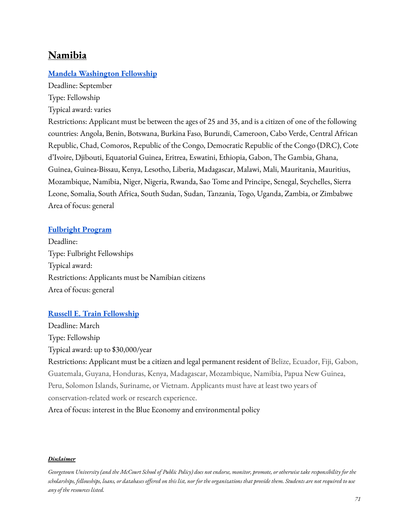## **Namibia**

### **Mandela [Washington](https://yali.state.gov/mwf/) Fellowship**

Deadline: September Type: Fellowship

Typical award: varies

Restrictions: Applicant must be between the ages of 25 and 35, and is a citizen of one of the following countries: Angola, Benin, Botswana, Burkina Faso, Burundi, Cameroon, Cabo Verde, Central African Republic, Chad, Comoros, Republic of the Congo, Democratic Republic of the Congo (DRC), Cote d'Ivoire, Djibouti, Equatorial Guinea, Eritrea, Eswatini, Ethiopia, Gabon, The Gambia, Ghana, Guinea, Guinea-Bissau, Kenya, Lesotho, Liberia, Madagascar, Malawi, Mali, Mauritania, Mauritius, Mozambique, Namibia, Niger, Nigeria, Rwanda, Sao Tome and Principe, Senegal, Seychelles, Sierra Leone, Somalia, South Africa, South Sudan, Sudan, Tanzania, Togo, Uganda, Zambia, or Zimbabwe Area of focus: general

#### **[Fulbright](https://na.usembassy.gov/education-culture/namibian-fulbright-program/) Program**

Deadline: Type: Fulbright Fellowships Typical award: Restrictions: Applicants must be Namibian citizens Area of focus: general

#### **Russell E. Train [Fellowship](https://www.worldwildlife.org/projects/russell-e-train-fellowships)**

Deadline: March Type: Fellowship Typical award: up to \$30,000/year Restrictions: Applicant must be a citizen and legal permanent resident of Belize, Ecuador, Fiji, Gabon, Guatemala, Guyana, Honduras, Kenya, Madagascar, Mozambique, Namibia, Papua New Guinea, Peru, Solomon Islands, Suriname, or Vietnam. Applicants must have at least two years of conservation-related work or research experience. Area of focus: interest in the Blue Economy and environmental policy

#### *Disclaimer*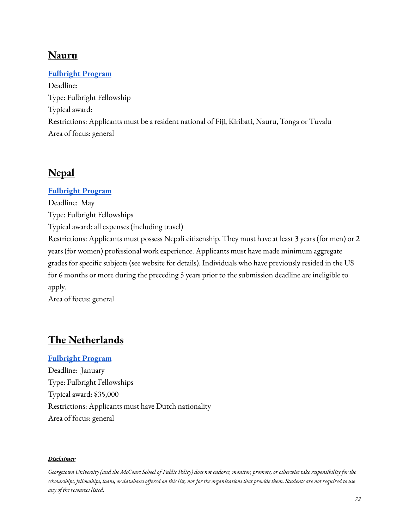# **Nauru**

## **[Fulbright](https://fj.usembassy.gov/education-culture/study-usa/j-william-fulbright-foreign-student-scholarship/) Program**

Deadline: Type: Fulbright Fellowship Typical award: Restrictions: Applicants must be a resident national of Fiji, Kiribati, Nauru, Tonga or Tuvalu Area of focus: general

# **Nepal**

### **[Fulbright](https://usefnepal.org/fulbright/ffsp/) Program**

Deadline: May Type: Fulbright Fellowships Typical award: all expenses (including travel) Restrictions: Applicants must possess Nepali citizenship. They must have at least 3 years (for men) or 2 years (for women) professional work experience. Applicants must have made minimum aggregate grades for specific subjects (see website for details). Individuals who have previously resided in the US for 6 months or more during the preceding 5 years prior to the submission deadline are ineligible to apply.

Area of focus: general

# **The Netherlands**

## **[Fulbright](https://fulbright.nl/naar-de-vs/ik-ben-student/fulbright-beurzen/) Program**

Deadline: January Type: Fulbright Fellowships Typical award: \$35,000 Restrictions: Applicants must have Dutch nationality Area of focus: general

#### *Disclaimer*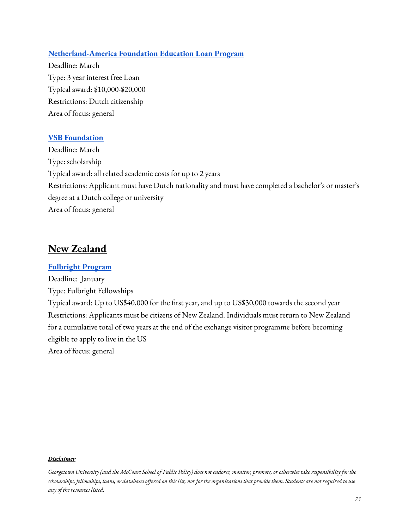#### **[Netherland-America](https://thenaf.org/naf-study-loan-program/) Foundation Education Loan Program**

Deadline: March Type: 3 year interest free Loan Typical award: \$10,000-\$20,000 Restrictions: Dutch citizenship Area of focus: general

#### **VSB [Foundation](https://www.vsbfonds.nl/studiebeurzen)**

Deadline: March Type: scholarship Typical award: all related academic costs for up to 2 years Restrictions: Applicant must have Dutch nationality and must have completed a bachelor's or master's degree at a Dutch college or university Area of focus: general

## **New Zealand**

#### **[Fulbright](https://www.fulbright.org.nz/awards/nzgraduate/general/) Program**

Deadline: January Type: Fulbright Fellowships Typical award: Up to US\$40,000 for the first year, and up to US\$30,000 towards the second year Restrictions: Applicants must be citizens of New Zealand. Individuals must return to New Zealand for a cumulative total of two years at the end of the exchange visitor programme before becoming eligible to apply to live in the US Area of focus: general

#### *Disclaimer*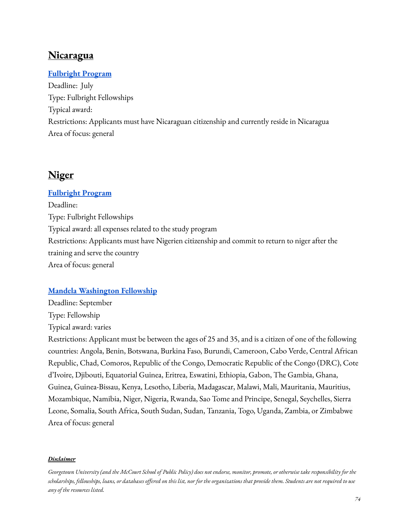## **Nicaragua**

## **[Fulbright](https://ni.usembassy.gov/education-culture/programs-for-professionals-academics/fulbright-program/) Program**

Deadline: July Type: Fulbright Fellowships Typical award: Restrictions: Applicants must have Nicaraguan citizenship and currently reside in Nicaragua Area of focus: general

## **Niger**

### **[Fulbright](https://ne.usembassy.gov/education-culture/fulbright-scholarship-program/) Program**

Deadline: Type: Fulbright Fellowships Typical award: all expenses related to the study program Restrictions: Applicants must have Nigerien citizenship and commit to return to niger after the training and serve the country Area of focus: general

### **Mandela [Washington](https://yali.state.gov/mwf/) Fellowship**

Deadline: September Type: Fellowship Typical award: varies

Restrictions: Applicant must be between the ages of 25 and 35, and is a citizen of one of the following countries: Angola, Benin, Botswana, Burkina Faso, Burundi, Cameroon, Cabo Verde, Central African Republic, Chad, Comoros, Republic of the Congo, Democratic Republic of the Congo (DRC), Cote d'Ivoire, Djibouti, Equatorial Guinea, Eritrea, Eswatini, Ethiopia, Gabon, The Gambia, Ghana, Guinea, Guinea-Bissau, Kenya, Lesotho, Liberia, Madagascar, Malawi, Mali, Mauritania, Mauritius, Mozambique, Namibia, Niger, Nigeria, Rwanda, Sao Tome and Principe, Senegal, Seychelles, Sierra Leone, Somalia, South Africa, South Sudan, Sudan, Tanzania, Togo, Uganda, Zambia, or Zimbabwe Area of focus: general

#### *Disclaimer*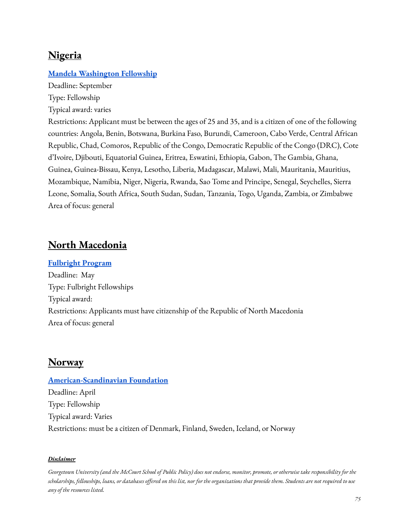## **Nigeria**

### **Mandela [Washington](https://yali.state.gov/mwf/) Fellowship**

Deadline: September Type: Fellowship

Typical award: varies

Restrictions: Applicant must be between the ages of 25 and 35, and is a citizen of one of the following countries: Angola, Benin, Botswana, Burkina Faso, Burundi, Cameroon, Cabo Verde, Central African Republic, Chad, Comoros, Republic of the Congo, Democratic Republic of the Congo (DRC), Cote d'Ivoire, Djibouti, Equatorial Guinea, Eritrea, Eswatini, Ethiopia, Gabon, The Gambia, Ghana, Guinea, Guinea-Bissau, Kenya, Lesotho, Liberia, Madagascar, Malawi, Mali, Mauritania, Mauritius, Mozambique, Namibia, Niger, Nigeria, Rwanda, Sao Tome and Principe, Senegal, Seychelles, Sierra Leone, Somalia, South Africa, South Sudan, Sudan, Tanzania, Togo, Uganda, Zambia, or Zimbabwe Area of focus: general

## **North Macedonia**

#### **[Fulbright](https://mk.usembassy.gov/the-fulbright-student-competition-for-the-2023-2024-academic-year-is-now-open/?_ga=2.136464944.1041591386.1644944881-1093378583.1644521506) Program**

Deadline: May Type: Fulbright Fellowships Typical award: Restrictions: Applicants must have citizenship of the Republic of North Macedonia Area of focus: general

## **Norway**

## **[American-Scandinavian](https://www.amscan.org/fellowships-and-grants/fellowships-and-grants-for-advanced-study-or-research-in-the-usa/) Foundation**

Deadline: April Type: Fellowship Typical award: Varies Restrictions: must be a citizen of Denmark, Finland, Sweden, Iceland, or Norway

#### *Disclaimer*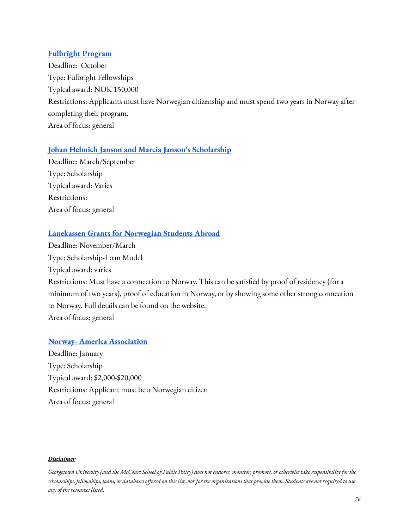### **[Fulbright](https://fulbright.no/stipend-for-nordmenn/studentstipend/) Program**

Deadline: October Type: Fulbright Fellowships Typical award: NOK 150,000 Restrictions: Applicants must have Norwegian citizenship and must spend two years in Norway after completing their program. Area of focus: general

### **Johan Helmich Janson and Marcia Janson's [Scholarship](https://www.jansonslegat.no/)**

Deadline: March/September Type: Scholarship Typical award: Varies Restrictions: Area of focus: general

### **[Lanekassen](https://www.lanekassen.no/) Grants for Norwegian Students Abroad**

Deadline: November/March Type: Scholarship-Loan Model Typical award: varies Restrictions: Must have a connection to Norway. This can be satisfied by proof of residency (for a minimum of two years), proof of education in Norway, or by showing some other strong connection to Norway. Full details can be found on the website. Area of focus: general

### **Norway- America [Association](https://noram.no/)**

Deadline: January Type: Scholarship Typical award: \$2,000-\$20,000 Restrictions: Applicant must be a Norwegian citizen Area of focus: general

#### *Disclaimer*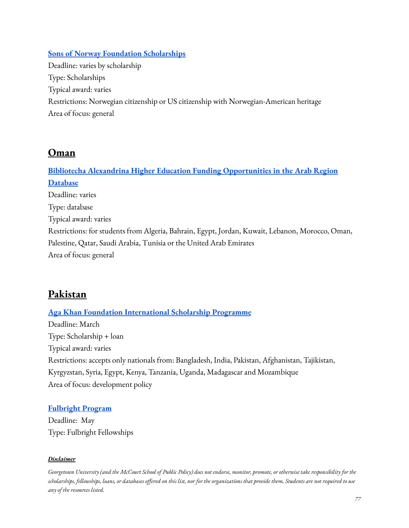### **Sons of Norway Foundation [Scholarships](https://www.sofn.com/foundation/scholarships/)**

Deadline: varies by scholarship Type: Scholarships Typical award: varies Restrictions: Norwegian citizenship or US citizenship with Norwegian-American heritage Area of focus: general

## **Oman**

**Bibliotecha Alexandrina Higher Education [Funding Opportunities](http://www.bibalex.org/he_funding/Home/index.aspx) in the Arab Region [Database](http://www.bibalex.org/he_funding/Home/index.aspx)** Deadline: varies Type: database Typical award: varies Restrictions: for students from Algeria, Bahrain, Egypt, Jordan, Kuwait, Lebanon, Morocco, Oman, Palestine, Qatar, Saudi Arabia, Tunisia or the United Arab Emirates Area of focus: general

# **Pakistan**

**Aga Khan Foundation [International](https://www.akdn.org/our-agencies/aga-khan-foundation/international-scholarship-programme) Scholarship Programme** Deadline: March Type: Scholarship + loan Typical award: varies Restrictions: accepts only nationals from: Bangladesh, India, Pakistan, Afghanistan, Tajikistan, Kyrgyzstan, Syria, Egypt, Kenya, Tanzania, Uganda, Madagascar and Mozambique

Area of focus: development policy

### **[Fulbright](http://usefp.org/scholarships/fulbright-degree.cfm) Program**

Deadline: May Type: Fulbright Fellowships

#### *Disclaimer*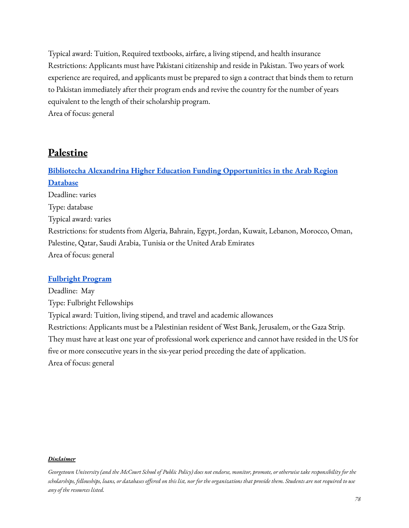Typical award: Tuition, Required textbooks, airfare, a living stipend, and health insurance Restrictions: Applicants must have Pakistani citizenship and reside in Pakistan. Two years of work experience are required, and applicants must be prepared to sign a contract that binds them to return to Pakistan immediately after their program ends and revive the country for the number of years equivalent to the length of their scholarship program. Area of focus: general

**Palestine**

**Bibliotecha Alexandrina Higher Education [Funding Opportunities](http://www.bibalex.org/he_funding/Home/index.aspx) in the Arab Region [Database](http://www.bibalex.org/he_funding/Home/index.aspx)** Deadline: varies Type: database Typical award: varies Restrictions: for students from Algeria, Bahrain, Egypt, Jordan, Kuwait, Lebanon, Morocco, Oman, Palestine, Qatar, Saudi Arabia, Tunisia or the United Arab Emirates Area of focus: general

#### **[Fulbright](http://usefp.org/scholarships/fulbright-degree.cfm) Program**

Deadline: May Type: Fulbright Fellowships Typical award: Tuition, living stipend, and travel and academic allowances Restrictions: Applicants must be a Palestinian resident of West Bank, Jerusalem, or the Gaza Strip. They must have at least one year of professional work experience and cannot have resided in the US for five or more consecutive years in the six-year period preceding the date of application. Area of focus: general

#### *Disclaimer*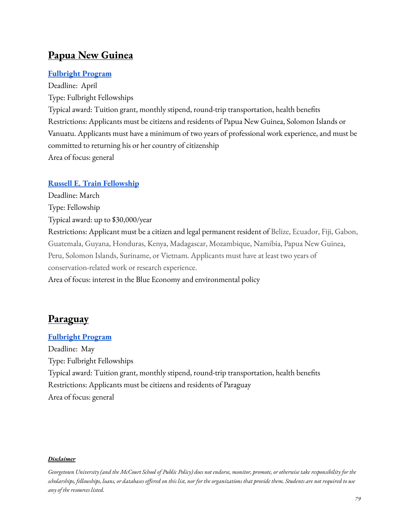## **Papua New Guinea**

## **[Fulbright](https://pg.usembassy.gov/education-culture/fulbright-program/) Program**

Deadline: April Type: Fulbright Fellowships Typical award: Tuition grant, monthly stipend, round-trip transportation, health benefits Restrictions: Applicants must be citizens and residents of Papua New Guinea, Solomon Islands or Vanuatu. Applicants must have a minimum of two years of professional work experience, and must be committed to returning his or her country of citizenship Area of focus: general

## **Russell E. Train [Fellowship](https://www.worldwildlife.org/projects/russell-e-train-fellowships)**

Deadline: March Type: Fellowship Typical award: up to \$30,000/year Restrictions: Applicant must be a citizen and legal permanent resident of Belize, Ecuador, Fiji, Gabon, Guatemala, Guyana, Honduras, Kenya, Madagascar, Mozambique, Namibia, Papua New Guinea, Peru, Solomon Islands, Suriname, or Vietnam. Applicants must have at least two years of conservation-related work or research experience. Area of focus: interest in the Blue Economy and environmental policy

# **Paraguay**

### **[Fulbright](https://py.usembassy.gov/es/education-culture-es/exchange-programs-es/) Program**

Deadline: May Type: Fulbright Fellowships Typical award: Tuition grant, monthly stipend, round-trip transportation, health benefits Restrictions: Applicants must be citizens and residents of Paraguay Area of focus: general

#### *Disclaimer*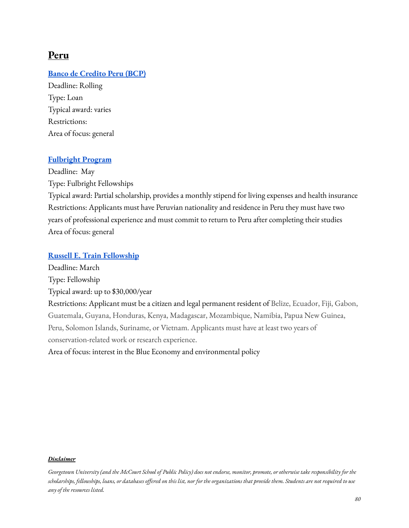## **Peru**

### **Banco de [Credito](https://www.viabcp.com/creditos/otros-creditos/credito-de-estudio) Peru (BCP)**

Deadline: Rolling Type: Loan Typical award: varies Restrictions: Area of focus: general

#### **[Fulbright](https://www.fulbright.pe/becaposgradofulbright) Program**

Deadline: May Type: Fulbright Fellowships Typical award: Partial scholarship, provides a monthly stipend for living expenses and health insurance Restrictions: Applicants must have Peruvian nationality and residence in Peru they must have two years of professional experience and must commit to return to Peru after completing their studies Area of focus: general

### **Russell E. Train [Fellowship](https://www.worldwildlife.org/projects/russell-e-train-fellowships)**

Deadline: March Type: Fellowship Typical award: up to \$30,000/year Restrictions: Applicant must be a citizen and legal permanent resident of Belize, Ecuador, Fiji, Gabon, Guatemala, Guyana, Honduras, Kenya, Madagascar, Mozambique, Namibia, Papua New Guinea, Peru, Solomon Islands, Suriname, or Vietnam. Applicants must have at least two years of conservation-related work or research experience. Area of focus: interest in the Blue Economy and environmental policy

#### *Disclaimer*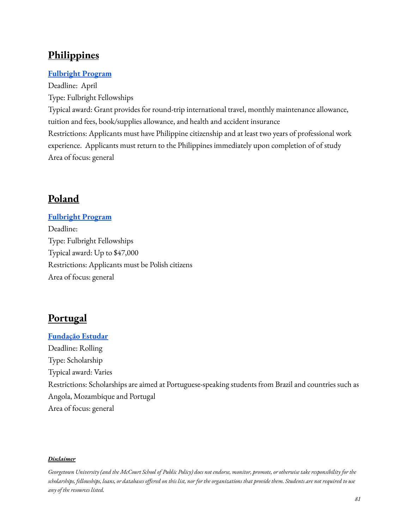# **Philippines**

## **[Fulbright](https://www.fulbright.org.ph/index.php/services) Program**

Deadline: April Type: Fulbright Fellowships Typical award: Grant provides for round-trip international travel, monthly maintenance allowance, tuition and fees, book/supplies allowance, and health and accident insurance Restrictions: Applicants must have Philippine citizenship and at least two years of professional work experience. Applicants must return to the Philippines immediately upon completion of of study Area of focus: general

# **Poland**

### **[Fulbright](https://en.fulbright.edu.pl/grants-for-polish-citizens/) Program**

Deadline: Type: Fulbright Fellowships Typical award: Up to \$47,000 Restrictions: Applicants must be Polish citizens Area of focus: general

# **Portugal**

**[Fundação](http://www.estudar.org.br/) Estudar** Deadline: Rolling Type: Scholarship Typical award: Varies Restrictions: Scholarships are aimed at Portuguese-speaking students from Brazil and countries such as Angola, Mozambique and Portugal Area of focus: general

#### *Disclaimer*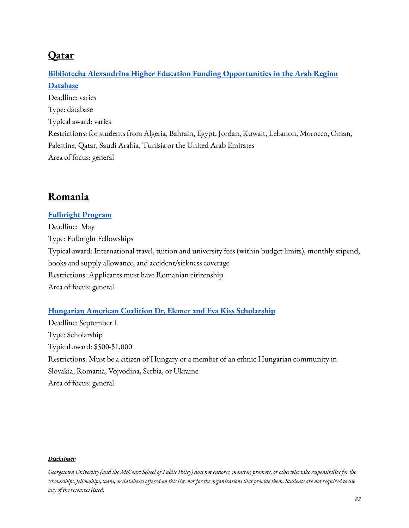# **Qatar**

# **Bibliotecha Alexandrina Higher Education [Funding Opportunities](http://www.bibalex.org/he_funding/Home/index.aspx) in the Arab Region [Database](http://www.bibalex.org/he_funding/Home/index.aspx)** Deadline: varies Type: database Typical award: varies Restrictions: for students from Algeria, Bahrain, Egypt, Jordan, Kuwait, Lebanon, Morocco, Oman, Palestine, Qatar, Saudi Arabia, Tunisia or the United Arab Emirates Area of focus: general

# **Romania**

## **[Fulbright](https://fulbright.ro/grant/the-fulbright-student-program/) Program**

Deadline: May Type: Fulbright Fellowships Typical award: International travel, tuition and university fees (within budget limits), monthly stipend, books and supply allowance, and accident/sickness coverage Restrictions: Applicants must have Romanian citizenship Area of focus: general

### **Hungarian American Coalition Dr. Elemer and Eva Kiss [Scholarship](https://hacusa.eu/dr-elemer-and-eva-kiss-scholarship-fund/)**

Deadline: September 1 Type: Scholarship Typical award: \$500-\$1,000 Restrictions: Must be a citizen of Hungary or a member of an ethnic Hungarian community in Slovakia, Romania, Vojvodina, Serbia, or Ukraine Area of focus: general

#### *Disclaimer*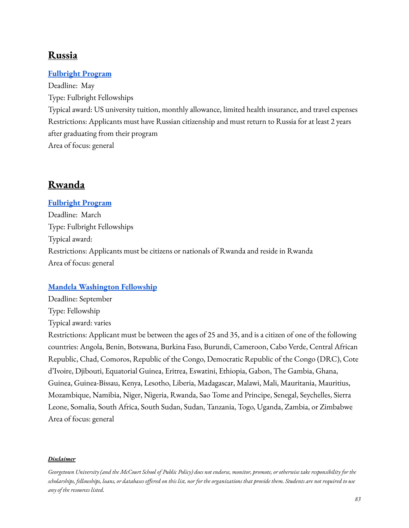## **Russia**

### **[Fulbright](https://www.fulbright.ru/russians/vgs/) Program**

Deadline: May Type: Fulbright Fellowships Typical award: US university tuition, monthly allowance, limited health insurance, and travel expenses Restrictions: Applicants must have Russian citizenship and must return to Russia for at least 2 years after graduating from their program Area of focus: general

# **Rwanda**

## **[Fulbright](https://rw.usembassy.gov/education-culture/professional-exchanges/) Program**

Deadline: March Type: Fulbright Fellowships Typical award: Restrictions: Applicants must be citizens or nationals of Rwanda and reside in Rwanda Area of focus: general

### **Mandela [Washington](https://yali.state.gov/mwf/) Fellowship**

Deadline: September Type: Fellowship Typical award: varies

Restrictions: Applicant must be between the ages of 25 and 35, and is a citizen of one of the following countries: Angola, Benin, Botswana, Burkina Faso, Burundi, Cameroon, Cabo Verde, Central African Republic, Chad, Comoros, Republic of the Congo, Democratic Republic of the Congo (DRC), Cote d'Ivoire, Djibouti, Equatorial Guinea, Eritrea, Eswatini, Ethiopia, Gabon, The Gambia, Ghana, Guinea, Guinea-Bissau, Kenya, Lesotho, Liberia, Madagascar, Malawi, Mali, Mauritania, Mauritius, Mozambique, Namibia, Niger, Nigeria, Rwanda, Sao Tome and Principe, Senegal, Seychelles, Sierra Leone, Somalia, South Africa, South Sudan, Sudan, Tanzania, Togo, Uganda, Zambia, or Zimbabwe Area of focus: general

#### *Disclaimer*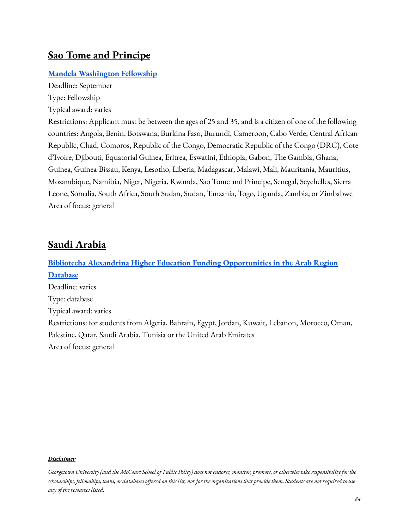## **Sao Tome and Principe**

### **Mandela [Washington](https://yali.state.gov/mwf/) Fellowship**

Deadline: September Type: Fellowship Typical award: varies

Restrictions: Applicant must be between the ages of 25 and 35, and is a citizen of one of the following countries: Angola, Benin, Botswana, Burkina Faso, Burundi, Cameroon, Cabo Verde, Central African Republic, Chad, Comoros, Republic of the Congo, Democratic Republic of the Congo (DRC), Cote d'Ivoire, Djibouti, Equatorial Guinea, Eritrea, Eswatini, Ethiopia, Gabon, The Gambia, Ghana, Guinea, Guinea-Bissau, Kenya, Lesotho, Liberia, Madagascar, Malawi, Mali, Mauritania, Mauritius, Mozambique, Namibia, Niger, Nigeria, Rwanda, Sao Tome and Principe, Senegal, Seychelles, Sierra Leone, Somalia, South Africa, South Sudan, Sudan, Tanzania, Togo, Uganda, Zambia, or Zimbabwe Area of focus: general

## **Saudi Arabia**

**Bibliotecha Alexandrina Higher Education [Funding Opportunities](http://www.bibalex.org/he_funding/Home/index.aspx) in the Arab Region [Database](http://www.bibalex.org/he_funding/Home/index.aspx)** Deadline: varies Type: database Typical award: varies Restrictions: for students from Algeria, Bahrain, Egypt, Jordan, Kuwait, Lebanon, Morocco, Oman, Palestine, Qatar, Saudi Arabia, Tunisia or the United Arab Emirates Area of focus: general

#### *Disclaimer*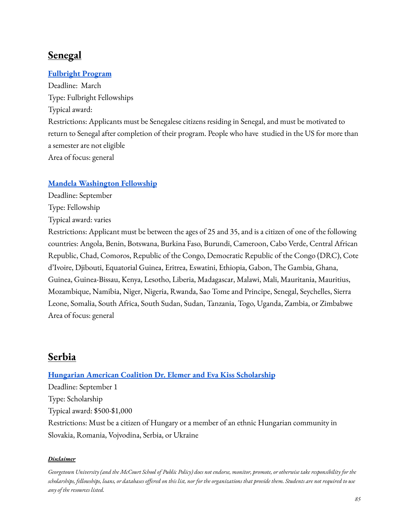# **Senegal**

## **[Fulbright](https://sn.usembassy.gov/education-culture/student-exchange-programs/?_ga=2.250324486.1041591386.1644944881-1093378583.1644521506) Program**

Deadline: March Type: Fulbright Fellowships Typical award: Restrictions: Applicants must be Senegalese citizens residing in Senegal, and must be motivated to return to Senegal after completion of their program. People who have studied in the US for more than a semester are not eligible Area of focus: general

## **Mandela [Washington](https://yali.state.gov/mwf/) Fellowship**

Deadline: September

Type: Fellowship

Typical award: varies

Restrictions: Applicant must be between the ages of 25 and 35, and is a citizen of one of the following countries: Angola, Benin, Botswana, Burkina Faso, Burundi, Cameroon, Cabo Verde, Central African Republic, Chad, Comoros, Republic of the Congo, Democratic Republic of the Congo (DRC), Cote d'Ivoire, Djibouti, Equatorial Guinea, Eritrea, Eswatini, Ethiopia, Gabon, The Gambia, Ghana, Guinea, Guinea-Bissau, Kenya, Lesotho, Liberia, Madagascar, Malawi, Mali, Mauritania, Mauritius, Mozambique, Namibia, Niger, Nigeria, Rwanda, Sao Tome and Principe, Senegal, Seychelles, Sierra Leone, Somalia, South Africa, South Sudan, Sudan, Tanzania, Togo, Uganda, Zambia, or Zimbabwe Area of focus: general

# **Serbia**

### **Hungarian American Coalition Dr. Elemer and Eva Kiss [Scholarship](https://hacusa.eu/dr-elemer-and-eva-kiss-scholarship-fund/)**

Deadline: September 1 Type: Scholarship Typical award: \$500-\$1,000 Restrictions: Must be a citizen of Hungary or a member of an ethnic Hungarian community in Slovakia, Romania, Vojvodina, Serbia, or Ukraine

#### *Disclaimer*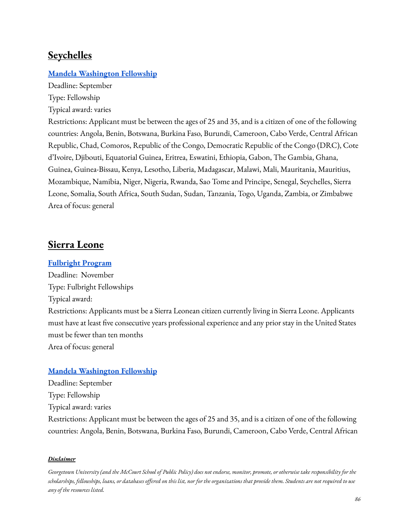## **Seychelles**

#### **Mandela [Washington](https://yali.state.gov/mwf/) Fellowship**

Deadline: September Type: Fellowship

Typical award: varies

Restrictions: Applicant must be between the ages of 25 and 35, and is a citizen of one of the following countries: Angola, Benin, Botswana, Burkina Faso, Burundi, Cameroon, Cabo Verde, Central African Republic, Chad, Comoros, Republic of the Congo, Democratic Republic of the Congo (DRC), Cote d'Ivoire, Djibouti, Equatorial Guinea, Eritrea, Eswatini, Ethiopia, Gabon, The Gambia, Ghana, Guinea, Guinea-Bissau, Kenya, Lesotho, Liberia, Madagascar, Malawi, Mali, Mauritania, Mauritius, Mozambique, Namibia, Niger, Nigeria, Rwanda, Sao Tome and Principe, Senegal, Seychelles, Sierra Leone, Somalia, South Africa, South Sudan, Sudan, Tanzania, Togo, Uganda, Zambia, or Zimbabwe Area of focus: general

## **Sierra Leone**

#### **[Fulbright](https://sl.usembassy.gov/education-culture/fulbright-program/) Program**

Deadline: November Type: Fulbright Fellowships Typical award: Restrictions: Applicants must be a Sierra Leonean citizen currently living in Sierra Leone. Applicants must have at least five consecutive years professional experience and any prior stay in the United States must be fewer than ten months Area of focus: general

#### **Mandela [Washington](https://yali.state.gov/mwf/) Fellowship**

Deadline: September Type: Fellowship Typical award: varies Restrictions: Applicant must be between the ages of 25 and 35, and is a citizen of one of the following countries: Angola, Benin, Botswana, Burkina Faso, Burundi, Cameroon, Cabo Verde, Central African

#### *Disclaimer*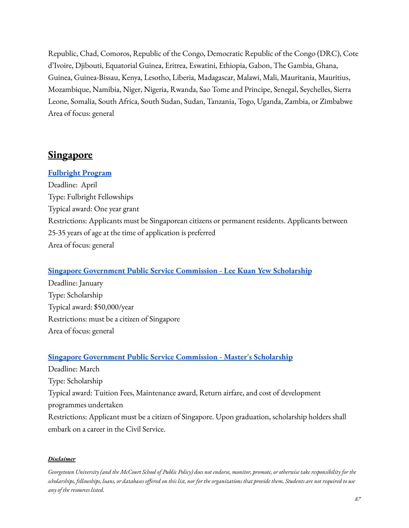Republic, Chad, Comoros, Republic of the Congo, Democratic Republic of the Congo (DRC), Cote d'Ivoire, Djibouti, Equatorial Guinea, Eritrea, Eswatini, Ethiopia, Gabon, The Gambia, Ghana, Guinea, Guinea-Bissau, Kenya, Lesotho, Liberia, Madagascar, Malawi, Mali, Mauritania, Mauritius, Mozambique, Namibia, Niger, Nigeria, Rwanda, Sao Tome and Principe, Senegal, Seychelles, Sierra Leone, Somalia, South Africa, South Sudan, Sudan, Tanzania, Togo, Uganda, Zambia, or Zimbabwe Area of focus: general

## **Singapore**

#### **[Fulbright](https://sg.usembassy.gov/fulbright-programs/?_ga=2.174104738.1041591386.1644944881-1093378583.1644521506) Program**

Deadline: April Type: Fulbright Fellowships Typical award: One year grant Restrictions: Applicants must be Singaporean citizens or permanent residents. Applicants between 25-35 years of age at the time of application is preferred Area of focus: general

#### **Singapore [Government](https://www.psc.gov.sg/Scholarships/lee-kuan-yew-scholarship) Public Service Commission - Lee Kuan Yew Scholarship**

Deadline: January Type: Scholarship Typical award: \$50,000/year Restrictions: must be a citizen of Singapore Area of focus: general

#### **Singapore [Government](https://www.psc.gov.sg/Scholarships/public-sector-scholarships/browse-by-scholarship/public-service-commission-psc-masters-scholarship-PSC) Public Service Commission - Master's Scholarship**

Deadline: March Type: Scholarship Typical award: Tuition Fees, Maintenance award, Return airfare, and cost of development programmes undertaken Restrictions: Applicant must be a citizen of Singapore. Upon graduation, scholarship holders shall embark on a career in the Civil Service.

#### *Disclaimer*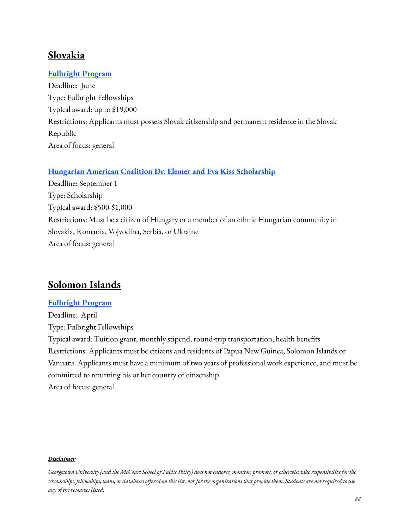## **Slovakia**

### **[Fulbright](http://www.fulbright.sk/fulbrightove-stipendia/fulbrightovo-stipendium-pre-postgradualne-studium) Program**

Deadline: June Type: Fulbright Fellowships Typical award: up to \$19,000 Restrictions: Applicants must possess Slovak citizenship and permanent residence in the Slovak Republic Area of focus: general

### **Hungarian American Coalition Dr. Elemer and Eva Kiss [Scholarship](https://hacusa.eu/dr-elemer-and-eva-kiss-scholarship-fund/)**

Deadline: September 1 Type: Scholarship Typical award: \$500-\$1,000 Restrictions: Must be a citizen of Hungary or a member of an ethnic Hungarian community in Slovakia, Romania, Vojvodina, Serbia, or Ukraine Area of focus: general

## **Solomon Islands**

#### **[Fulbright](https://pg.usembassy.gov/education-culture/fulbright-program/) Program**

Deadline: April Type: Fulbright Fellowships Typical award: Tuition grant, monthly stipend, round-trip transportation, health benefits Restrictions: Applicants must be citizens and residents of Papua New Guinea, Solomon Islands or Vanuatu. Applicants must have a minimum of two years of professional work experience, and must be committed to returning his or her country of citizenship Area of focus: general

#### *Disclaimer*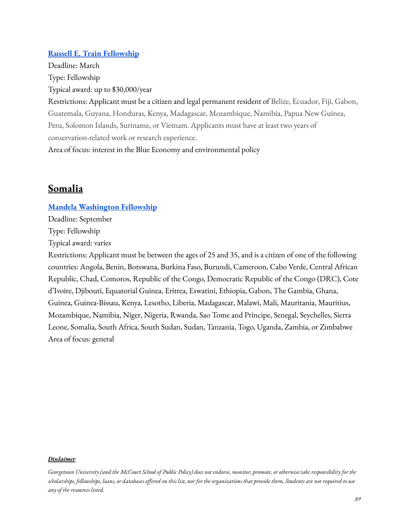#### **Russell E. Train [Fellowship](https://www.worldwildlife.org/projects/russell-e-train-fellowships)**

Deadline: March Type: Fellowship Typical award: up to \$30,000/year

Restrictions: Applicant must be a citizen and legal permanent resident of Belize, Ecuador, Fiji, Gabon, Guatemala, Guyana, Honduras, Kenya, Madagascar, Mozambique, Namibia, Papua New Guinea, Peru, Solomon Islands, Suriname, or Vietnam. Applicants must have at least two years of conservation-related work or research experience.

Area of focus: interest in the Blue Economy and environmental policy

## **Somalia**

#### **Mandela [Washington](https://yali.state.gov/mwf/) Fellowship**

Deadline: September

Type: Fellowship

Typical award: varies

Restrictions: Applicant must be between the ages of 25 and 35, and is a citizen of one of the following countries: Angola, Benin, Botswana, Burkina Faso, Burundi, Cameroon, Cabo Verde, Central African Republic, Chad, Comoros, Republic of the Congo, Democratic Republic of the Congo (DRC), Cote d'Ivoire, Djibouti, Equatorial Guinea, Eritrea, Eswatini, Ethiopia, Gabon, The Gambia, Ghana, Guinea, Guinea-Bissau, Kenya, Lesotho, Liberia, Madagascar, Malawi, Mali, Mauritania, Mauritius, Mozambique, Namibia, Niger, Nigeria, Rwanda, Sao Tome and Principe, Senegal, Seychelles, Sierra Leone, Somalia, South Africa, South Sudan, Sudan, Tanzania, Togo, Uganda, Zambia, or Zimbabwe Area of focus: general

Georgetown University (and the McCourt School of Public Policy) does not endorse, monitor, promote, or otherwise take responsibility for the scholarships, fellowships, loans, or databases offered on this list, nor for the organizations that provide them. Students are not required to use *any of the resources listed.*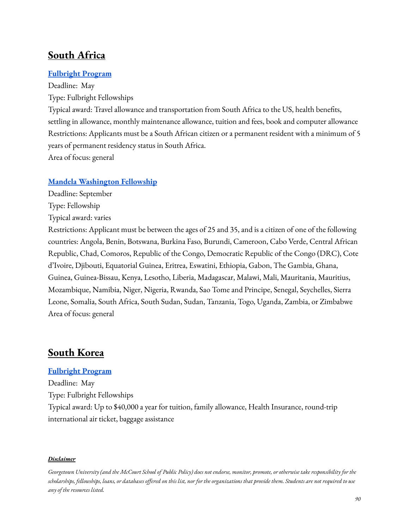# **South Africa**

### **[Fulbright](https://za.usembassy.gov/education-culture/fulbright-postgraduate/) Program**

Deadline: May Type: Fulbright Fellowships Typical award: Travel allowance and transportation from South Africa to the US, health benefits, settling in allowance, monthly maintenance allowance, tuition and fees, book and computer allowance Restrictions: Applicants must be a South African citizen or a permanent resident with a minimum of 5 years of permanent residency status in South Africa. Area of focus: general

### **Mandela [Washington](https://yali.state.gov/mwf/) Fellowship**

- Deadline: September
- Type: Fellowship

Typical award: varies

Restrictions: Applicant must be between the ages of 25 and 35, and is a citizen of one of the following countries: Angola, Benin, Botswana, Burkina Faso, Burundi, Cameroon, Cabo Verde, Central African Republic, Chad, Comoros, Republic of the Congo, Democratic Republic of the Congo (DRC), Cote d'Ivoire, Djibouti, Equatorial Guinea, Eritrea, Eswatini, Ethiopia, Gabon, The Gambia, Ghana, Guinea, Guinea-Bissau, Kenya, Lesotho, Liberia, Madagascar, Malawi, Mali, Mauritania, Mauritius, Mozambique, Namibia, Niger, Nigeria, Rwanda, Sao Tome and Principe, Senegal, Seychelles, Sierra Leone, Somalia, South Africa, South Sudan, Sudan, Tanzania, Togo, Uganda, Zambia, or Zimbabwe Area of focus: general

## **South Korea**

#### **[Fulbright](https://za.usembassy.gov/education-culture/fulbright-postgraduate/) Program**

Deadline: May Type: Fulbright Fellowships Typical award: Up to \$40,000 a year for tuition, family allowance, Health Insurance, round-trip international air ticket, baggage assistance

Georgetown University (and the McCourt School of Public Policy) does not endorse, monitor, promote, or otherwise take responsibility for the scholarships, fellowships, loans, or databases offered on this list, nor for the organizations that provide them. Students are not required to use *any of the resources listed.*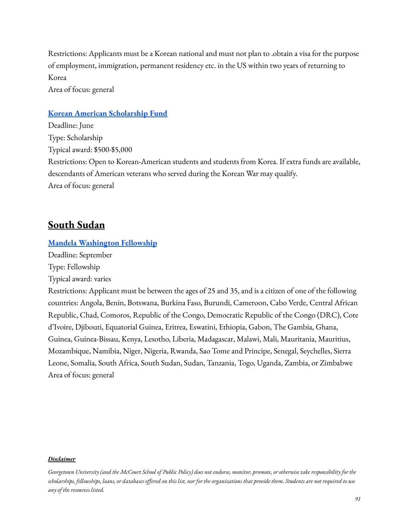Restrictions: Applicants must be a Korean national and must not plan to .obtain a visa for the purpose of employment, immigration, permanent residency etc. in the US within two years of returning to Korea

Area of focus: general

#### **Korean American [Scholarship](https://www.kasf.org/) Fund**

Deadline: June Type: Scholarship Typical award: \$500-\$5,000 Restrictions: Open to Korean-American students and students from Korea. If extra funds are available, descendants of American veterans who served during the Korean War may qualify. Area of focus: general

## **South Sudan**

#### **Mandela [Washington](https://yali.state.gov/mwf/) Fellowship**

Deadline: September

Type: Fellowship

Typical award: varies

Restrictions: Applicant must be between the ages of 25 and 35, and is a citizen of one of the following countries: Angola, Benin, Botswana, Burkina Faso, Burundi, Cameroon, Cabo Verde, Central African Republic, Chad, Comoros, Republic of the Congo, Democratic Republic of the Congo (DRC), Cote d'Ivoire, Djibouti, Equatorial Guinea, Eritrea, Eswatini, Ethiopia, Gabon, The Gambia, Ghana, Guinea, Guinea-Bissau, Kenya, Lesotho, Liberia, Madagascar, Malawi, Mali, Mauritania, Mauritius, Mozambique, Namibia, Niger, Nigeria, Rwanda, Sao Tome and Principe, Senegal, Seychelles, Sierra Leone, Somalia, South Africa, South Sudan, Sudan, Tanzania, Togo, Uganda, Zambia, or Zimbabwe Area of focus: general

Georgetown University (and the McCourt School of Public Policy) does not endorse, monitor, promote, or otherwise take responsibility for the scholarships, fellowships, loans, or databases offered on this list, nor for the organizations that provide them. Students are not required to use *any of the resources listed.*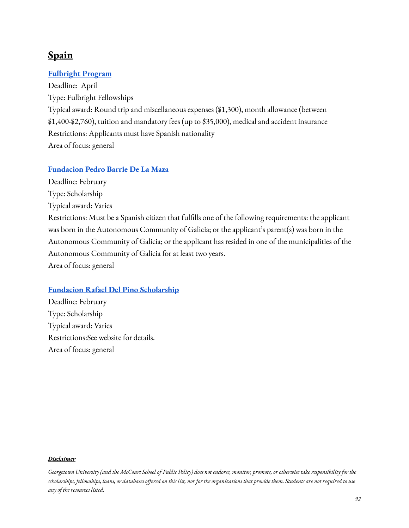# **Spain**

## **[Fulbright](https://fulbright.es/programas-y-becas/convocatorias/ampliacion-de-estudios-master-ph-d/2023-2024/1725/) Program**

Deadline: April Type: Fulbright Fellowships Typical award: Round trip and miscellaneous expenses (\$1,300), month allowance (between \$1,400-\$2,760), tuition and mandatory fees (up to \$35,000), medical and accident insurance Restrictions: Applicants must have Spanish nationality Area of focus: general

### **[Fundacion](https://fundacionbarrie.org/becas-posgrado-extranjero) Pedro Barrie De La Maza**

Deadline: February

Type: Scholarship

Typical award: Varies

Restrictions: Must be a Spanish citizen that fulfills one of the following requirements: the applicant was born in the Autonomous Community of Galicia; or the applicant's parent(s) was born in the Autonomous Community of Galicia; or the applicant has resided in one of the municipalities of the Autonomous Community of Galicia for at least two years.

Area of focus: general

### **Fundacion Rafael Del Pino [Scholarship](https://frdelpino.es/beca-frdelpino/convocatoria-becas-de-excelencia-rafael-del-pino/)**

Deadline: February Type: Scholarship Typical award: Varies Restrictions:See website for details. Area of focus: general

#### *Disclaimer*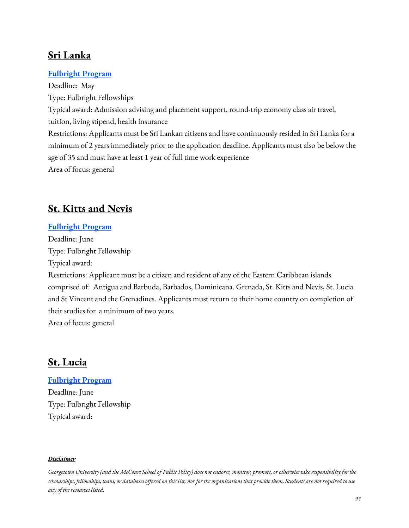# **Sri Lanka**

## **[Fulbright](http://www.fulbrightsrilanka.com/?page_id=4221) Program**

Deadline: May Type: Fulbright Fellowships Typical award: Admission advising and placement support, round-trip economy class air travel, tuition, living stipend, health insurance Restrictions: Applicants must be Sri Lankan citizens and have continuously resided in Sri Lanka for a minimum of 2 years immediately prior to the application deadline. Applicants must also be below the age of 35 and must have at least 1 year of full time work experience Area of focus: general

# **St. Kitts and Nevis**

### **[Fulbright](https://bb.usembassy.gov/education-culture/ec-scholarships/fulbright-scholarship-program/) Program**

Deadline: June Type: Fulbright Fellowship Typical award: Restrictions: Applicant must be a citizen and resident of any of the Eastern Caribbean islands comprised of: Antigua and Barbuda, Barbados, Dominicana. Grenada, St. Kitts and Nevis, St. Lucia and St Vincent and the Grenadines. Applicants must return to their home country on completion of their studies for a minimum of two years. Area of focus: general

## **St. Lucia**

## **[Fulbright](https://bb.usembassy.gov/education-culture/ec-scholarships/fulbright-scholarship-program/) Program**

Deadline: June Type: Fulbright Fellowship Typical award:

#### *Disclaimer*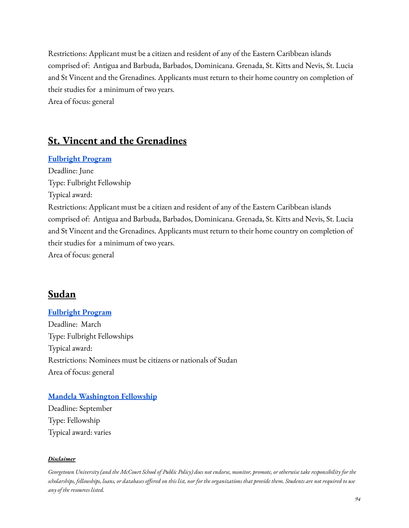Restrictions: Applicant must be a citizen and resident of any of the Eastern Caribbean islands comprised of: Antigua and Barbuda, Barbados, Dominicana. Grenada, St. Kitts and Nevis, St. Lucia and St Vincent and the Grenadines. Applicants must return to their home country on completion of their studies for a minimum of two years. Area of focus: general

**St. Vincent and the Grenadines**

### **[Fulbright](https://bb.usembassy.gov/education-culture/ec-scholarships/fulbright-scholarship-program/) Program**

Deadline: June Type: Fulbright Fellowship Typical award: Restrictions: Applicant must be a citizen and resident of any of the Eastern Caribbean islands comprised of: Antigua and Barbuda, Barbados, Dominicana. Grenada, St. Kitts and Nevis, St. Lucia and St Vincent and the Grenadines. Applicants must return to their home country on completion of their studies for a minimum of two years. Area of focus: general

## **Sudan**

### **[Fulbright](https://sd.usembassy.gov/2022-2023-fulbright-foreign-student-program-call-for-applications/) Program**

Deadline: March Type: Fulbright Fellowships Typical award: Restrictions: Nominees must be citizens or nationals of Sudan Area of focus: general

### **Mandela [Washington](https://yali.state.gov/mwf/) Fellowship**

Deadline: September Type: Fellowship Typical award: varies

#### *Disclaimer*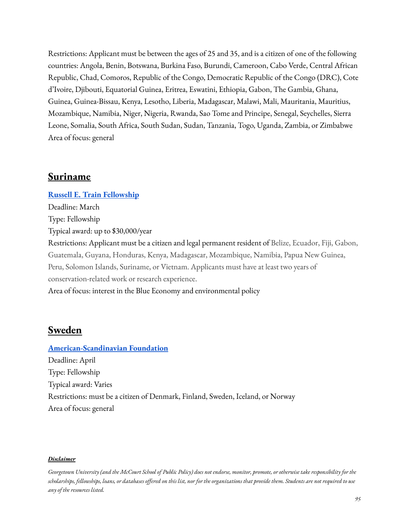Restrictions: Applicant must be between the ages of 25 and 35, and is a citizen of one of the following countries: Angola, Benin, Botswana, Burkina Faso, Burundi, Cameroon, Cabo Verde, Central African Republic, Chad, Comoros, Republic of the Congo, Democratic Republic of the Congo (DRC), Cote d'Ivoire, Djibouti, Equatorial Guinea, Eritrea, Eswatini, Ethiopia, Gabon, The Gambia, Ghana, Guinea, Guinea-Bissau, Kenya, Lesotho, Liberia, Madagascar, Malawi, Mali, Mauritania, Mauritius, Mozambique, Namibia, Niger, Nigeria, Rwanda, Sao Tome and Principe, Senegal, Seychelles, Sierra Leone, Somalia, South Africa, South Sudan, Sudan, Tanzania, Togo, Uganda, Zambia, or Zimbabwe Area of focus: general

## **Suriname**

**Russell E. Train [Fellowship](https://www.worldwildlife.org/projects/russell-e-train-fellowships)** Deadline: March Type: Fellowship Typical award: up to \$30,000/year Restrictions: Applicant must be a citizen and legal permanent resident of Belize, Ecuador, Fiji, Gabon, Guatemala, Guyana, Honduras, Kenya, Madagascar, Mozambique, Namibia, Papua New Guinea, Peru, Solomon Islands, Suriname, or Vietnam. Applicants must have at least two years of conservation-related work or research experience. Area of focus: interest in the Blue Economy and environmental policy

## **Sweden**

### **[American-Scandinavian](https://www.amscan.org/fellowships-and-grants/fellowships-and-grants-for-advanced-study-or-research-in-the-usa/) Foundation**

Deadline: April Type: Fellowship Typical award: Varies Restrictions: must be a citizen of Denmark, Finland, Sweden, Iceland, or Norway Area of focus: general

#### *Disclaimer*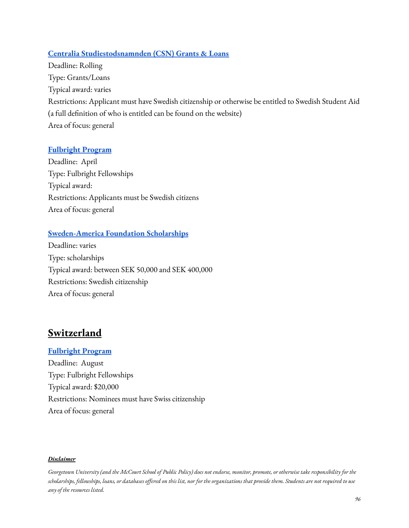## **Centralia [Studiestodsnamnden](https://www.csn.se/bidrag-och-lan.html) (CSN) Grants & Loans**

Deadline: Rolling Type: Grants/Loans Typical award: varies Restrictions: Applicant must have Swedish citizenship or otherwise be entitled to Swedish Student Aid (a full definition of who is entitled can be found on the website) Area of focus: general

## **[Fulbright](https://www.fulbright.se/grants/swedish-grants/graduate-students/) Program**

Deadline: April Type: Fulbright Fellowships Typical award: Restrictions: Applicants must be Swedish citizens Area of focus: general

## **[Sweden-America](https://sweamfo.se/stipendier/kontantstipendier/) Foundation Scholarships**

Deadline: varies Type: scholarships Typical award: between SEK 50,000 and SEK 400,000 Restrictions: Swedish citizenship Area of focus: general

## **Switzerland**

#### **[Fulbright](https://ch.usembassy.gov/education-culture/fulbright/) Program**

Deadline: August Type: Fulbright Fellowships Typical award: \$20,000 Restrictions: Nominees must have Swiss citizenship Area of focus: general

#### *Disclaimer*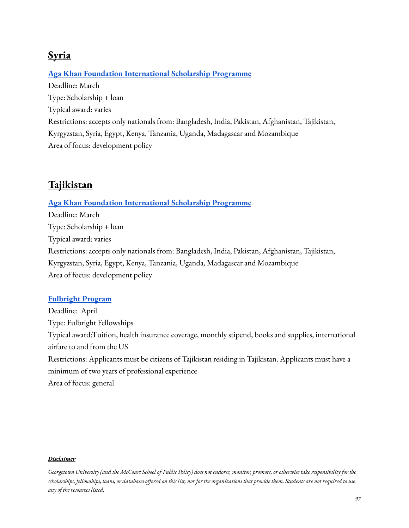# **Syria**

## **Aga Khan Foundation [International](https://www.akdn.org/our-agencies/aga-khan-foundation/international-scholarship-programme) Scholarship Programme**

Deadline: March Type: Scholarship + loan Typical award: varies Restrictions: accepts only nationals from: Bangladesh, India, Pakistan, Afghanistan, Tajikistan, Kyrgyzstan, Syria, Egypt, Kenya, Tanzania, Uganda, Madagascar and Mozambique Area of focus: development policy

# **Tajikistan**

### **Aga Khan Foundation [International](https://www.akdn.org/our-agencies/aga-khan-foundation/international-scholarship-programme) Scholarship Programme**

Deadline: March Type: Scholarship + loan Typical award: varies Restrictions: accepts only nationals from: Bangladesh, India, Pakistan, Afghanistan, Tajikistan, Kyrgyzstan, Syria, Egypt, Kenya, Tanzania, Uganda, Madagascar and Mozambique Area of focus: development policy

### **[Fulbright](https://tj.usembassy.gov/fulbright-foreign-student-program-2023-2024-academic-year/) Program**

Deadline: April Type: Fulbright Fellowships Typical award:Tuition, health insurance coverage, monthly stipend, books and supplies, international airfare to and from the US Restrictions: Applicants must be citizens of Tajikistan residing in Tajikistan. Applicants must have a minimum of two years of professional experience Area of focus: general

#### *Disclaimer*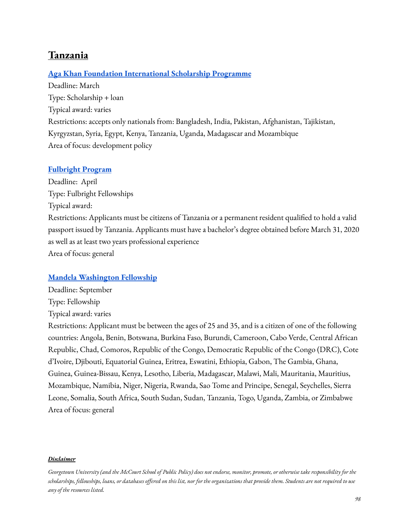# **Tanzania**

### **Aga Khan Foundation [International](https://www.akdn.org/our-agencies/aga-khan-foundation/international-scholarship-programme) Scholarship Programme**

Deadline: March Type: Scholarship + loan Typical award: varies Restrictions: accepts only nationals from: Bangladesh, India, Pakistan, Afghanistan, Tajikistan, Kyrgyzstan, Syria, Egypt, Kenya, Tanzania, Uganda, Madagascar and Mozambique Area of focus: development policy

#### **[Fulbright](https://tj.usembassy.gov/fulbright-foreign-student-program-2023-2024-academic-year/) Program**

Deadline: April Type: Fulbright Fellowships Typical award: Restrictions: Applicants must be citizens of Tanzania or a permanent resident qualified to hold a valid passport issued by Tanzania. Applicants must have a bachelor's degree obtained before March 31, 2020 as well as at least two years professional experience Area of focus: general

#### **Mandela [Washington](https://yali.state.gov/mwf/) Fellowship**

Deadline: September Type: Fellowship Typical award: varies

Restrictions: Applicant must be between the ages of 25 and 35, and is a citizen of one of the following countries: Angola, Benin, Botswana, Burkina Faso, Burundi, Cameroon, Cabo Verde, Central African Republic, Chad, Comoros, Republic of the Congo, Democratic Republic of the Congo (DRC), Cote d'Ivoire, Djibouti, Equatorial Guinea, Eritrea, Eswatini, Ethiopia, Gabon, The Gambia, Ghana, Guinea, Guinea-Bissau, Kenya, Lesotho, Liberia, Madagascar, Malawi, Mali, Mauritania, Mauritius, Mozambique, Namibia, Niger, Nigeria, Rwanda, Sao Tome and Principe, Senegal, Seychelles, Sierra Leone, Somalia, South Africa, South Sudan, Sudan, Tanzania, Togo, Uganda, Zambia, or Zimbabwe Area of focus: general

Georgetown University (and the McCourt School of Public Policy) does not endorse, monitor, promote, or otherwise take responsibility for the scholarships, fellowships, loans, or databases offered on this list, nor for the organizations that provide them. Students are not required to use *any of the resources listed.*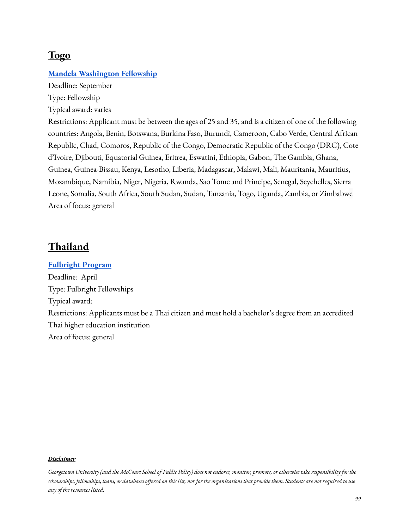# **Togo**

### **Mandela [Washington](https://yali.state.gov/mwf/) Fellowship**

Deadline: September Type: Fellowship

Typical award: varies

Restrictions: Applicant must be between the ages of 25 and 35, and is a citizen of one of the following countries: Angola, Benin, Botswana, Burkina Faso, Burundi, Cameroon, Cabo Verde, Central African Republic, Chad, Comoros, Republic of the Congo, Democratic Republic of the Congo (DRC), Cote d'Ivoire, Djibouti, Equatorial Guinea, Eritrea, Eswatini, Ethiopia, Gabon, The Gambia, Ghana, Guinea, Guinea-Bissau, Kenya, Lesotho, Liberia, Madagascar, Malawi, Mali, Mauritania, Mauritius, Mozambique, Namibia, Niger, Nigeria, Rwanda, Sao Tome and Principe, Senegal, Seychelles, Sierra Leone, Somalia, South Africa, South Sudan, Sudan, Tanzania, Togo, Uganda, Zambia, or Zimbabwe Area of focus: general

## **Thailand**

**[Fulbright](https://www.fulbrightthai.org/thai-active-scholarship-program/2023tgs) Program** Deadline: April Type: Fulbright Fellowships Typical award: Restrictions: Applicants must be a Thai citizen and must hold a bachelor's degree from an accredited Thai higher education institution Area of focus: general

#### *Disclaimer*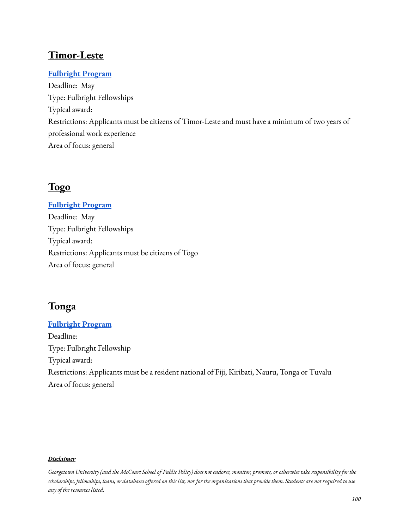# **Timor-Leste**

## **[Fulbright](https://tl.usembassy.gov/education-culture/scholarships-and-exchange-programs/) Program**

Deadline: May Type: Fulbright Fellowships Typical award: Restrictions: Applicants must be citizens of Timor-Leste and must have a minimum of two years of professional work experience Area of focus: general

# **Togo**

# **[Fulbright](https://tg.usembassy.gov/education-culture/educational-exchanges/) Program** Deadline: May Type: Fulbright Fellowships Typical award: Restrictions: Applicants must be citizens of Togo Area of focus: general

# **Tonga**

# **[Fulbright](https://fj.usembassy.gov/education-culture/study-usa/j-william-fulbright-foreign-student-scholarship/) Program** Deadline: Type: Fulbright Fellowship Typical award: Restrictions: Applicants must be a resident national of Fiji, Kiribati, Nauru, Tonga or Tuvalu Area of focus: general

#### *Disclaimer*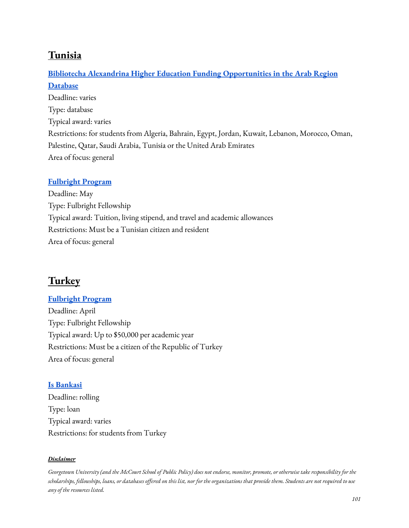# **Tunisia**

## **Bibliotecha Alexandrina Higher Education [Funding Opportunities](http://www.bibalex.org/he_funding/Home/index.aspx) in the Arab Region [Database](http://www.bibalex.org/he_funding/Home/index.aspx)**

Deadline: varies Type: database Typical award: varies Restrictions: for students from Algeria, Bahrain, Egypt, Jordan, Kuwait, Lebanon, Morocco, Oman, Palestine, Qatar, Saudi Arabia, Tunisia or the United Arab Emirates Area of focus: general

## **[Fulbright](https://www.amideast.org/our-work/find-a-scholarship/graduate-study/fulbright/how-to-apply/fulbright-foreign-student-program-for-tunisia) Program**

Deadline: May Type: Fulbright Fellowship Typical award: Tuition, living stipend, and travel and academic allowances Restrictions: Must be a Tunisian citizen and resident Area of focus: general

# **Turkey**

### **[Fulbright](https://fulbright.org.tr/burs/3/Y%C3%BCksek-Lisans-Bursu) Program**

Deadline: April Type: Fulbright Fellowship Typical award: Up to \$50,000 per academic year Restrictions: Must be a citizen of the Republic of Turkey Area of focus: general

### **Is [Bankasi](https://www.isbank.com.tr/en/education-loan)**

Deadline: rolling Type: loan Typical award: varies Restrictions: for students from Turkey

#### *Disclaimer*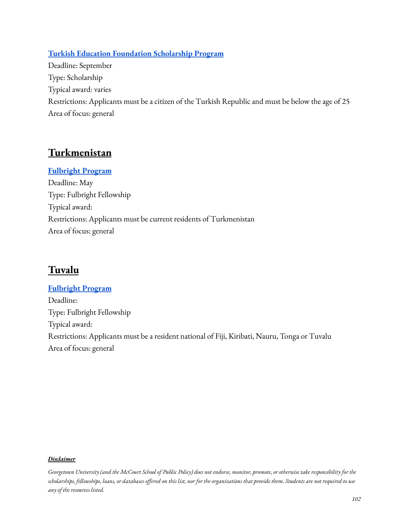## **Turkish Education [Foundation](http://english.tev.org.tr/scholarships/detail/TEV-Scholarships-for-Education-Higher-Education/153/552/0) Scholarship Program**

Deadline: September Type: Scholarship Typical award: varies Restrictions: Applicants must be a citizen of the Turkish Republic and must be below the age of 25 Area of focus: general

# **Turkmenistan**

**[Fulbright](https://tm.usembassy.gov/education-culture/exchange-programs/fulbright-foreign-student-program-masters-degree/) Program** Deadline: May Type: Fulbright Fellowship Typical award: Restrictions: Applicants must be current residents of Turkmenistan Area of focus: general

# **Tuvalu**

**[Fulbright](https://fj.usembassy.gov/education-culture/study-usa/j-william-fulbright-foreign-student-scholarship/) Program** Deadline: Type: Fulbright Fellowship Typical award: Restrictions: Applicants must be a resident national of Fiji, Kiribati, Nauru, Tonga or Tuvalu Area of focus: general

#### *Disclaimer*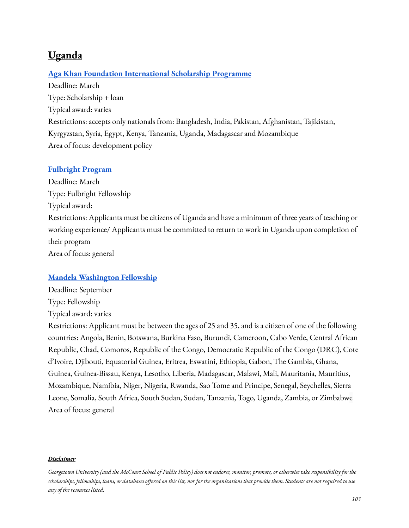# **Uganda**

#### **Aga Khan Foundation [International](https://www.akdn.org/our-agencies/aga-khan-foundation/international-scholarship-programme) Scholarship Programme**

Deadline: March Type: Scholarship + loan Typical award: varies Restrictions: accepts only nationals from: Bangladesh, India, Pakistan, Afghanistan, Tajikistan, Kyrgyzstan, Syria, Egypt, Kenya, Tanzania, Uganda, Madagascar and Mozambique Area of focus: development policy

#### **[Fulbright](https://ug.usembassy.gov/2023-fulbright-foreign-student-program-call-for-applications%e2%80%af-closing-march-25-2022/) Program**

Deadline: March Type: Fulbright Fellowship Typical award: Restrictions: Applicants must be citizens of Uganda and have a minimum of three years of teaching or working experience/ Applicants must be committed to return to work in Uganda upon completion of their program Area of focus: general

#### **Mandela [Washington](https://yali.state.gov/mwf/) Fellowship**

Deadline: September Type: Fellowship Typical award: varies

Restrictions: Applicant must be between the ages of 25 and 35, and is a citizen of one of the following countries: Angola, Benin, Botswana, Burkina Faso, Burundi, Cameroon, Cabo Verde, Central African Republic, Chad, Comoros, Republic of the Congo, Democratic Republic of the Congo (DRC), Cote d'Ivoire, Djibouti, Equatorial Guinea, Eritrea, Eswatini, Ethiopia, Gabon, The Gambia, Ghana, Guinea, Guinea-Bissau, Kenya, Lesotho, Liberia, Madagascar, Malawi, Mali, Mauritania, Mauritius, Mozambique, Namibia, Niger, Nigeria, Rwanda, Sao Tome and Principe, Senegal, Seychelles, Sierra Leone, Somalia, South Africa, South Sudan, Sudan, Tanzania, Togo, Uganda, Zambia, or Zimbabwe Area of focus: general

Georgetown University (and the McCourt School of Public Policy) does not endorse, monitor, promote, or otherwise take responsibility for the scholarships, fellowships, loans, or databases offered on this list, nor for the organizations that provide them. Students are not required to use *any of the resources listed.*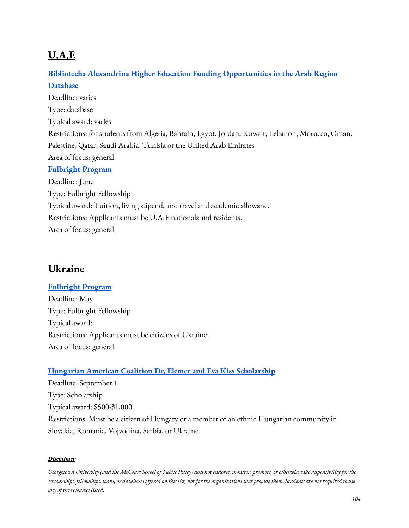# **U.A.E**

# **Bibliotecha Alexandrina Higher Education [Funding Opportunities](http://www.bibalex.org/he_funding/Home/index.aspx) in the Arab Region [Database](http://www.bibalex.org/he_funding/Home/index.aspx)** Deadline: varies Type: database Typical award: varies Restrictions: for students from Algeria, Bahrain, Egypt, Jordan, Kuwait, Lebanon, Morocco, Oman, Palestine, Qatar, Saudi Arabia, Tunisia or the United Arab Emirates Area of focus: general **[Fulbright](https://www.amideast.org/our-work/find-a-scholarship/graduate-study/fulbright/how-to-apply/fulbright-foreign-student-program-for-the-united-arab) Program** Deadline: June Type: Fulbright Fellowship Typical award: Tuition, living stipend, and travel and academic allowance Restrictions: Applicants must be U.A.E nationals and residents. Area of focus: general

# **Ukraine**

## **[Fulbright](https://fulbright.org.ua/uk/) Program**

Deadline: May Type: Fulbright Fellowship Typical award: Restrictions: Applicants must be citizens of Ukraine Area of focus: general

## **Hungarian American Coalition Dr. Elemer and Eva Kiss [Scholarship](https://hacusa.eu/dr-elemer-and-eva-kiss-scholarship-fund/)**

Deadline: September 1 Type: Scholarship Typical award: \$500-\$1,000 Restrictions: Must be a citizen of Hungary or a member of an ethnic Hungarian community in Slovakia, Romania, Vojvodina, Serbia, or Ukraine

#### *Disclaimer*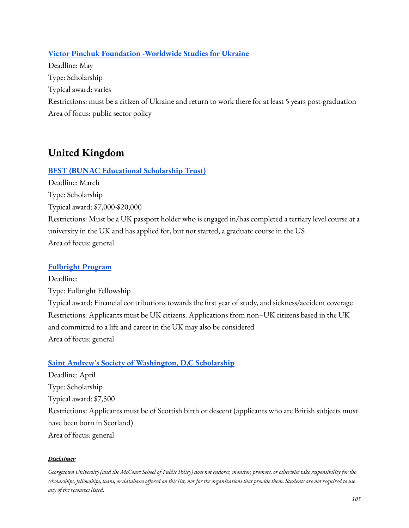## **Victor Pinchuk Foundation [-Worldwide](https://worldwidestudies.org/) Studies for Ukraine**

Deadline: May Type: Scholarship Typical award: varies Restrictions: must be a citizen of Ukraine and return to work there for at least 5 years post-graduation Area of focus: public sector policy

# **United Kingdom**

## **BEST (BUNAC [Educational](https://www.bunac.org/uk/travel-essentials/scholarships-and-awards) Scholarship Trust)**

Deadline: March Type: Scholarship Typical award: \$7,000-\$20,000 Restrictions: Must be a UK passport holder who is engaged in/has completed a tertiary level course at a university in the UK and has applied for, but not started, a graduate course in the US Area of focus: general

## **[Fulbright](https://www.amideast.org/our-work/find-a-scholarship/graduate-study/fulbright/how-to-apply/fulbright-foreign-student-program-for-the-united-arab) Program**

Deadline: Type: Fulbright Fellowship Typical award: Financial contributions towards the first year of study, and sickness/accident coverage Restrictions: Applicants must be UK citizens. Applications from non–UK citizens based in the UK and committed to a life and career in the UK may also be considered Area of focus: general

## **Saint Andrew's Society of [Washington,](https://saintandrewsociety.org/scholarships/) D.C Scholarship**

Deadline: April Type: Scholarship Typical award: \$7,500 Restrictions: Applicants must be of Scottish birth or descent (applicants who are British subjects must have been born in Scotland) Area of focus: general

#### *Disclaimer*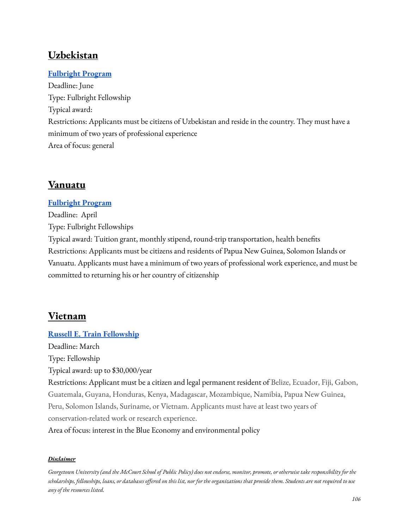# **Uzbekistan**

## **[Fulbright](https://uz.usembassy.gov/education-culture/exchange-programs/fulbright-foreign-student-program/) Program**

Deadline: June Type: Fulbright Fellowship Typical award: Restrictions: Applicants must be citizens of Uzbekistan and reside in the country. They must have a minimum of two years of professional experience Area of focus: general

# **Vanuatu**

### **[Fulbright](https://pg.usembassy.gov/education-culture/fulbright-program/) Program**

Deadline: April Type: Fulbright Fellowships Typical award: Tuition grant, monthly stipend, round-trip transportation, health benefits Restrictions: Applicants must be citizens and residents of Papua New Guinea, Solomon Islands or Vanuatu. Applicants must have a minimum of two years of professional work experience, and must be committed to returning his or her country of citizenship

## **Vietnam**

# **Russell E. Train [Fellowship](https://www.worldwildlife.org/projects/russell-e-train-fellowships)**

Deadline: March Type: Fellowship

Typical award: up to \$30,000/year

Restrictions: Applicant must be a citizen and legal permanent resident of Belize, Ecuador, Fiji, Gabon, Guatemala, Guyana, Honduras, Kenya, Madagascar, Mozambique, Namibia, Papua New Guinea, Peru, Solomon Islands, Suriname, or Vietnam. Applicants must have at least two years of conservation-related work or research experience.

Area of focus: interest in the Blue Economy and environmental policy

#### *Disclaimer*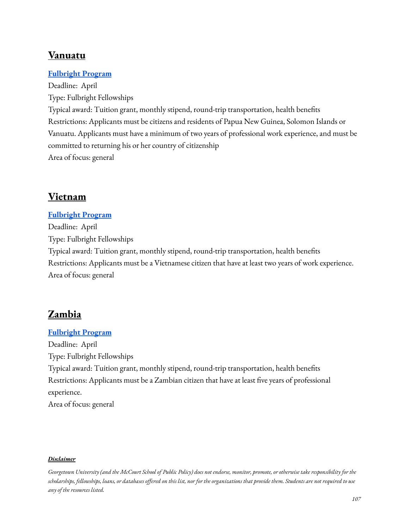# **Vanuatu**

## **[Fulbright](https://pg.usembassy.gov/education-culture/fulbright-program/) Program**

Deadline: April Type: Fulbright Fellowships Typical award: Tuition grant, monthly stipend, round-trip transportation, health benefits Restrictions: Applicants must be citizens and residents of Papua New Guinea, Solomon Islands or Vanuatu. Applicants must have a minimum of two years of professional work experience, and must be committed to returning his or her country of citizenship Area of focus: general

# **Vietnam**

# **[Fulbright](https://vn.usembassy.gov/education-culture/fulbright-program-vietnam/vietnamese-student-program/) Program** Deadline: April Type: Fulbright Fellowships Typical award: Tuition grant, monthly stipend, round-trip transportation, health benefits Restrictions: Applicants must be a Vietnamese citizen that have at least two years of work experience. Area of focus: general

## **Zambia**

## **[Fulbright](https://zm.usembassy.gov/education-culture/educational-professional-exchange-programs/) Program**

Deadline: April Type: Fulbright Fellowships Typical award: Tuition grant, monthly stipend, round-trip transportation, health benefits Restrictions: Applicants must be a Zambian citizen that have at least five years of professional experience.

Area of focus: general

#### *Disclaimer*